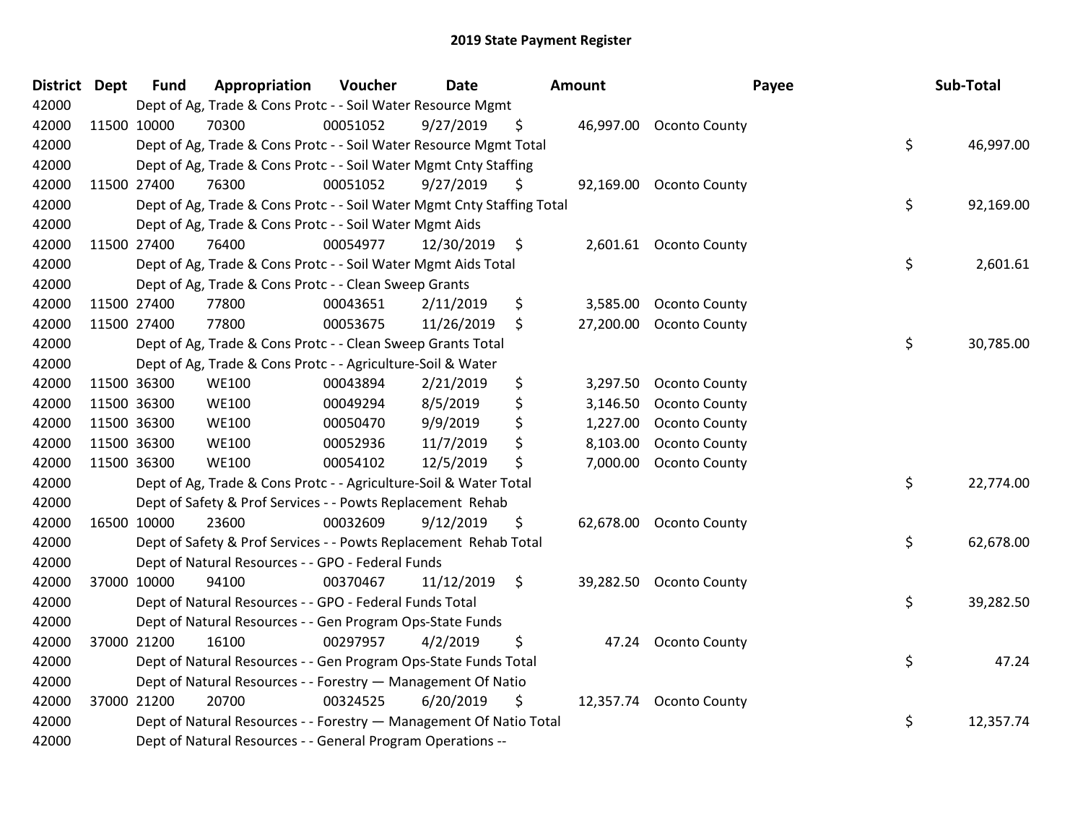| District Dept |             | <b>Fund</b> | Appropriation                                                          | Voucher  | <b>Date</b> |                | <b>Amount</b> | Payee                   | Sub-Total       |
|---------------|-------------|-------------|------------------------------------------------------------------------|----------|-------------|----------------|---------------|-------------------------|-----------------|
| 42000         |             |             | Dept of Ag, Trade & Cons Protc - - Soil Water Resource Mgmt            |          |             |                |               |                         |                 |
| 42000         |             | 11500 10000 | 70300                                                                  | 00051052 | 9/27/2019   | \$.            |               | 46,997.00 Oconto County |                 |
| 42000         |             |             | Dept of Ag, Trade & Cons Protc - - Soil Water Resource Mgmt Total      |          |             |                |               |                         | \$<br>46,997.00 |
| 42000         |             |             | Dept of Ag, Trade & Cons Protc - - Soil Water Mgmt Cnty Staffing       |          |             |                |               |                         |                 |
| 42000         |             | 11500 27400 | 76300                                                                  | 00051052 | 9/27/2019   | \$             |               | 92,169.00 Oconto County |                 |
| 42000         |             |             | Dept of Ag, Trade & Cons Protc - - Soil Water Mgmt Cnty Staffing Total |          |             |                |               |                         | \$<br>92,169.00 |
| 42000         |             |             | Dept of Ag, Trade & Cons Protc - - Soil Water Mgmt Aids                |          |             |                |               |                         |                 |
| 42000         |             | 11500 27400 | 76400                                                                  | 00054977 | 12/30/2019  | \$             | 2,601.61      | <b>Oconto County</b>    |                 |
| 42000         |             |             | Dept of Ag, Trade & Cons Protc - - Soil Water Mgmt Aids Total          |          |             |                |               |                         | \$<br>2,601.61  |
| 42000         |             |             | Dept of Ag, Trade & Cons Protc - - Clean Sweep Grants                  |          |             |                |               |                         |                 |
| 42000         |             | 11500 27400 | 77800                                                                  | 00043651 | 2/11/2019   | \$             | 3,585.00      | <b>Oconto County</b>    |                 |
| 42000         |             | 11500 27400 | 77800                                                                  | 00053675 | 11/26/2019  | \$             | 27,200.00     | <b>Oconto County</b>    |                 |
| 42000         |             |             | Dept of Ag, Trade & Cons Protc - - Clean Sweep Grants Total            |          |             |                |               |                         | \$<br>30,785.00 |
| 42000         |             |             | Dept of Ag, Trade & Cons Protc - - Agriculture-Soil & Water            |          |             |                |               |                         |                 |
| 42000         |             | 11500 36300 | <b>WE100</b>                                                           | 00043894 | 2/21/2019   | \$             | 3,297.50      | <b>Oconto County</b>    |                 |
| 42000         |             | 11500 36300 | <b>WE100</b>                                                           | 00049294 | 8/5/2019    | \$             | 3,146.50      | <b>Oconto County</b>    |                 |
| 42000         |             | 11500 36300 | <b>WE100</b>                                                           | 00050470 | 9/9/2019    | \$             | 1,227.00      | Oconto County           |                 |
| 42000         | 11500 36300 |             | <b>WE100</b>                                                           | 00052936 | 11/7/2019   | \$             | 8,103.00      | <b>Oconto County</b>    |                 |
| 42000         | 11500 36300 |             | <b>WE100</b>                                                           | 00054102 | 12/5/2019   | \$             | 7,000.00      | <b>Oconto County</b>    |                 |
| 42000         |             |             | Dept of Ag, Trade & Cons Protc - - Agriculture-Soil & Water Total      |          |             |                |               |                         | \$<br>22,774.00 |
| 42000         |             |             | Dept of Safety & Prof Services - - Powts Replacement Rehab             |          |             |                |               |                         |                 |
| 42000         |             | 16500 10000 | 23600                                                                  | 00032609 | 9/12/2019   | \$             |               | 62,678.00 Oconto County |                 |
| 42000         |             |             | Dept of Safety & Prof Services - - Powts Replacement Rehab Total       |          |             |                |               |                         | \$<br>62,678.00 |
| 42000         |             |             | Dept of Natural Resources - - GPO - Federal Funds                      |          |             |                |               |                         |                 |
| 42000         |             | 37000 10000 | 94100                                                                  | 00370467 | 11/12/2019  | $\ddot{\zeta}$ | 39,282.50     | <b>Oconto County</b>    |                 |
| 42000         |             |             | Dept of Natural Resources - - GPO - Federal Funds Total                |          |             |                |               |                         | \$<br>39,282.50 |
| 42000         |             |             | Dept of Natural Resources - - Gen Program Ops-State Funds              |          |             |                |               |                         |                 |
| 42000         |             | 37000 21200 | 16100                                                                  | 00297957 | 4/2/2019    | \$             | 47.24         | <b>Oconto County</b>    |                 |
| 42000         |             |             | Dept of Natural Resources - - Gen Program Ops-State Funds Total        |          |             |                |               |                         | \$<br>47.24     |
| 42000         |             |             | Dept of Natural Resources - - Forestry - Management Of Natio           |          |             |                |               |                         |                 |
| 42000         |             | 37000 21200 | 20700                                                                  | 00324525 | 6/20/2019   | \$             |               | 12,357.74 Oconto County |                 |
| 42000         |             |             | Dept of Natural Resources - - Forestry - Management Of Natio Total     |          |             |                |               |                         | \$<br>12,357.74 |
| 42000         |             |             | Dept of Natural Resources - - General Program Operations --            |          |             |                |               |                         |                 |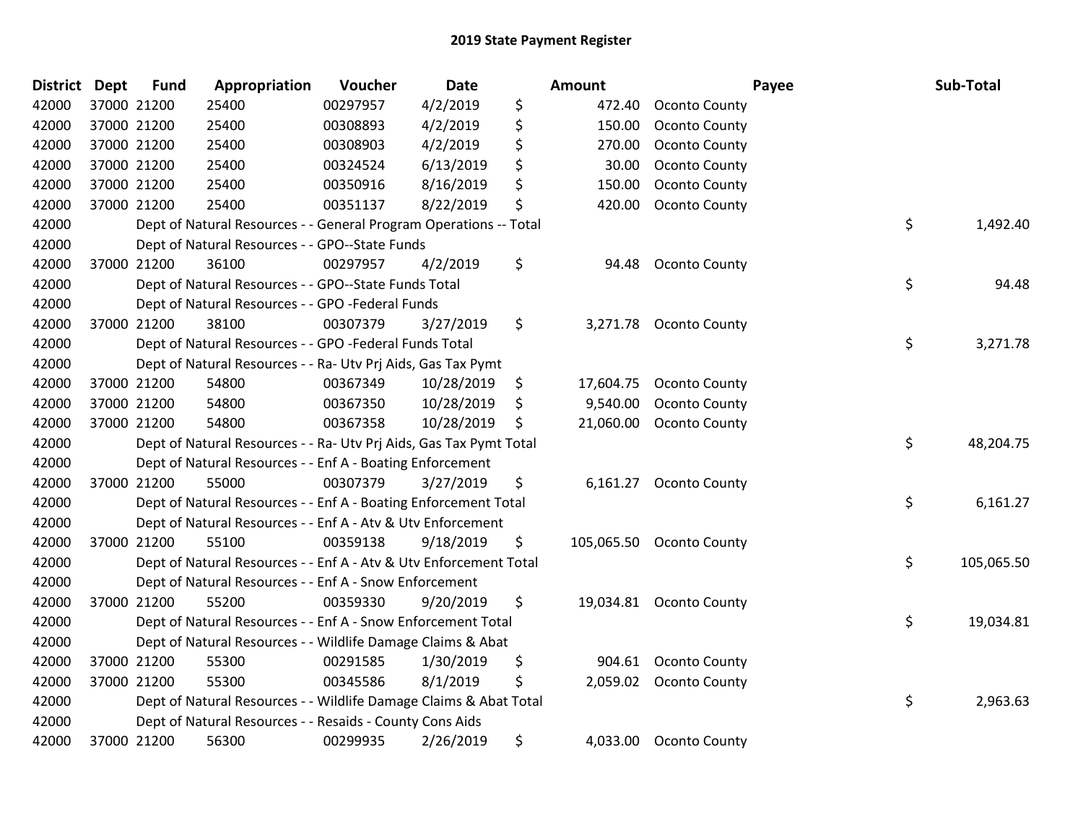| District Dept |             | <b>Fund</b> | Appropriation                                                      | Voucher  | Date       |     | <b>Amount</b> |                          | Payee | Sub-Total  |
|---------------|-------------|-------------|--------------------------------------------------------------------|----------|------------|-----|---------------|--------------------------|-------|------------|
| 42000         | 37000 21200 |             | 25400                                                              | 00297957 | 4/2/2019   | \$  | 472.40        | <b>Oconto County</b>     |       |            |
| 42000         | 37000 21200 |             | 25400                                                              | 00308893 | 4/2/2019   | \$  | 150.00        | <b>Oconto County</b>     |       |            |
| 42000         | 37000 21200 |             | 25400                                                              | 00308903 | 4/2/2019   | \$  | 270.00        | <b>Oconto County</b>     |       |            |
| 42000         | 37000 21200 |             | 25400                                                              | 00324524 | 6/13/2019  | \$  | 30.00         | Oconto County            |       |            |
| 42000         | 37000 21200 |             | 25400                                                              | 00350916 | 8/16/2019  | \$  | 150.00        | <b>Oconto County</b>     |       |            |
| 42000         | 37000 21200 |             | 25400                                                              | 00351137 | 8/22/2019  | \$  | 420.00        | <b>Oconto County</b>     |       |            |
| 42000         |             |             | Dept of Natural Resources - - General Program Operations -- Total  |          |            |     |               |                          | \$    | 1,492.40   |
| 42000         |             |             | Dept of Natural Resources - - GPO--State Funds                     |          |            |     |               |                          |       |            |
| 42000         | 37000 21200 |             | 36100                                                              | 00297957 | 4/2/2019   | \$  | 94.48         | <b>Oconto County</b>     |       |            |
| 42000         |             |             | Dept of Natural Resources - - GPO--State Funds Total               |          |            |     |               |                          | \$    | 94.48      |
| 42000         |             |             | Dept of Natural Resources - - GPO -Federal Funds                   |          |            |     |               |                          |       |            |
| 42000         | 37000 21200 |             | 38100                                                              | 00307379 | 3/27/2019  | \$  |               | 3,271.78 Oconto County   |       |            |
| 42000         |             |             | Dept of Natural Resources - - GPO -Federal Funds Total             |          |            |     |               |                          | \$    | 3,271.78   |
| 42000         |             |             | Dept of Natural Resources - - Ra- Utv Prj Aids, Gas Tax Pymt       |          |            |     |               |                          |       |            |
| 42000         | 37000 21200 |             | 54800                                                              | 00367349 | 10/28/2019 | \$  | 17,604.75     | <b>Oconto County</b>     |       |            |
| 42000         |             | 37000 21200 | 54800                                                              | 00367350 | 10/28/2019 | \$  | 9,540.00      | <b>Oconto County</b>     |       |            |
| 42000         | 37000 21200 |             | 54800                                                              | 00367358 | 10/28/2019 | \$. |               | 21,060.00 Oconto County  |       |            |
| 42000         |             |             | Dept of Natural Resources - - Ra- Utv Prj Aids, Gas Tax Pymt Total |          |            |     |               |                          | \$    | 48,204.75  |
| 42000         |             |             | Dept of Natural Resources - - Enf A - Boating Enforcement          |          |            |     |               |                          |       |            |
| 42000         | 37000 21200 |             | 55000                                                              | 00307379 | 3/27/2019  | \$  |               | 6,161.27 Oconto County   |       |            |
| 42000         |             |             | Dept of Natural Resources - - Enf A - Boating Enforcement Total    |          |            |     |               |                          | \$    | 6,161.27   |
| 42000         |             |             | Dept of Natural Resources - - Enf A - Atv & Utv Enforcement        |          |            |     |               |                          |       |            |
| 42000         | 37000 21200 |             | 55100                                                              | 00359138 | 9/18/2019  | \$  |               | 105,065.50 Oconto County |       |            |
| 42000         |             |             | Dept of Natural Resources - - Enf A - Atv & Utv Enforcement Total  |          |            |     |               |                          | \$    | 105,065.50 |
| 42000         |             |             | Dept of Natural Resources - - Enf A - Snow Enforcement             |          |            |     |               |                          |       |            |
| 42000         | 37000 21200 |             | 55200                                                              | 00359330 | 9/20/2019  | \$  |               | 19,034.81 Oconto County  |       |            |
| 42000         |             |             | Dept of Natural Resources - - Enf A - Snow Enforcement Total       |          |            |     |               |                          | \$    | 19,034.81  |
| 42000         |             |             | Dept of Natural Resources - - Wildlife Damage Claims & Abat        |          |            |     |               |                          |       |            |
| 42000         | 37000 21200 |             | 55300                                                              | 00291585 | 1/30/2019  | \$  | 904.61        | <b>Oconto County</b>     |       |            |
| 42000         | 37000 21200 |             | 55300                                                              | 00345586 | 8/1/2019   | \$  |               | 2,059.02 Oconto County   |       |            |
| 42000         |             |             | Dept of Natural Resources - - Wildlife Damage Claims & Abat Total  |          |            |     |               |                          | \$    | 2,963.63   |
| 42000         |             |             | Dept of Natural Resources - - Resaids - County Cons Aids           |          |            |     |               |                          |       |            |
| 42000         | 37000 21200 |             | 56300                                                              | 00299935 | 2/26/2019  | \$  | 4,033.00      | <b>Oconto County</b>     |       |            |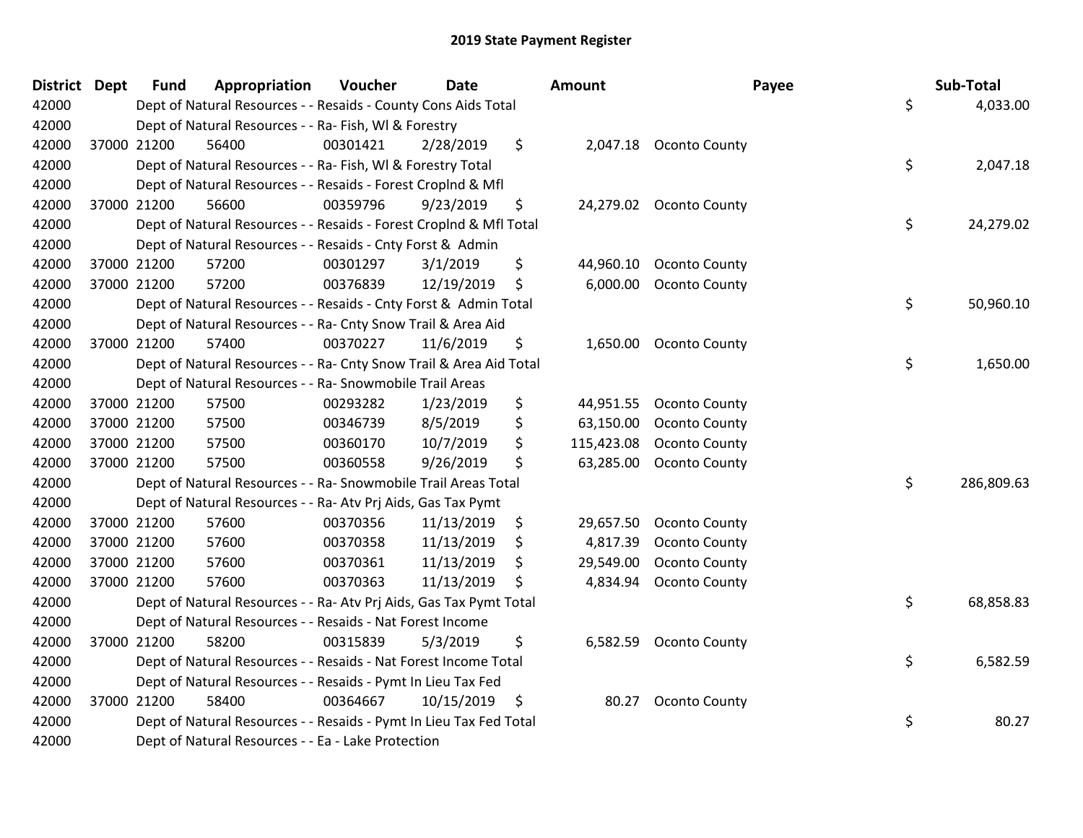| <b>District Dept</b> |             | <b>Fund</b> | Appropriation                                                      | Voucher  | <b>Date</b> | <b>Amount</b>    |                        | Payee | Sub-Total  |
|----------------------|-------------|-------------|--------------------------------------------------------------------|----------|-------------|------------------|------------------------|-------|------------|
| 42000                |             |             | Dept of Natural Resources - - Resaids - County Cons Aids Total     |          |             |                  |                        | \$    | 4,033.00   |
| 42000                |             |             | Dept of Natural Resources - - Ra- Fish, WI & Forestry              |          |             |                  |                        |       |            |
| 42000                |             | 37000 21200 | 56400                                                              | 00301421 | 2/28/2019   | \$               | 2,047.18 Oconto County |       |            |
| 42000                |             |             | Dept of Natural Resources - - Ra- Fish, WI & Forestry Total        |          |             |                  |                        | \$    | 2,047.18   |
| 42000                |             |             | Dept of Natural Resources - - Resaids - Forest Croplnd & Mfl       |          |             |                  |                        |       |            |
| 42000                | 37000 21200 |             | 56600                                                              | 00359796 | 9/23/2019   | \$<br>24,279.02  | <b>Oconto County</b>   |       |            |
| 42000                |             |             | Dept of Natural Resources - - Resaids - Forest CropInd & Mfl Total |          |             |                  |                        | \$    | 24,279.02  |
| 42000                |             |             | Dept of Natural Resources - - Resaids - Cnty Forst & Admin         |          |             |                  |                        |       |            |
| 42000                | 37000 21200 |             | 57200                                                              | 00301297 | 3/1/2019    | \$<br>44,960.10  | <b>Oconto County</b>   |       |            |
| 42000                | 37000 21200 |             | 57200                                                              | 00376839 | 12/19/2019  | \$<br>6,000.00   | <b>Oconto County</b>   |       |            |
| 42000                |             |             | Dept of Natural Resources - - Resaids - Cnty Forst & Admin Total   |          |             |                  |                        | \$    | 50,960.10  |
| 42000                |             |             | Dept of Natural Resources - - Ra- Cnty Snow Trail & Area Aid       |          |             |                  |                        |       |            |
| 42000                | 37000 21200 |             | 57400                                                              | 00370227 | 11/6/2019   | \$<br>1,650.00   | <b>Oconto County</b>   |       |            |
| 42000                |             |             | Dept of Natural Resources - - Ra- Cnty Snow Trail & Area Aid Total |          |             |                  |                        | \$    | 1,650.00   |
| 42000                |             |             | Dept of Natural Resources - - Ra- Snowmobile Trail Areas           |          |             |                  |                        |       |            |
| 42000                | 37000 21200 |             | 57500                                                              | 00293282 | 1/23/2019   | \$<br>44,951.55  | <b>Oconto County</b>   |       |            |
| 42000                | 37000 21200 |             | 57500                                                              | 00346739 | 8/5/2019    | \$<br>63,150.00  | <b>Oconto County</b>   |       |            |
| 42000                | 37000 21200 |             | 57500                                                              | 00360170 | 10/7/2019   | \$<br>115,423.08 | <b>Oconto County</b>   |       |            |
| 42000                | 37000 21200 |             | 57500                                                              | 00360558 | 9/26/2019   | \$<br>63,285.00  | <b>Oconto County</b>   |       |            |
| 42000                |             |             | Dept of Natural Resources - - Ra- Snowmobile Trail Areas Total     |          |             |                  |                        | \$    | 286,809.63 |
| 42000                |             |             | Dept of Natural Resources - - Ra- Atv Prj Aids, Gas Tax Pymt       |          |             |                  |                        |       |            |
| 42000                |             | 37000 21200 | 57600                                                              | 00370356 | 11/13/2019  | \$<br>29,657.50  | <b>Oconto County</b>   |       |            |
| 42000                | 37000 21200 |             | 57600                                                              | 00370358 | 11/13/2019  | \$<br>4,817.39   | <b>Oconto County</b>   |       |            |
| 42000                | 37000 21200 |             | 57600                                                              | 00370361 | 11/13/2019  | \$<br>29,549.00  | <b>Oconto County</b>   |       |            |
| 42000                | 37000 21200 |             | 57600                                                              | 00370363 | 11/13/2019  | \$<br>4,834.94   | Oconto County          |       |            |
| 42000                |             |             | Dept of Natural Resources - - Ra- Atv Prj Aids, Gas Tax Pymt Total |          |             |                  |                        | \$    | 68,858.83  |
| 42000                |             |             | Dept of Natural Resources - - Resaids - Nat Forest Income          |          |             |                  |                        |       |            |
| 42000                | 37000 21200 |             | 58200                                                              | 00315839 | 5/3/2019    | \$<br>6,582.59   | <b>Oconto County</b>   |       |            |
| 42000                |             |             | Dept of Natural Resources - - Resaids - Nat Forest Income Total    |          |             |                  |                        | \$    | 6,582.59   |
| 42000                |             |             | Dept of Natural Resources - - Resaids - Pymt In Lieu Tax Fed       |          |             |                  |                        |       |            |
| 42000                | 37000 21200 |             | 58400                                                              | 00364667 | 10/15/2019  | \$<br>80.27      | <b>Oconto County</b>   |       |            |
| 42000                |             |             | Dept of Natural Resources - - Resaids - Pymt In Lieu Tax Fed Total |          |             |                  |                        | \$    | 80.27      |
| 42000                |             |             | Dept of Natural Resources - - Ea - Lake Protection                 |          |             |                  |                        |       |            |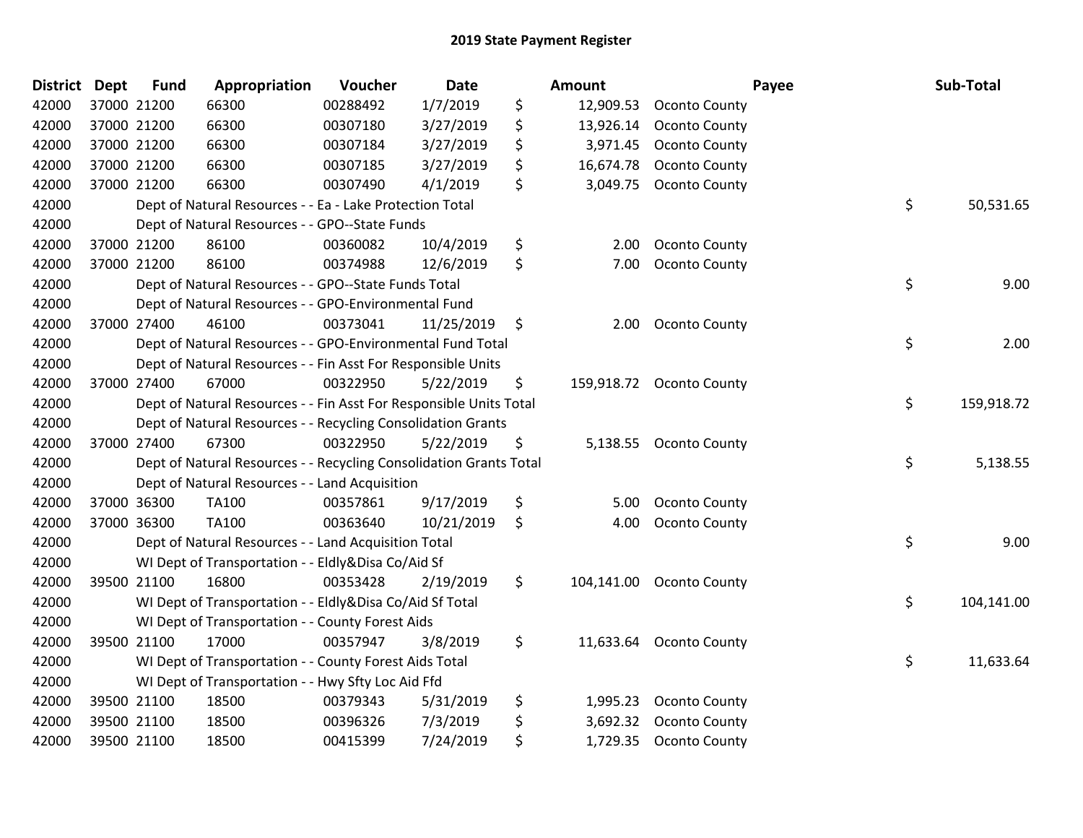| <b>District Dept</b> |             | <b>Fund</b> | Appropriation                                                      | Voucher  | <b>Date</b> | Amount           |                          | Payee | Sub-Total  |
|----------------------|-------------|-------------|--------------------------------------------------------------------|----------|-------------|------------------|--------------------------|-------|------------|
| 42000                | 37000 21200 |             | 66300                                                              | 00288492 | 1/7/2019    | \$<br>12,909.53  | <b>Oconto County</b>     |       |            |
| 42000                | 37000 21200 |             | 66300                                                              | 00307180 | 3/27/2019   | \$<br>13,926.14  | <b>Oconto County</b>     |       |            |
| 42000                | 37000 21200 |             | 66300                                                              | 00307184 | 3/27/2019   | \$<br>3,971.45   | Oconto County            |       |            |
| 42000                | 37000 21200 |             | 66300                                                              | 00307185 | 3/27/2019   | \$<br>16,674.78  | <b>Oconto County</b>     |       |            |
| 42000                | 37000 21200 |             | 66300                                                              | 00307490 | 4/1/2019    | \$<br>3,049.75   | <b>Oconto County</b>     |       |            |
| 42000                |             |             | Dept of Natural Resources - - Ea - Lake Protection Total           |          |             |                  |                          | \$    | 50,531.65  |
| 42000                |             |             | Dept of Natural Resources - - GPO--State Funds                     |          |             |                  |                          |       |            |
| 42000                | 37000 21200 |             | 86100                                                              | 00360082 | 10/4/2019   | \$<br>2.00       | <b>Oconto County</b>     |       |            |
| 42000                | 37000 21200 |             | 86100                                                              | 00374988 | 12/6/2019   | \$<br>7.00       | <b>Oconto County</b>     |       |            |
| 42000                |             |             | Dept of Natural Resources - - GPO--State Funds Total               |          |             |                  |                          | \$    | 9.00       |
| 42000                |             |             | Dept of Natural Resources - - GPO-Environmental Fund               |          |             |                  |                          |       |            |
| 42000                | 37000 27400 |             | 46100                                                              | 00373041 | 11/25/2019  | \$<br>2.00       | <b>Oconto County</b>     |       |            |
| 42000                |             |             | Dept of Natural Resources - - GPO-Environmental Fund Total         |          |             |                  |                          | \$    | 2.00       |
| 42000                |             |             | Dept of Natural Resources - - Fin Asst For Responsible Units       |          |             |                  |                          |       |            |
| 42000                | 37000 27400 |             | 67000                                                              | 00322950 | 5/22/2019   | \$               | 159,918.72 Oconto County |       |            |
| 42000                |             |             | Dept of Natural Resources - - Fin Asst For Responsible Units Total |          |             |                  |                          | \$    | 159,918.72 |
| 42000                |             |             | Dept of Natural Resources - - Recycling Consolidation Grants       |          |             |                  |                          |       |            |
| 42000                | 37000 27400 |             | 67300                                                              | 00322950 | 5/22/2019   | \$               | 5,138.55 Oconto County   |       |            |
| 42000                |             |             | Dept of Natural Resources - - Recycling Consolidation Grants Total |          |             |                  |                          | \$    | 5,138.55   |
| 42000                |             |             | Dept of Natural Resources - - Land Acquisition                     |          |             |                  |                          |       |            |
| 42000                | 37000 36300 |             | TA100                                                              | 00357861 | 9/17/2019   | \$<br>5.00       | <b>Oconto County</b>     |       |            |
| 42000                | 37000 36300 |             | TA100                                                              | 00363640 | 10/21/2019  | \$<br>4.00       | Oconto County            |       |            |
| 42000                |             |             | Dept of Natural Resources - - Land Acquisition Total               |          |             |                  |                          | \$    | 9.00       |
| 42000                |             |             | WI Dept of Transportation - - Eldly&Disa Co/Aid Sf                 |          |             |                  |                          |       |            |
| 42000                | 39500 21100 |             | 16800                                                              | 00353428 | 2/19/2019   | \$<br>104,141.00 | <b>Oconto County</b>     |       |            |
| 42000                |             |             | WI Dept of Transportation - - Eldly&Disa Co/Aid Sf Total           |          |             |                  |                          | \$    | 104,141.00 |
| 42000                |             |             | WI Dept of Transportation - - County Forest Aids                   |          |             |                  |                          |       |            |
| 42000                | 39500 21100 |             | 17000                                                              | 00357947 | 3/8/2019    | \$               | 11,633.64 Oconto County  |       |            |
| 42000                |             |             | WI Dept of Transportation - - County Forest Aids Total             |          |             |                  |                          | \$    | 11,633.64  |
| 42000                |             |             | WI Dept of Transportation - - Hwy Sfty Loc Aid Ffd                 |          |             |                  |                          |       |            |
| 42000                | 39500 21100 |             | 18500                                                              | 00379343 | 5/31/2019   | \$<br>1,995.23   | <b>Oconto County</b>     |       |            |
| 42000                | 39500 21100 |             | 18500                                                              | 00396326 | 7/3/2019    | \$<br>3,692.32   | <b>Oconto County</b>     |       |            |
| 42000                | 39500 21100 |             | 18500                                                              | 00415399 | 7/24/2019   | \$               | 1,729.35 Oconto County   |       |            |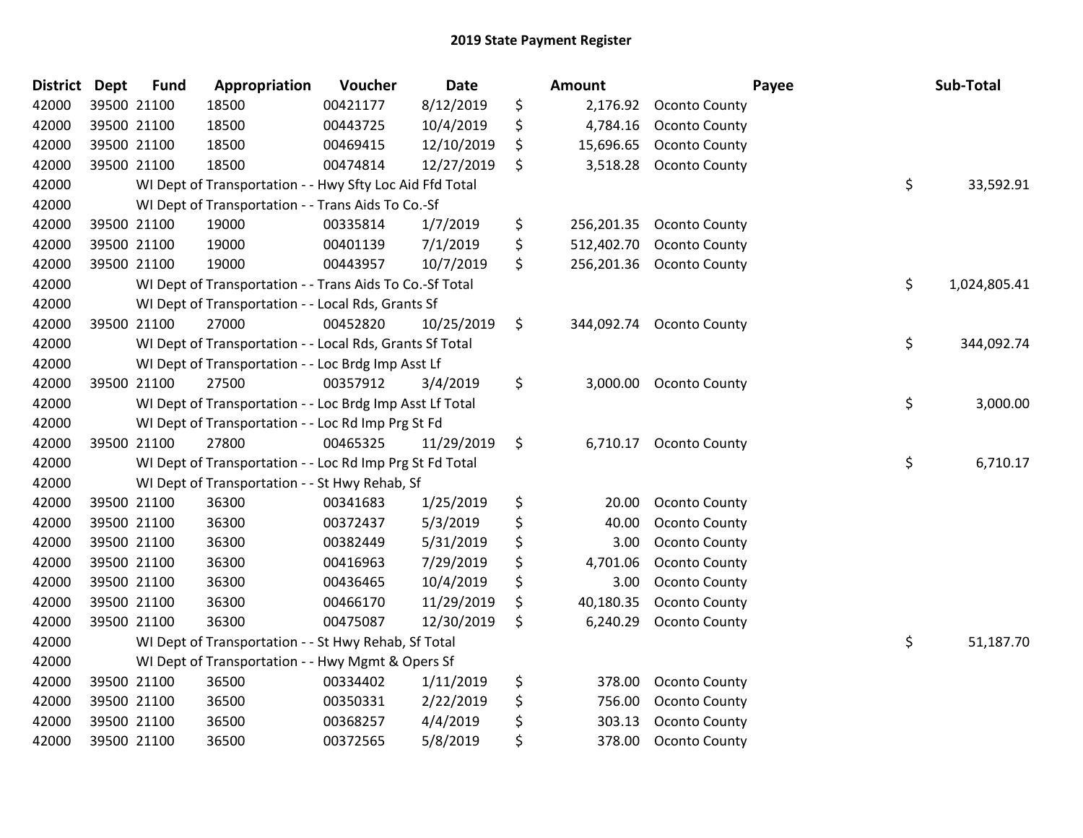| <b>District</b> | <b>Dept</b> | <b>Fund</b> | Appropriation                                            | Voucher  | <b>Date</b> | <b>Amount</b>    |                          | Payee | Sub-Total    |
|-----------------|-------------|-------------|----------------------------------------------------------|----------|-------------|------------------|--------------------------|-------|--------------|
| 42000           |             | 39500 21100 | 18500                                                    | 00421177 | 8/12/2019   | \$<br>2,176.92   | <b>Oconto County</b>     |       |              |
| 42000           | 39500 21100 |             | 18500                                                    | 00443725 | 10/4/2019   | \$<br>4,784.16   | <b>Oconto County</b>     |       |              |
| 42000           |             | 39500 21100 | 18500                                                    | 00469415 | 12/10/2019  | \$<br>15,696.65  | <b>Oconto County</b>     |       |              |
| 42000           |             | 39500 21100 | 18500                                                    | 00474814 | 12/27/2019  | \$<br>3,518.28   | Oconto County            |       |              |
| 42000           |             |             | WI Dept of Transportation - - Hwy Sfty Loc Aid Ffd Total |          |             |                  |                          | \$    | 33,592.91    |
| 42000           |             |             | WI Dept of Transportation - - Trans Aids To Co.-Sf       |          |             |                  |                          |       |              |
| 42000           |             | 39500 21100 | 19000                                                    | 00335814 | 1/7/2019    | \$<br>256,201.35 | <b>Oconto County</b>     |       |              |
| 42000           | 39500 21100 |             | 19000                                                    | 00401139 | 7/1/2019    | \$<br>512,402.70 | <b>Oconto County</b>     |       |              |
| 42000           | 39500 21100 |             | 19000                                                    | 00443957 | 10/7/2019   | \$<br>256,201.36 | <b>Oconto County</b>     |       |              |
| 42000           |             |             | WI Dept of Transportation - - Trans Aids To Co.-Sf Total |          |             |                  |                          | \$    | 1,024,805.41 |
| 42000           |             |             | WI Dept of Transportation - - Local Rds, Grants Sf       |          |             |                  |                          |       |              |
| 42000           |             | 39500 21100 | 27000                                                    | 00452820 | 10/25/2019  | \$               | 344,092.74 Oconto County |       |              |
| 42000           |             |             | WI Dept of Transportation - - Local Rds, Grants Sf Total |          |             |                  |                          | \$    | 344,092.74   |
| 42000           |             |             | WI Dept of Transportation - - Loc Brdg Imp Asst Lf       |          |             |                  |                          |       |              |
| 42000           |             | 39500 21100 | 27500                                                    | 00357912 | 3/4/2019    | \$<br>3,000.00   | <b>Oconto County</b>     |       |              |
| 42000           |             |             | WI Dept of Transportation - - Loc Brdg Imp Asst Lf Total |          |             |                  |                          | \$    | 3,000.00     |
| 42000           |             |             | WI Dept of Transportation - - Loc Rd Imp Prg St Fd       |          |             |                  |                          |       |              |
| 42000           |             | 39500 21100 | 27800                                                    | 00465325 | 11/29/2019  | \$<br>6,710.17   | <b>Oconto County</b>     |       |              |
| 42000           |             |             | WI Dept of Transportation - - Loc Rd Imp Prg St Fd Total |          |             |                  |                          | \$    | 6,710.17     |
| 42000           |             |             | WI Dept of Transportation - - St Hwy Rehab, Sf           |          |             |                  |                          |       |              |
| 42000           |             | 39500 21100 | 36300                                                    | 00341683 | 1/25/2019   | \$<br>20.00      | <b>Oconto County</b>     |       |              |
| 42000           |             | 39500 21100 | 36300                                                    | 00372437 | 5/3/2019    | \$<br>40.00      | Oconto County            |       |              |
| 42000           |             | 39500 21100 | 36300                                                    | 00382449 | 5/31/2019   | \$<br>3.00       | <b>Oconto County</b>     |       |              |
| 42000           |             | 39500 21100 | 36300                                                    | 00416963 | 7/29/2019   | \$<br>4,701.06   | <b>Oconto County</b>     |       |              |
| 42000           |             | 39500 21100 | 36300                                                    | 00436465 | 10/4/2019   | \$<br>3.00       | Oconto County            |       |              |
| 42000           |             | 39500 21100 | 36300                                                    | 00466170 | 11/29/2019  | \$<br>40,180.35  | <b>Oconto County</b>     |       |              |
| 42000           |             | 39500 21100 | 36300                                                    | 00475087 | 12/30/2019  | \$<br>6,240.29   | Oconto County            |       |              |
| 42000           |             |             | WI Dept of Transportation - - St Hwy Rehab, Sf Total     |          |             |                  |                          | \$    | 51,187.70    |
| 42000           |             |             | WI Dept of Transportation - - Hwy Mgmt & Opers Sf        |          |             |                  |                          |       |              |
| 42000           |             | 39500 21100 | 36500                                                    | 00334402 | 1/11/2019   | \$<br>378.00     | <b>Oconto County</b>     |       |              |
| 42000           |             | 39500 21100 | 36500                                                    | 00350331 | 2/22/2019   | \$<br>756.00     | Oconto County            |       |              |
| 42000           |             | 39500 21100 | 36500                                                    | 00368257 | 4/4/2019    | \$<br>303.13     | <b>Oconto County</b>     |       |              |
| 42000           |             | 39500 21100 | 36500                                                    | 00372565 | 5/8/2019    | \$<br>378.00     | <b>Oconto County</b>     |       |              |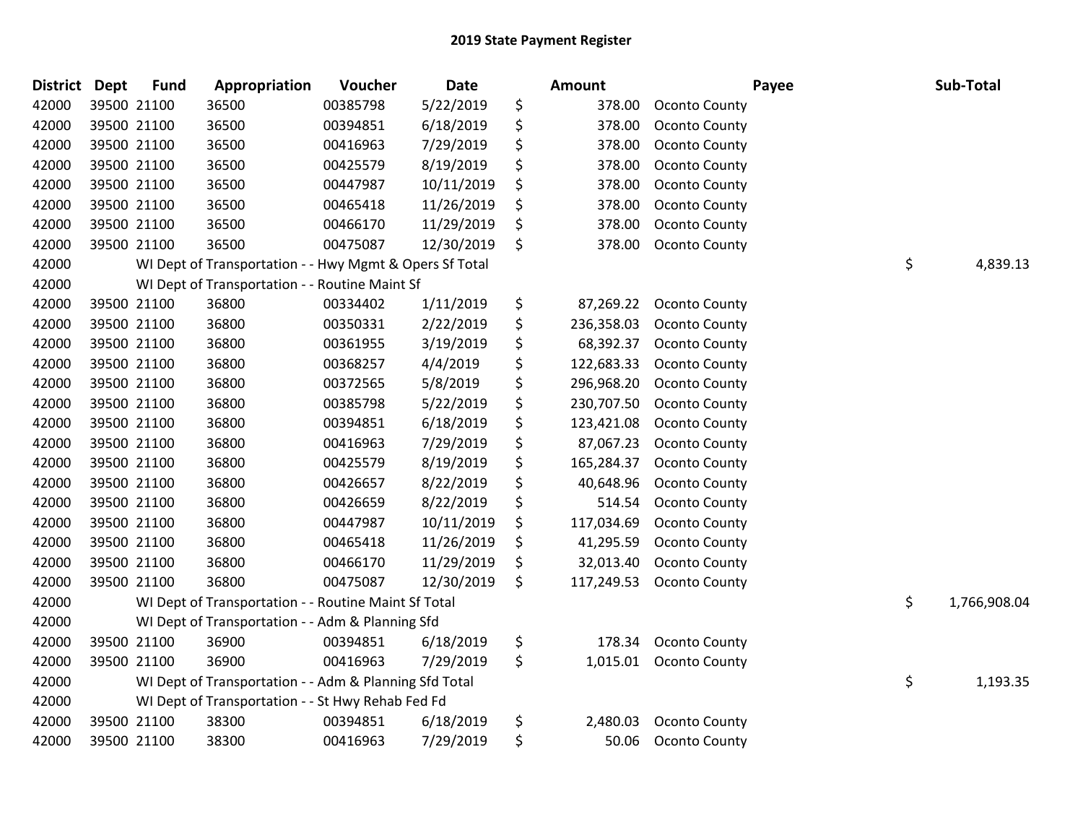| <b>District</b> | <b>Dept</b> | <b>Fund</b> | Appropriation                                           | Voucher  | Date       | <b>Amount</b>    |                      | Payee | Sub-Total          |
|-----------------|-------------|-------------|---------------------------------------------------------|----------|------------|------------------|----------------------|-------|--------------------|
| 42000           |             | 39500 21100 | 36500                                                   | 00385798 | 5/22/2019  | \$<br>378.00     | <b>Oconto County</b> |       |                    |
| 42000           |             | 39500 21100 | 36500                                                   | 00394851 | 6/18/2019  | \$<br>378.00     | <b>Oconto County</b> |       |                    |
| 42000           |             | 39500 21100 | 36500                                                   | 00416963 | 7/29/2019  | \$<br>378.00     | <b>Oconto County</b> |       |                    |
| 42000           |             | 39500 21100 | 36500                                                   | 00425579 | 8/19/2019  | \$<br>378.00     | <b>Oconto County</b> |       |                    |
| 42000           |             | 39500 21100 | 36500                                                   | 00447987 | 10/11/2019 | \$<br>378.00     | Oconto County        |       |                    |
| 42000           |             | 39500 21100 | 36500                                                   | 00465418 | 11/26/2019 | \$<br>378.00     | <b>Oconto County</b> |       |                    |
| 42000           |             | 39500 21100 | 36500                                                   | 00466170 | 11/29/2019 | \$<br>378.00     | Oconto County        |       |                    |
| 42000           |             | 39500 21100 | 36500                                                   | 00475087 | 12/30/2019 | \$<br>378.00     | <b>Oconto County</b> |       |                    |
| 42000           |             |             | WI Dept of Transportation - - Hwy Mgmt & Opers Sf Total |          |            |                  |                      |       | \$<br>4,839.13     |
| 42000           |             |             | WI Dept of Transportation - - Routine Maint Sf          |          |            |                  |                      |       |                    |
| 42000           |             | 39500 21100 | 36800                                                   | 00334402 | 1/11/2019  | \$<br>87,269.22  | <b>Oconto County</b> |       |                    |
| 42000           |             | 39500 21100 | 36800                                                   | 00350331 | 2/22/2019  | \$<br>236,358.03 | <b>Oconto County</b> |       |                    |
| 42000           |             | 39500 21100 | 36800                                                   | 00361955 | 3/19/2019  | \$<br>68,392.37  | <b>Oconto County</b> |       |                    |
| 42000           |             | 39500 21100 | 36800                                                   | 00368257 | 4/4/2019   | \$<br>122,683.33 | <b>Oconto County</b> |       |                    |
| 42000           |             | 39500 21100 | 36800                                                   | 00372565 | 5/8/2019   | \$<br>296,968.20 | <b>Oconto County</b> |       |                    |
| 42000           |             | 39500 21100 | 36800                                                   | 00385798 | 5/22/2019  | \$<br>230,707.50 | Oconto County        |       |                    |
| 42000           |             | 39500 21100 | 36800                                                   | 00394851 | 6/18/2019  | \$<br>123,421.08 | Oconto County        |       |                    |
| 42000           |             | 39500 21100 | 36800                                                   | 00416963 | 7/29/2019  | \$<br>87,067.23  | Oconto County        |       |                    |
| 42000           | 39500 21100 |             | 36800                                                   | 00425579 | 8/19/2019  | \$<br>165,284.37 | <b>Oconto County</b> |       |                    |
| 42000           |             | 39500 21100 | 36800                                                   | 00426657 | 8/22/2019  | \$<br>40,648.96  | <b>Oconto County</b> |       |                    |
| 42000           |             | 39500 21100 | 36800                                                   | 00426659 | 8/22/2019  | \$<br>514.54     | Oconto County        |       |                    |
| 42000           |             | 39500 21100 | 36800                                                   | 00447987 | 10/11/2019 | \$<br>117,034.69 | <b>Oconto County</b> |       |                    |
| 42000           |             | 39500 21100 | 36800                                                   | 00465418 | 11/26/2019 | \$<br>41,295.59  | <b>Oconto County</b> |       |                    |
| 42000           |             | 39500 21100 | 36800                                                   | 00466170 | 11/29/2019 | \$<br>32,013.40  | <b>Oconto County</b> |       |                    |
| 42000           |             | 39500 21100 | 36800                                                   | 00475087 | 12/30/2019 | \$<br>117,249.53 | Oconto County        |       |                    |
| 42000           |             |             | WI Dept of Transportation - - Routine Maint Sf Total    |          |            |                  |                      |       | \$<br>1,766,908.04 |
| 42000           |             |             | WI Dept of Transportation - - Adm & Planning Sfd        |          |            |                  |                      |       |                    |
| 42000           |             | 39500 21100 | 36900                                                   | 00394851 | 6/18/2019  | \$<br>178.34     | <b>Oconto County</b> |       |                    |
| 42000           |             | 39500 21100 | 36900                                                   | 00416963 | 7/29/2019  | \$<br>1,015.01   | <b>Oconto County</b> |       |                    |
| 42000           |             |             | WI Dept of Transportation - - Adm & Planning Sfd Total  |          |            |                  |                      |       | \$<br>1,193.35     |
| 42000           |             |             | WI Dept of Transportation - - St Hwy Rehab Fed Fd       |          |            |                  |                      |       |                    |
| 42000           |             | 39500 21100 | 38300                                                   | 00394851 | 6/18/2019  | \$<br>2,480.03   | <b>Oconto County</b> |       |                    |
| 42000           |             | 39500 21100 | 38300                                                   | 00416963 | 7/29/2019  | \$<br>50.06      | <b>Oconto County</b> |       |                    |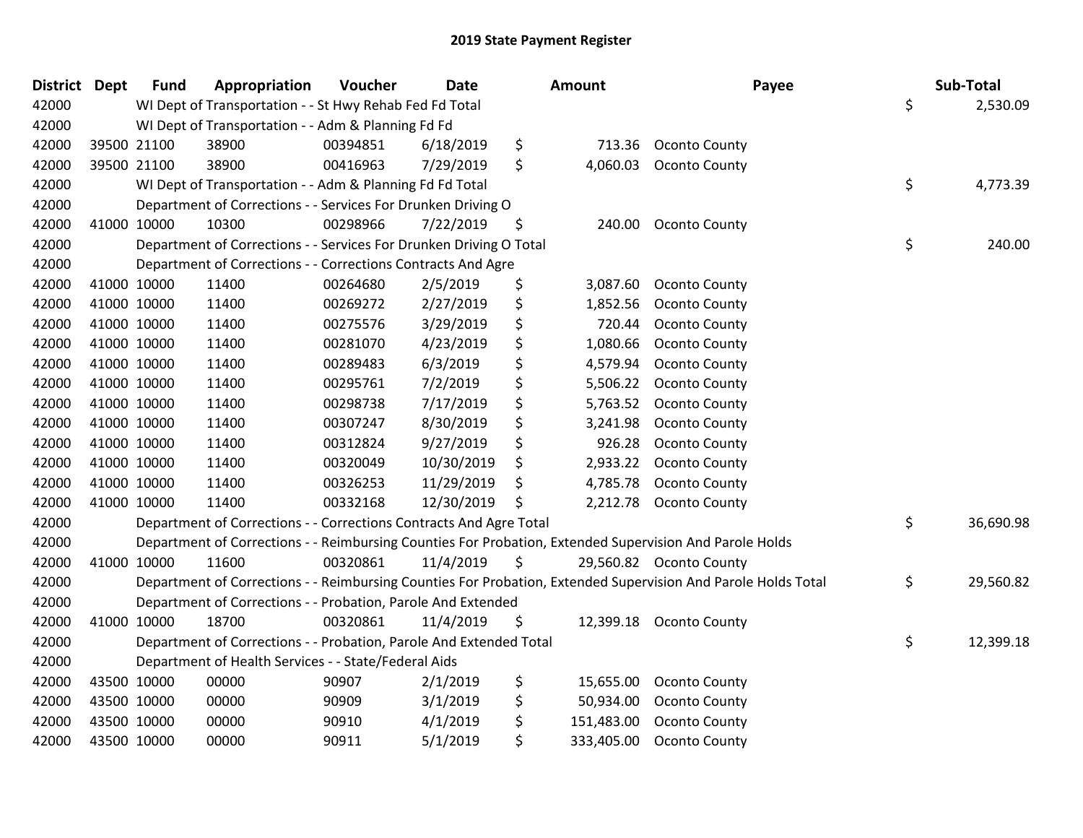| District Dept |             | <b>Fund</b> | Appropriation                                                      | Voucher  | <b>Date</b> | Amount           | Payee                                                                                                         | Sub-Total       |
|---------------|-------------|-------------|--------------------------------------------------------------------|----------|-------------|------------------|---------------------------------------------------------------------------------------------------------------|-----------------|
| 42000         |             |             | WI Dept of Transportation - - St Hwy Rehab Fed Fd Total            |          |             |                  |                                                                                                               | \$<br>2,530.09  |
| 42000         |             |             | WI Dept of Transportation - - Adm & Planning Fd Fd                 |          |             |                  |                                                                                                               |                 |
| 42000         |             | 39500 21100 | 38900                                                              | 00394851 | 6/18/2019   | \$<br>713.36     | <b>Oconto County</b>                                                                                          |                 |
| 42000         |             | 39500 21100 | 38900                                                              | 00416963 | 7/29/2019   | \$<br>4,060.03   | <b>Oconto County</b>                                                                                          |                 |
| 42000         |             |             | WI Dept of Transportation - - Adm & Planning Fd Fd Total           |          |             |                  |                                                                                                               | \$<br>4,773.39  |
| 42000         |             |             | Department of Corrections - - Services For Drunken Driving O       |          |             |                  |                                                                                                               |                 |
| 42000         |             | 41000 10000 | 10300                                                              | 00298966 | 7/22/2019   | \$<br>240.00     | <b>Oconto County</b>                                                                                          |                 |
| 42000         |             |             | Department of Corrections - - Services For Drunken Driving O Total |          |             |                  |                                                                                                               | \$<br>240.00    |
| 42000         |             |             | Department of Corrections - - Corrections Contracts And Agre       |          |             |                  |                                                                                                               |                 |
| 42000         |             | 41000 10000 | 11400                                                              | 00264680 | 2/5/2019    | \$<br>3,087.60   | <b>Oconto County</b>                                                                                          |                 |
| 42000         |             | 41000 10000 | 11400                                                              | 00269272 | 2/27/2019   | \$<br>1,852.56   | Oconto County                                                                                                 |                 |
| 42000         |             | 41000 10000 | 11400                                                              | 00275576 | 3/29/2019   | \$<br>720.44     | Oconto County                                                                                                 |                 |
| 42000         | 41000 10000 |             | 11400                                                              | 00281070 | 4/23/2019   | \$<br>1,080.66   | <b>Oconto County</b>                                                                                          |                 |
| 42000         |             | 41000 10000 | 11400                                                              | 00289483 | 6/3/2019    | \$<br>4,579.94   | Oconto County                                                                                                 |                 |
| 42000         |             | 41000 10000 | 11400                                                              | 00295761 | 7/2/2019    | \$<br>5,506.22   | <b>Oconto County</b>                                                                                          |                 |
| 42000         |             | 41000 10000 | 11400                                                              | 00298738 | 7/17/2019   | \$<br>5,763.52   | <b>Oconto County</b>                                                                                          |                 |
| 42000         |             | 41000 10000 | 11400                                                              | 00307247 | 8/30/2019   | \$<br>3,241.98   | <b>Oconto County</b>                                                                                          |                 |
| 42000         | 41000 10000 |             | 11400                                                              | 00312824 | 9/27/2019   | \$<br>926.28     | <b>Oconto County</b>                                                                                          |                 |
| 42000         |             | 41000 10000 | 11400                                                              | 00320049 | 10/30/2019  | \$<br>2,933.22   | <b>Oconto County</b>                                                                                          |                 |
| 42000         |             | 41000 10000 | 11400                                                              | 00326253 | 11/29/2019  | \$<br>4,785.78   | <b>Oconto County</b>                                                                                          |                 |
| 42000         |             | 41000 10000 | 11400                                                              | 00332168 | 12/30/2019  | \$<br>2,212.78   | <b>Oconto County</b>                                                                                          |                 |
| 42000         |             |             | Department of Corrections - - Corrections Contracts And Agre Total |          |             |                  |                                                                                                               | \$<br>36,690.98 |
| 42000         |             |             |                                                                    |          |             |                  | Department of Corrections - - Reimbursing Counties For Probation, Extended Supervision And Parole Holds       |                 |
| 42000         |             | 41000 10000 | 11600                                                              | 00320861 | 11/4/2019   | \$               | 29,560.82 Oconto County                                                                                       |                 |
| 42000         |             |             |                                                                    |          |             |                  | Department of Corrections - - Reimbursing Counties For Probation, Extended Supervision And Parole Holds Total | \$<br>29,560.82 |
| 42000         |             |             | Department of Corrections - - Probation, Parole And Extended       |          |             |                  |                                                                                                               |                 |
| 42000         |             | 41000 10000 | 18700                                                              | 00320861 | 11/4/2019   | \$<br>12,399.18  | <b>Oconto County</b>                                                                                          |                 |
| 42000         |             |             | Department of Corrections - - Probation, Parole And Extended Total |          |             |                  |                                                                                                               | \$<br>12,399.18 |
| 42000         |             |             | Department of Health Services - - State/Federal Aids               |          |             |                  |                                                                                                               |                 |
| 42000         |             | 43500 10000 | 00000                                                              | 90907    | 2/1/2019    | \$<br>15,655.00  | <b>Oconto County</b>                                                                                          |                 |
| 42000         |             | 43500 10000 | 00000                                                              | 90909    | 3/1/2019    | \$<br>50,934.00  | <b>Oconto County</b>                                                                                          |                 |
| 42000         |             | 43500 10000 | 00000                                                              | 90910    | 4/1/2019    | \$<br>151,483.00 | Oconto County                                                                                                 |                 |
| 42000         |             | 43500 10000 | 00000                                                              | 90911    | 5/1/2019    | \$<br>333,405.00 | Oconto County                                                                                                 |                 |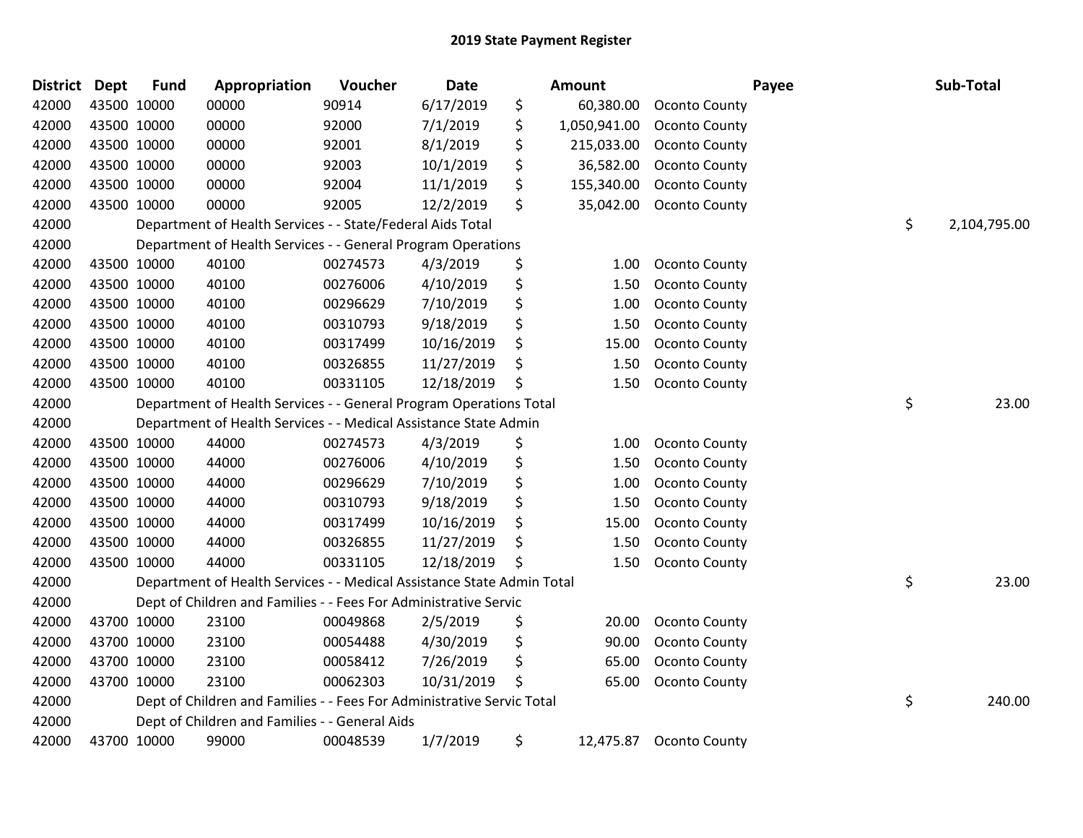| <b>District Dept</b> |             | <b>Fund</b> | Appropriation                                                          | Voucher  | Date       |    | Amount       |                      | Payee | Sub-Total    |
|----------------------|-------------|-------------|------------------------------------------------------------------------|----------|------------|----|--------------|----------------------|-------|--------------|
| 42000                |             | 43500 10000 | 00000                                                                  | 90914    | 6/17/2019  | \$ | 60,380.00    | <b>Oconto County</b> |       |              |
| 42000                | 43500 10000 |             | 00000                                                                  | 92000    | 7/1/2019   | \$ | 1,050,941.00 | <b>Oconto County</b> |       |              |
| 42000                | 43500 10000 |             | 00000                                                                  | 92001    | 8/1/2019   | \$ | 215,033.00   | <b>Oconto County</b> |       |              |
| 42000                |             | 43500 10000 | 00000                                                                  | 92003    | 10/1/2019  | \$ | 36,582.00    | Oconto County        |       |              |
| 42000                |             | 43500 10000 | 00000                                                                  | 92004    | 11/1/2019  | \$ | 155,340.00   | Oconto County        |       |              |
| 42000                |             | 43500 10000 | 00000                                                                  | 92005    | 12/2/2019  | \$ | 35,042.00    | <b>Oconto County</b> |       |              |
| 42000                |             |             | Department of Health Services - - State/Federal Aids Total             |          |            |    |              |                      | \$    | 2,104,795.00 |
| 42000                |             |             | Department of Health Services - - General Program Operations           |          |            |    |              |                      |       |              |
| 42000                |             | 43500 10000 | 40100                                                                  | 00274573 | 4/3/2019   | \$ | 1.00         | <b>Oconto County</b> |       |              |
| 42000                |             | 43500 10000 | 40100                                                                  | 00276006 | 4/10/2019  | \$ | 1.50         | <b>Oconto County</b> |       |              |
| 42000                |             | 43500 10000 | 40100                                                                  | 00296629 | 7/10/2019  | \$ | 1.00         | <b>Oconto County</b> |       |              |
| 42000                |             | 43500 10000 | 40100                                                                  | 00310793 | 9/18/2019  | \$ | 1.50         | <b>Oconto County</b> |       |              |
| 42000                |             | 43500 10000 | 40100                                                                  | 00317499 | 10/16/2019 | \$ | 15.00        | <b>Oconto County</b> |       |              |
| 42000                |             | 43500 10000 | 40100                                                                  | 00326855 | 11/27/2019 | \$ | 1.50         | <b>Oconto County</b> |       |              |
| 42000                |             | 43500 10000 | 40100                                                                  | 00331105 | 12/18/2019 | \$ | 1.50         | Oconto County        |       |              |
| 42000                |             |             | Department of Health Services - - General Program Operations Total     |          |            |    |              |                      | \$    | 23.00        |
| 42000                |             |             | Department of Health Services - - Medical Assistance State Admin       |          |            |    |              |                      |       |              |
| 42000                |             | 43500 10000 | 44000                                                                  | 00274573 | 4/3/2019   | \$ | 1.00         | Oconto County        |       |              |
| 42000                |             | 43500 10000 | 44000                                                                  | 00276006 | 4/10/2019  | \$ | 1.50         | <b>Oconto County</b> |       |              |
| 42000                |             | 43500 10000 | 44000                                                                  | 00296629 | 7/10/2019  | \$ | 1.00         | <b>Oconto County</b> |       |              |
| 42000                |             | 43500 10000 | 44000                                                                  | 00310793 | 9/18/2019  | \$ | 1.50         | <b>Oconto County</b> |       |              |
| 42000                | 43500 10000 |             | 44000                                                                  | 00317499 | 10/16/2019 | \$ | 15.00        | <b>Oconto County</b> |       |              |
| 42000                |             | 43500 10000 | 44000                                                                  | 00326855 | 11/27/2019 | \$ | 1.50         | <b>Oconto County</b> |       |              |
| 42000                |             | 43500 10000 | 44000                                                                  | 00331105 | 12/18/2019 | Ŝ  | 1.50         | <b>Oconto County</b> |       |              |
| 42000                |             |             | Department of Health Services - - Medical Assistance State Admin Total |          |            |    |              |                      | \$    | 23.00        |
| 42000                |             |             | Dept of Children and Families - - Fees For Administrative Servic       |          |            |    |              |                      |       |              |
| 42000                |             | 43700 10000 | 23100                                                                  | 00049868 | 2/5/2019   | \$ | 20.00        | <b>Oconto County</b> |       |              |
| 42000                |             | 43700 10000 | 23100                                                                  | 00054488 | 4/30/2019  | \$ | 90.00        | <b>Oconto County</b> |       |              |
| 42000                |             | 43700 10000 | 23100                                                                  | 00058412 | 7/26/2019  | \$ | 65.00        | <b>Oconto County</b> |       |              |
| 42000                |             | 43700 10000 | 23100                                                                  | 00062303 | 10/31/2019 | \$ | 65.00        | <b>Oconto County</b> |       |              |
| 42000                |             |             | Dept of Children and Families - - Fees For Administrative Servic Total |          |            |    |              |                      | \$    | 240.00       |
| 42000                |             |             | Dept of Children and Families - - General Aids                         |          |            |    |              |                      |       |              |
| 42000                |             | 43700 10000 | 99000                                                                  | 00048539 | 1/7/2019   | \$ | 12,475.87    | Oconto County        |       |              |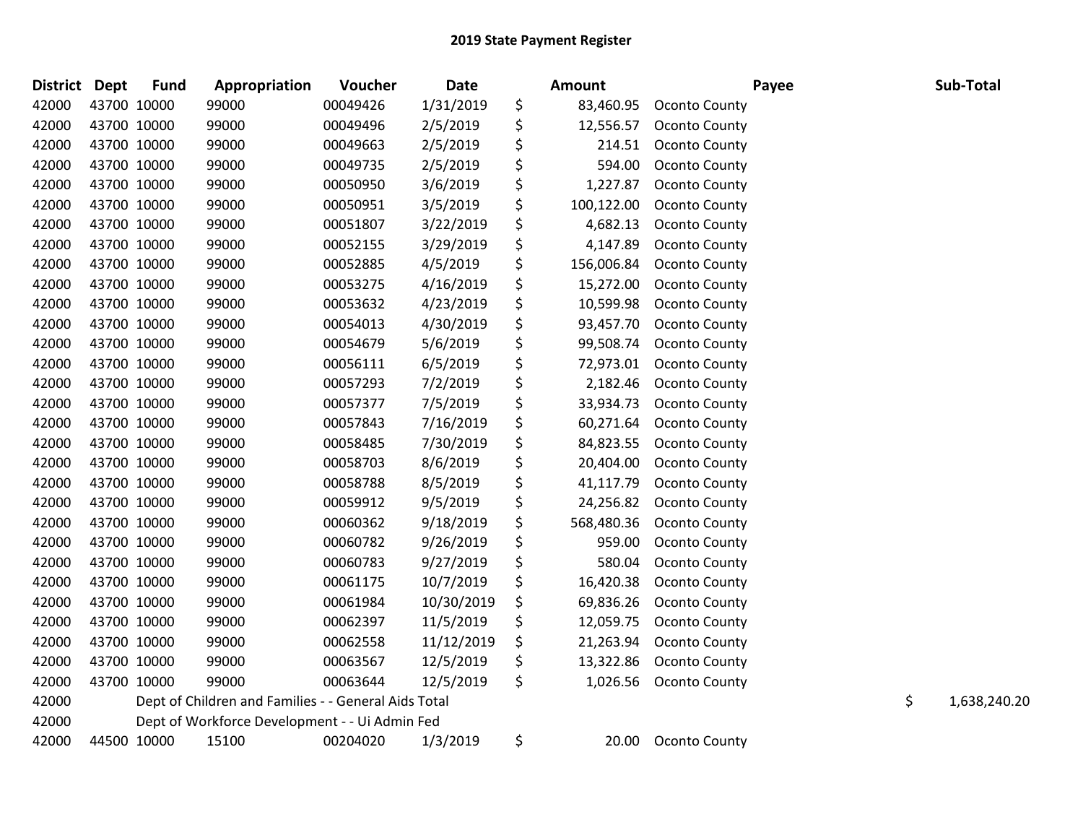| <b>District</b> | Dept | <b>Fund</b> | Appropriation                                        | <b>Voucher</b> | Date       | <b>Amount</b>    |                      | Payee | Sub-Total          |
|-----------------|------|-------------|------------------------------------------------------|----------------|------------|------------------|----------------------|-------|--------------------|
| 42000           |      | 43700 10000 | 99000                                                | 00049426       | 1/31/2019  | \$<br>83,460.95  | <b>Oconto County</b> |       |                    |
| 42000           |      | 43700 10000 | 99000                                                | 00049496       | 2/5/2019   | \$<br>12,556.57  | Oconto County        |       |                    |
| 42000           |      | 43700 10000 | 99000                                                | 00049663       | 2/5/2019   | \$<br>214.51     | <b>Oconto County</b> |       |                    |
| 42000           |      | 43700 10000 | 99000                                                | 00049735       | 2/5/2019   | \$<br>594.00     | Oconto County        |       |                    |
| 42000           |      | 43700 10000 | 99000                                                | 00050950       | 3/6/2019   | \$<br>1,227.87   | <b>Oconto County</b> |       |                    |
| 42000           |      | 43700 10000 | 99000                                                | 00050951       | 3/5/2019   | \$<br>100,122.00 | Oconto County        |       |                    |
| 42000           |      | 43700 10000 | 99000                                                | 00051807       | 3/22/2019  | \$<br>4,682.13   | Oconto County        |       |                    |
| 42000           |      | 43700 10000 | 99000                                                | 00052155       | 3/29/2019  | \$<br>4,147.89   | <b>Oconto County</b> |       |                    |
| 42000           |      | 43700 10000 | 99000                                                | 00052885       | 4/5/2019   | \$<br>156,006.84 | <b>Oconto County</b> |       |                    |
| 42000           |      | 43700 10000 | 99000                                                | 00053275       | 4/16/2019  | \$<br>15,272.00  | Oconto County        |       |                    |
| 42000           |      | 43700 10000 | 99000                                                | 00053632       | 4/23/2019  | \$<br>10,599.98  | Oconto County        |       |                    |
| 42000           |      | 43700 10000 | 99000                                                | 00054013       | 4/30/2019  | \$<br>93,457.70  | Oconto County        |       |                    |
| 42000           |      | 43700 10000 | 99000                                                | 00054679       | 5/6/2019   | \$<br>99,508.74  | <b>Oconto County</b> |       |                    |
| 42000           |      | 43700 10000 | 99000                                                | 00056111       | 6/5/2019   | \$<br>72,973.01  | <b>Oconto County</b> |       |                    |
| 42000           |      | 43700 10000 | 99000                                                | 00057293       | 7/2/2019   | \$<br>2,182.46   | <b>Oconto County</b> |       |                    |
| 42000           |      | 43700 10000 | 99000                                                | 00057377       | 7/5/2019   | \$<br>33,934.73  | <b>Oconto County</b> |       |                    |
| 42000           |      | 43700 10000 | 99000                                                | 00057843       | 7/16/2019  | \$<br>60,271.64  | Oconto County        |       |                    |
| 42000           |      | 43700 10000 | 99000                                                | 00058485       | 7/30/2019  | \$<br>84,823.55  | <b>Oconto County</b> |       |                    |
| 42000           |      | 43700 10000 | 99000                                                | 00058703       | 8/6/2019   | \$<br>20,404.00  | <b>Oconto County</b> |       |                    |
| 42000           |      | 43700 10000 | 99000                                                | 00058788       | 8/5/2019   | \$<br>41,117.79  | Oconto County        |       |                    |
| 42000           |      | 43700 10000 | 99000                                                | 00059912       | 9/5/2019   | \$<br>24,256.82  | <b>Oconto County</b> |       |                    |
| 42000           |      | 43700 10000 | 99000                                                | 00060362       | 9/18/2019  | \$<br>568,480.36 | <b>Oconto County</b> |       |                    |
| 42000           |      | 43700 10000 | 99000                                                | 00060782       | 9/26/2019  | \$<br>959.00     | <b>Oconto County</b> |       |                    |
| 42000           |      | 43700 10000 | 99000                                                | 00060783       | 9/27/2019  | \$<br>580.04     | <b>Oconto County</b> |       |                    |
| 42000           |      | 43700 10000 | 99000                                                | 00061175       | 10/7/2019  | \$<br>16,420.38  | Oconto County        |       |                    |
| 42000           |      | 43700 10000 | 99000                                                | 00061984       | 10/30/2019 | \$<br>69,836.26  | <b>Oconto County</b> |       |                    |
| 42000           |      | 43700 10000 | 99000                                                | 00062397       | 11/5/2019  | \$<br>12,059.75  | Oconto County        |       |                    |
| 42000           |      | 43700 10000 | 99000                                                | 00062558       | 11/12/2019 | \$<br>21,263.94  | <b>Oconto County</b> |       |                    |
| 42000           |      | 43700 10000 | 99000                                                | 00063567       | 12/5/2019  | \$<br>13,322.86  | Oconto County        |       |                    |
| 42000           |      | 43700 10000 | 99000                                                | 00063644       | 12/5/2019  | \$<br>1,026.56   | <b>Oconto County</b> |       |                    |
| 42000           |      |             | Dept of Children and Families - - General Aids Total |                |            |                  |                      |       | \$<br>1,638,240.20 |
| 42000           |      |             | Dept of Workforce Development - - Ui Admin Fed       |                |            |                  |                      |       |                    |
| 42000           |      | 44500 10000 | 15100                                                | 00204020       | 1/3/2019   | \$<br>20.00      | Oconto County        |       |                    |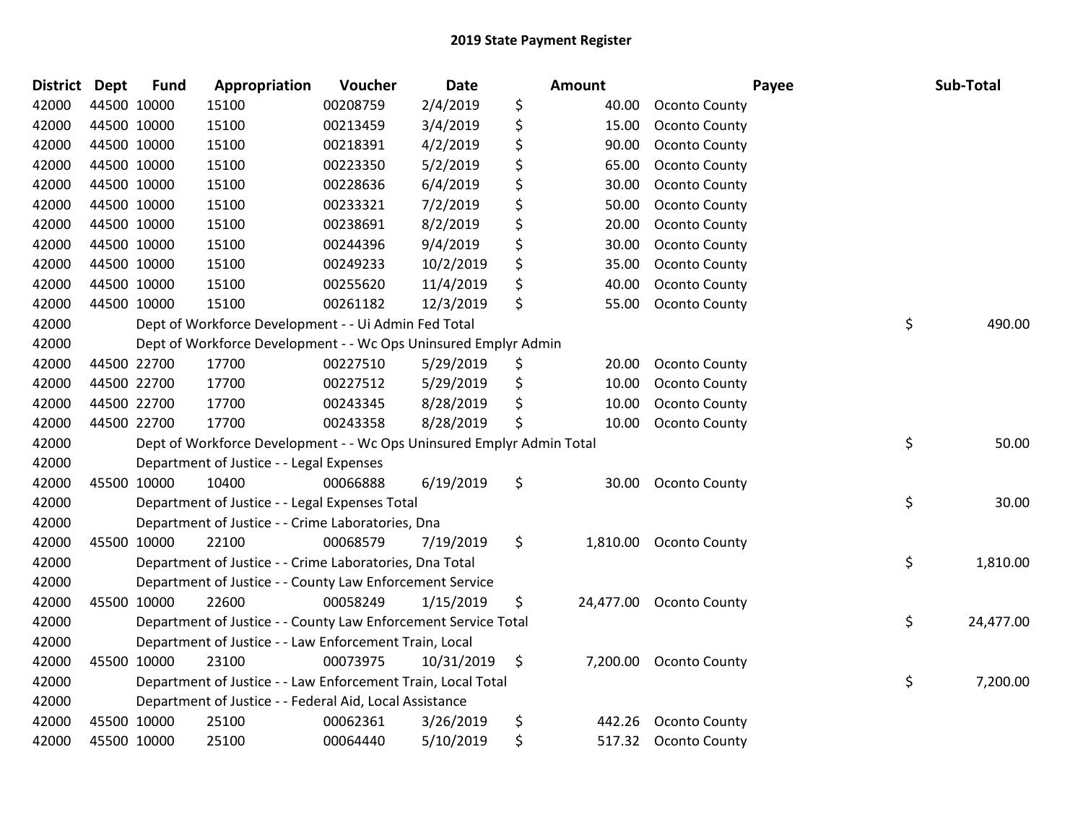| <b>District</b> | <b>Dept</b> | <b>Fund</b> | Appropriation                                                         | Voucher  | <b>Date</b> | Amount          | Payee                  | Sub-Total       |
|-----------------|-------------|-------------|-----------------------------------------------------------------------|----------|-------------|-----------------|------------------------|-----------------|
| 42000           |             | 44500 10000 | 15100                                                                 | 00208759 | 2/4/2019    | \$<br>40.00     | <b>Oconto County</b>   |                 |
| 42000           |             | 44500 10000 | 15100                                                                 | 00213459 | 3/4/2019    | \$<br>15.00     | <b>Oconto County</b>   |                 |
| 42000           | 44500 10000 |             | 15100                                                                 | 00218391 | 4/2/2019    | \$<br>90.00     | <b>Oconto County</b>   |                 |
| 42000           | 44500 10000 |             | 15100                                                                 | 00223350 | 5/2/2019    | \$<br>65.00     | <b>Oconto County</b>   |                 |
| 42000           |             | 44500 10000 | 15100                                                                 | 00228636 | 6/4/2019    | \$<br>30.00     | Oconto County          |                 |
| 42000           |             | 44500 10000 | 15100                                                                 | 00233321 | 7/2/2019    | \$<br>50.00     | <b>Oconto County</b>   |                 |
| 42000           |             | 44500 10000 | 15100                                                                 | 00238691 | 8/2/2019    | \$<br>20.00     | Oconto County          |                 |
| 42000           |             | 44500 10000 | 15100                                                                 | 00244396 | 9/4/2019    | \$<br>30.00     | <b>Oconto County</b>   |                 |
| 42000           |             | 44500 10000 | 15100                                                                 | 00249233 | 10/2/2019   | \$<br>35.00     | <b>Oconto County</b>   |                 |
| 42000           |             | 44500 10000 | 15100                                                                 | 00255620 | 11/4/2019   | \$<br>40.00     | Oconto County          |                 |
| 42000           |             | 44500 10000 | 15100                                                                 | 00261182 | 12/3/2019   | \$<br>55.00     | <b>Oconto County</b>   |                 |
| 42000           |             |             | Dept of Workforce Development - - Ui Admin Fed Total                  |          |             |                 |                        | \$<br>490.00    |
| 42000           |             |             | Dept of Workforce Development - - Wc Ops Uninsured Emplyr Admin       |          |             |                 |                        |                 |
| 42000           |             | 44500 22700 | 17700                                                                 | 00227510 | 5/29/2019   | \$<br>20.00     | <b>Oconto County</b>   |                 |
| 42000           |             | 44500 22700 | 17700                                                                 | 00227512 | 5/29/2019   | \$<br>10.00     | Oconto County          |                 |
| 42000           |             | 44500 22700 | 17700                                                                 | 00243345 | 8/28/2019   | \$<br>10.00     | Oconto County          |                 |
| 42000           |             | 44500 22700 | 17700                                                                 | 00243358 | 8/28/2019   | \$<br>10.00     | <b>Oconto County</b>   |                 |
| 42000           |             |             | Dept of Workforce Development - - Wc Ops Uninsured Emplyr Admin Total |          |             |                 |                        | \$<br>50.00     |
| 42000           |             |             | Department of Justice - - Legal Expenses                              |          |             |                 |                        |                 |
| 42000           |             | 45500 10000 | 10400                                                                 | 00066888 | 6/19/2019   | \$<br>30.00     | <b>Oconto County</b>   |                 |
| 42000           |             |             | Department of Justice - - Legal Expenses Total                        |          |             |                 |                        | \$<br>30.00     |
| 42000           |             |             | Department of Justice - - Crime Laboratories, Dna                     |          |             |                 |                        |                 |
| 42000           |             | 45500 10000 | 22100                                                                 | 00068579 | 7/19/2019   | \$<br>1,810.00  | <b>Oconto County</b>   |                 |
| 42000           |             |             | Department of Justice - - Crime Laboratories, Dna Total               |          |             |                 |                        | \$<br>1,810.00  |
| 42000           |             |             | Department of Justice - - County Law Enforcement Service              |          |             |                 |                        |                 |
| 42000           |             | 45500 10000 | 22600                                                                 | 00058249 | 1/15/2019   | \$<br>24,477.00 | <b>Oconto County</b>   |                 |
| 42000           |             |             | Department of Justice - - County Law Enforcement Service Total        |          |             |                 |                        | \$<br>24,477.00 |
| 42000           |             |             | Department of Justice - - Law Enforcement Train, Local                |          |             |                 |                        |                 |
| 42000           |             | 45500 10000 | 23100                                                                 | 00073975 | 10/31/2019  | \$              | 7,200.00 Oconto County |                 |
| 42000           |             |             | Department of Justice - - Law Enforcement Train, Local Total          |          |             |                 |                        | \$<br>7,200.00  |
| 42000           |             |             | Department of Justice - - Federal Aid, Local Assistance               |          |             |                 |                        |                 |
| 42000           |             | 45500 10000 | 25100                                                                 | 00062361 | 3/26/2019   | \$<br>442.26    | Oconto County          |                 |
| 42000           |             | 45500 10000 | 25100                                                                 | 00064440 | 5/10/2019   | \$              | 517.32 Oconto County   |                 |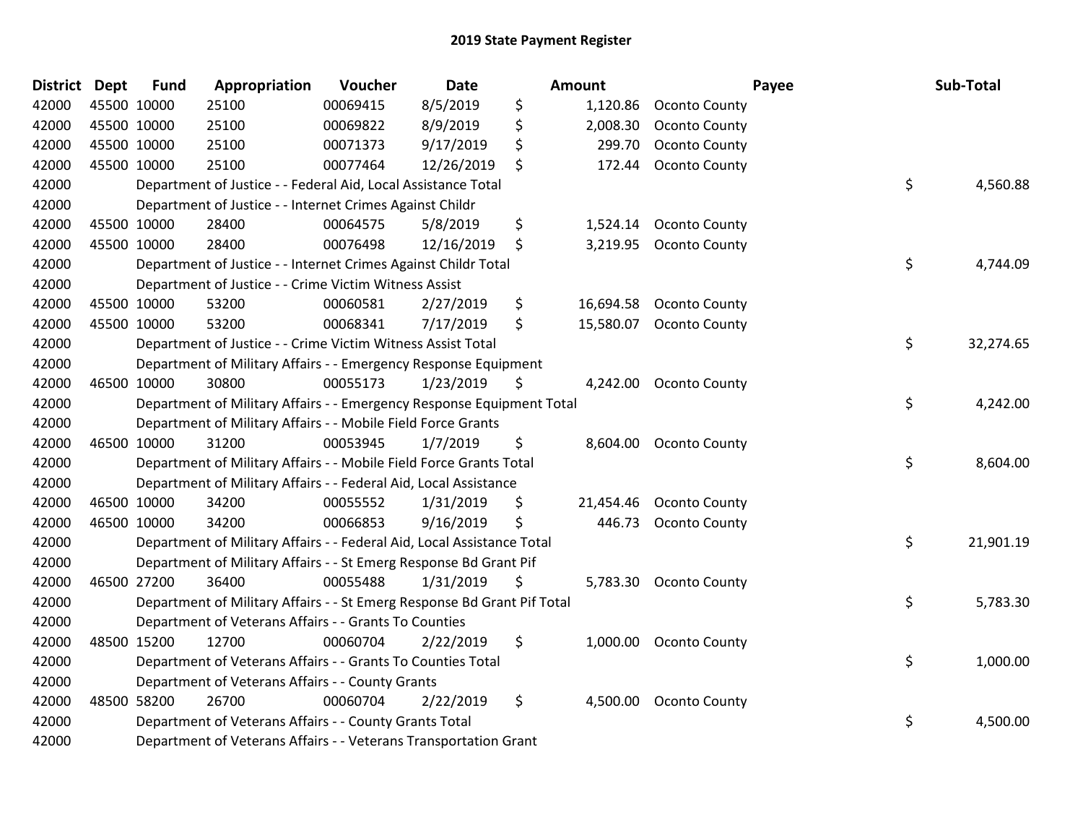| District Dept |             | <b>Fund</b> | Appropriation                                                           | Voucher  | <b>Date</b> | Amount          |                         | Payee | Sub-Total |
|---------------|-------------|-------------|-------------------------------------------------------------------------|----------|-------------|-----------------|-------------------------|-------|-----------|
| 42000         |             | 45500 10000 | 25100                                                                   | 00069415 | 8/5/2019    | \$<br>1,120.86  | Oconto County           |       |           |
| 42000         | 45500 10000 |             | 25100                                                                   | 00069822 | 8/9/2019    | \$<br>2,008.30  | Oconto County           |       |           |
| 42000         |             | 45500 10000 | 25100                                                                   | 00071373 | 9/17/2019   | \$<br>299.70    | <b>Oconto County</b>    |       |           |
| 42000         |             | 45500 10000 | 25100                                                                   | 00077464 | 12/26/2019  | \$<br>172.44    | <b>Oconto County</b>    |       |           |
| 42000         |             |             | Department of Justice - - Federal Aid, Local Assistance Total           |          |             |                 |                         | \$    | 4,560.88  |
| 42000         |             |             | Department of Justice - - Internet Crimes Against Childr                |          |             |                 |                         |       |           |
| 42000         |             | 45500 10000 | 28400                                                                   | 00064575 | 5/8/2019    | \$<br>1,524.14  | <b>Oconto County</b>    |       |           |
| 42000         |             | 45500 10000 | 28400                                                                   | 00076498 | 12/16/2019  | \$              | 3,219.95 Oconto County  |       |           |
| 42000         |             |             | Department of Justice - - Internet Crimes Against Childr Total          |          |             |                 |                         | \$    | 4,744.09  |
| 42000         |             |             | Department of Justice - - Crime Victim Witness Assist                   |          |             |                 |                         |       |           |
| 42000         |             | 45500 10000 | 53200                                                                   | 00060581 | 2/27/2019   | \$<br>16,694.58 | <b>Oconto County</b>    |       |           |
| 42000         |             | 45500 10000 | 53200                                                                   | 00068341 | 7/17/2019   | \$              | 15,580.07 Oconto County |       |           |
| 42000         |             |             | Department of Justice - - Crime Victim Witness Assist Total             |          |             |                 |                         | \$    | 32,274.65 |
| 42000         |             |             | Department of Military Affairs - - Emergency Response Equipment         |          |             |                 |                         |       |           |
| 42000         |             | 46500 10000 | 30800                                                                   | 00055173 | 1/23/2019   | \$<br>4,242.00  | <b>Oconto County</b>    |       |           |
| 42000         |             |             | Department of Military Affairs - - Emergency Response Equipment Total   |          |             |                 |                         | \$    | 4,242.00  |
| 42000         |             |             | Department of Military Affairs - - Mobile Field Force Grants            |          |             |                 |                         |       |           |
| 42000         |             | 46500 10000 | 31200                                                                   | 00053945 | 1/7/2019    | \$              | 8,604.00 Oconto County  |       |           |
| 42000         |             |             | Department of Military Affairs - - Mobile Field Force Grants Total      |          |             |                 |                         | \$    | 8,604.00  |
| 42000         |             |             | Department of Military Affairs - - Federal Aid, Local Assistance        |          |             |                 |                         |       |           |
| 42000         |             | 46500 10000 | 34200                                                                   | 00055552 | 1/31/2019   | \$<br>21,454.46 | <b>Oconto County</b>    |       |           |
| 42000         |             | 46500 10000 | 34200                                                                   | 00066853 | 9/16/2019   | \$<br>446.73    | <b>Oconto County</b>    |       |           |
| 42000         |             |             | Department of Military Affairs - - Federal Aid, Local Assistance Total  |          |             |                 |                         | \$    | 21,901.19 |
| 42000         |             |             | Department of Military Affairs - - St Emerg Response Bd Grant Pif       |          |             |                 |                         |       |           |
| 42000         |             | 46500 27200 | 36400                                                                   | 00055488 | 1/31/2019   | \$              | 5,783.30 Oconto County  |       |           |
| 42000         |             |             | Department of Military Affairs - - St Emerg Response Bd Grant Pif Total |          |             |                 |                         | \$    | 5,783.30  |
| 42000         |             |             | Department of Veterans Affairs - - Grants To Counties                   |          |             |                 |                         |       |           |
| 42000         |             | 48500 15200 | 12700                                                                   | 00060704 | 2/22/2019   | \$              | 1,000.00 Oconto County  |       |           |
| 42000         |             |             | Department of Veterans Affairs - - Grants To Counties Total             |          |             |                 |                         | \$    | 1,000.00  |
| 42000         |             |             | Department of Veterans Affairs - - County Grants                        |          |             |                 |                         |       |           |
| 42000         |             | 48500 58200 | 26700                                                                   | 00060704 | 2/22/2019   | \$<br>4,500.00  | <b>Oconto County</b>    |       |           |
| 42000         |             |             | Department of Veterans Affairs - - County Grants Total                  |          |             |                 |                         | \$    | 4,500.00  |
| 42000         |             |             | Department of Veterans Affairs - - Veterans Transportation Grant        |          |             |                 |                         |       |           |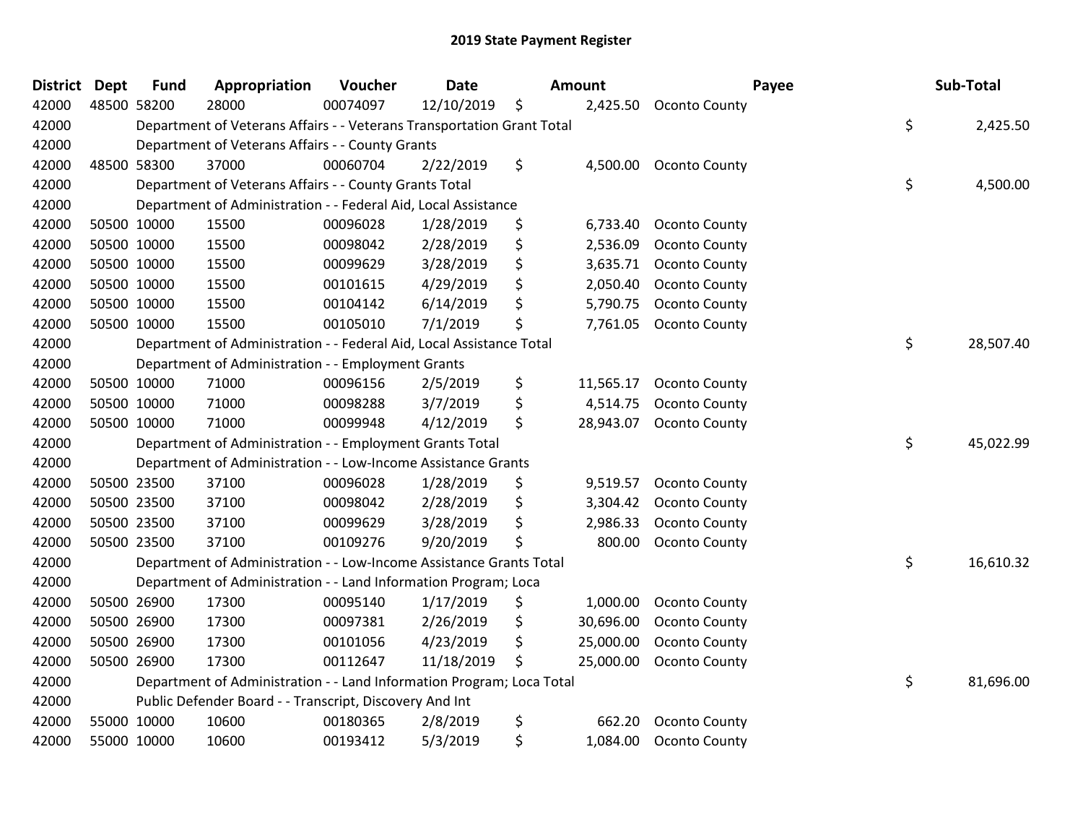| <b>District</b> | <b>Dept</b> | <b>Fund</b> | Appropriation                                                          | Voucher  | <b>Date</b> | Amount          | Payee                | Sub-Total       |
|-----------------|-------------|-------------|------------------------------------------------------------------------|----------|-------------|-----------------|----------------------|-----------------|
| 42000           |             | 48500 58200 | 28000                                                                  | 00074097 | 12/10/2019  | \$<br>2,425.50  | Oconto County        |                 |
| 42000           |             |             | Department of Veterans Affairs - - Veterans Transportation Grant Total |          |             |                 |                      | \$<br>2,425.50  |
| 42000           |             |             | Department of Veterans Affairs - - County Grants                       |          |             |                 |                      |                 |
| 42000           |             | 48500 58300 | 37000                                                                  | 00060704 | 2/22/2019   | \$<br>4,500.00  | Oconto County        |                 |
| 42000           |             |             | Department of Veterans Affairs - - County Grants Total                 |          |             |                 |                      | \$<br>4,500.00  |
| 42000           |             |             | Department of Administration - - Federal Aid, Local Assistance         |          |             |                 |                      |                 |
| 42000           |             | 50500 10000 | 15500                                                                  | 00096028 | 1/28/2019   | \$<br>6,733.40  | Oconto County        |                 |
| 42000           |             | 50500 10000 | 15500                                                                  | 00098042 | 2/28/2019   | \$<br>2,536.09  | <b>Oconto County</b> |                 |
| 42000           |             | 50500 10000 | 15500                                                                  | 00099629 | 3/28/2019   | \$<br>3,635.71  | <b>Oconto County</b> |                 |
| 42000           |             | 50500 10000 | 15500                                                                  | 00101615 | 4/29/2019   | \$<br>2,050.40  | Oconto County        |                 |
| 42000           |             | 50500 10000 | 15500                                                                  | 00104142 | 6/14/2019   | \$<br>5,790.75  | <b>Oconto County</b> |                 |
| 42000           |             | 50500 10000 | 15500                                                                  | 00105010 | 7/1/2019    | \$<br>7,761.05  | <b>Oconto County</b> |                 |
| 42000           |             |             | Department of Administration - - Federal Aid, Local Assistance Total   |          |             |                 |                      | \$<br>28,507.40 |
| 42000           |             |             | Department of Administration - - Employment Grants                     |          |             |                 |                      |                 |
| 42000           |             | 50500 10000 | 71000                                                                  | 00096156 | 2/5/2019    | \$<br>11,565.17 | <b>Oconto County</b> |                 |
| 42000           |             | 50500 10000 | 71000                                                                  | 00098288 | 3/7/2019    | \$<br>4,514.75  | <b>Oconto County</b> |                 |
| 42000           |             | 50500 10000 | 71000                                                                  | 00099948 | 4/12/2019   | \$<br>28,943.07 | <b>Oconto County</b> |                 |
| 42000           |             |             | Department of Administration - - Employment Grants Total               |          |             |                 |                      | \$<br>45,022.99 |
| 42000           |             |             | Department of Administration - - Low-Income Assistance Grants          |          |             |                 |                      |                 |
| 42000           |             | 50500 23500 | 37100                                                                  | 00096028 | 1/28/2019   | \$<br>9,519.57  | <b>Oconto County</b> |                 |
| 42000           |             | 50500 23500 | 37100                                                                  | 00098042 | 2/28/2019   | \$<br>3,304.42  | <b>Oconto County</b> |                 |
| 42000           |             | 50500 23500 | 37100                                                                  | 00099629 | 3/28/2019   | \$<br>2,986.33  | <b>Oconto County</b> |                 |
| 42000           |             | 50500 23500 | 37100                                                                  | 00109276 | 9/20/2019   | \$<br>800.00    | <b>Oconto County</b> |                 |
| 42000           |             |             | Department of Administration - - Low-Income Assistance Grants Total    |          |             |                 |                      | \$<br>16,610.32 |
| 42000           |             |             | Department of Administration - - Land Information Program; Loca        |          |             |                 |                      |                 |
| 42000           |             | 50500 26900 | 17300                                                                  | 00095140 | 1/17/2019   | \$<br>1,000.00  | <b>Oconto County</b> |                 |
| 42000           |             | 50500 26900 | 17300                                                                  | 00097381 | 2/26/2019   | \$<br>30,696.00 | <b>Oconto County</b> |                 |
| 42000           |             | 50500 26900 | 17300                                                                  | 00101056 | 4/23/2019   | \$<br>25,000.00 | <b>Oconto County</b> |                 |
| 42000           |             | 50500 26900 | 17300                                                                  | 00112647 | 11/18/2019  | \$<br>25,000.00 | Oconto County        |                 |
| 42000           |             |             | Department of Administration - - Land Information Program; Loca Total  |          |             |                 |                      | \$<br>81,696.00 |
| 42000           |             |             | Public Defender Board - - Transcript, Discovery And Int                |          |             |                 |                      |                 |
| 42000           |             | 55000 10000 | 10600                                                                  | 00180365 | 2/8/2019    | \$<br>662.20    | <b>Oconto County</b> |                 |
| 42000           |             | 55000 10000 | 10600                                                                  | 00193412 | 5/3/2019    | \$<br>1,084.00  | Oconto County        |                 |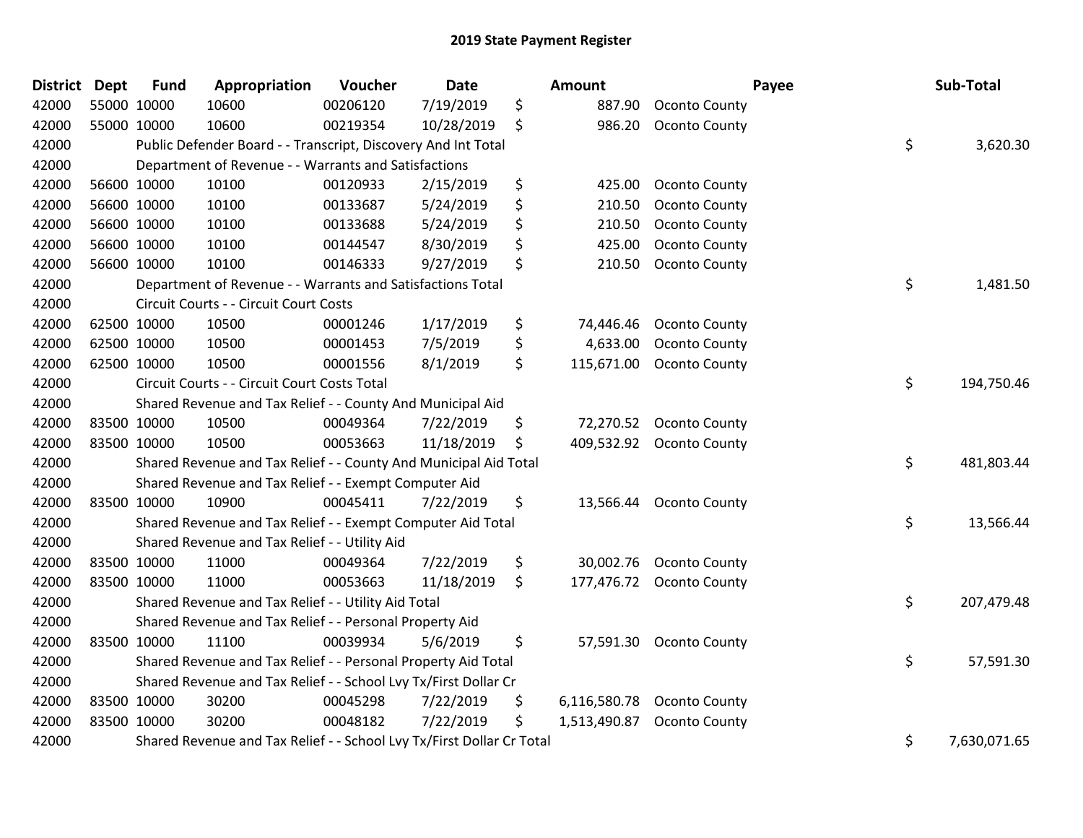| <b>District Dept</b> | <b>Fund</b> | Appropriation                                                         | Voucher  | <b>Date</b> | <b>Amount</b>      |                          | Payee | Sub-Total    |
|----------------------|-------------|-----------------------------------------------------------------------|----------|-------------|--------------------|--------------------------|-------|--------------|
| 42000                | 55000 10000 | 10600                                                                 | 00206120 | 7/19/2019   | \$<br>887.90       | <b>Oconto County</b>     |       |              |
| 42000                | 55000 10000 | 10600                                                                 | 00219354 | 10/28/2019  | \$<br>986.20       | <b>Oconto County</b>     |       |              |
| 42000                |             | Public Defender Board - - Transcript, Discovery And Int Total         |          |             |                    |                          | \$    | 3,620.30     |
| 42000                |             | Department of Revenue - - Warrants and Satisfactions                  |          |             |                    |                          |       |              |
| 42000                | 56600 10000 | 10100                                                                 | 00120933 | 2/15/2019   | \$<br>425.00       | <b>Oconto County</b>     |       |              |
| 42000                | 56600 10000 | 10100                                                                 | 00133687 | 5/24/2019   | \$<br>210.50       | <b>Oconto County</b>     |       |              |
| 42000                | 56600 10000 | 10100                                                                 | 00133688 | 5/24/2019   | \$<br>210.50       | <b>Oconto County</b>     |       |              |
| 42000                | 56600 10000 | 10100                                                                 | 00144547 | 8/30/2019   | \$<br>425.00       | <b>Oconto County</b>     |       |              |
| 42000                | 56600 10000 | 10100                                                                 | 00146333 | 9/27/2019   | \$<br>210.50       | <b>Oconto County</b>     |       |              |
| 42000                |             | Department of Revenue - - Warrants and Satisfactions Total            |          |             |                    |                          | \$    | 1,481.50     |
| 42000                |             | Circuit Courts - - Circuit Court Costs                                |          |             |                    |                          |       |              |
| 42000                | 62500 10000 | 10500                                                                 | 00001246 | 1/17/2019   | \$<br>74,446.46    | Oconto County            |       |              |
| 42000                | 62500 10000 | 10500                                                                 | 00001453 | 7/5/2019    | \$<br>4,633.00     | <b>Oconto County</b>     |       |              |
| 42000                | 62500 10000 | 10500                                                                 | 00001556 | 8/1/2019    | \$<br>115,671.00   | <b>Oconto County</b>     |       |              |
| 42000                |             | Circuit Courts - - Circuit Court Costs Total                          |          |             |                    |                          | \$    | 194,750.46   |
| 42000                |             | Shared Revenue and Tax Relief - - County And Municipal Aid            |          |             |                    |                          |       |              |
| 42000                | 83500 10000 | 10500                                                                 | 00049364 | 7/22/2019   | \$<br>72,270.52    | Oconto County            |       |              |
| 42000                | 83500 10000 | 10500                                                                 | 00053663 | 11/18/2019  | \$                 | 409,532.92 Oconto County |       |              |
| 42000                |             | Shared Revenue and Tax Relief - - County And Municipal Aid Total      |          |             |                    |                          | \$    | 481,803.44   |
| 42000                |             | Shared Revenue and Tax Relief - - Exempt Computer Aid                 |          |             |                    |                          |       |              |
| 42000                | 83500 10000 | 10900                                                                 | 00045411 | 7/22/2019   | \$                 | 13,566.44 Oconto County  |       |              |
| 42000                |             | Shared Revenue and Tax Relief - - Exempt Computer Aid Total           |          |             |                    |                          | \$    | 13,566.44    |
| 42000                |             | Shared Revenue and Tax Relief - - Utility Aid                         |          |             |                    |                          |       |              |
| 42000                | 83500 10000 | 11000                                                                 | 00049364 | 7/22/2019   | \$<br>30,002.76    | <b>Oconto County</b>     |       |              |
| 42000                | 83500 10000 | 11000                                                                 | 00053663 | 11/18/2019  | \$                 | 177,476.72 Oconto County |       |              |
| 42000                |             | Shared Revenue and Tax Relief - - Utility Aid Total                   |          |             |                    |                          | \$    | 207,479.48   |
| 42000                |             | Shared Revenue and Tax Relief - - Personal Property Aid               |          |             |                    |                          |       |              |
| 42000                | 83500 10000 | 11100                                                                 | 00039934 | 5/6/2019    | \$                 | 57,591.30 Oconto County  |       |              |
| 42000                |             | Shared Revenue and Tax Relief - - Personal Property Aid Total         |          |             |                    |                          | \$    | 57,591.30    |
| 42000                |             | Shared Revenue and Tax Relief - - School Lvy Tx/First Dollar Cr       |          |             |                    |                          |       |              |
| 42000                | 83500 10000 | 30200                                                                 | 00045298 | 7/22/2019   | \$<br>6,116,580.78 | Oconto County            |       |              |
| 42000                | 83500 10000 | 30200                                                                 | 00048182 | 7/22/2019   | \$<br>1,513,490.87 | <b>Oconto County</b>     |       |              |
| 42000                |             | Shared Revenue and Tax Relief - - School Lvy Tx/First Dollar Cr Total |          |             |                    |                          | \$    | 7,630,071.65 |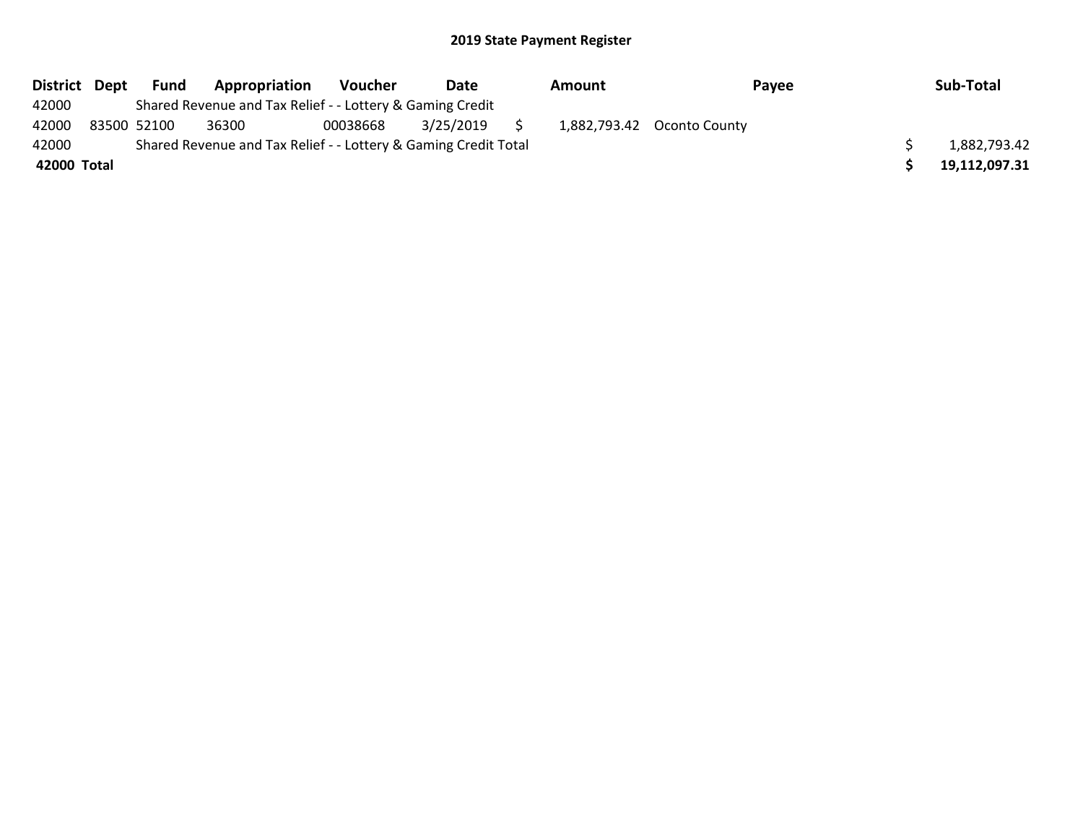| District Dept | Fund        | Appropriation                                                   | Voucher  | Date      | Amount |                            | Payee | Sub-Total     |
|---------------|-------------|-----------------------------------------------------------------|----------|-----------|--------|----------------------------|-------|---------------|
| 42000         |             | Shared Revenue and Tax Relief - - Lottery & Gaming Credit       |          |           |        |                            |       |               |
| 42000         | 83500 52100 | 36300                                                           | 00038668 | 3/25/2019 |        | 1,882,793.42 Oconto County |       |               |
| 42000         |             | Shared Revenue and Tax Relief - - Lottery & Gaming Credit Total |          |           |        |                            |       | 1,882,793.42  |
| 42000 Total   |             |                                                                 |          |           |        |                            |       | 19,112,097.31 |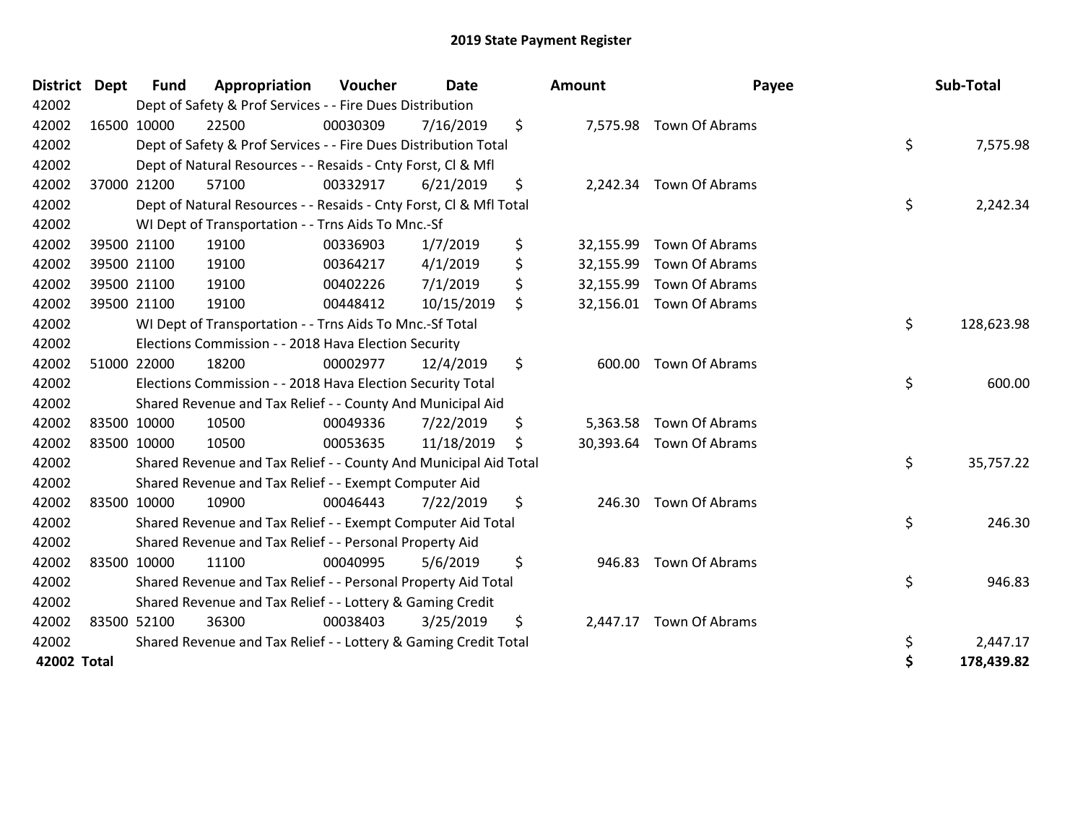| <b>District</b> | <b>Dept</b> | <b>Fund</b> | Appropriation                                                      | Voucher  | <b>Date</b> |     | <b>Amount</b> | Payee                    | Sub-Total        |
|-----------------|-------------|-------------|--------------------------------------------------------------------|----------|-------------|-----|---------------|--------------------------|------------------|
| 42002           |             |             | Dept of Safety & Prof Services - - Fire Dues Distribution          |          |             |     |               |                          |                  |
| 42002           |             | 16500 10000 | 22500                                                              | 00030309 | 7/16/2019   | \$  |               | 7,575.98 Town Of Abrams  |                  |
| 42002           |             |             | Dept of Safety & Prof Services - - Fire Dues Distribution Total    |          |             |     |               |                          | \$<br>7,575.98   |
| 42002           |             |             | Dept of Natural Resources - - Resaids - Cnty Forst, Cl & Mfl       |          |             |     |               |                          |                  |
| 42002           |             | 37000 21200 | 57100                                                              | 00332917 | 6/21/2019   | \$  |               | 2,242.34 Town Of Abrams  |                  |
| 42002           |             |             | Dept of Natural Resources - - Resaids - Cnty Forst, CI & Mfl Total |          |             |     |               |                          | \$<br>2,242.34   |
| 42002           |             |             | WI Dept of Transportation - - Trns Aids To Mnc.-Sf                 |          |             |     |               |                          |                  |
| 42002           |             | 39500 21100 | 19100                                                              | 00336903 | 1/7/2019    | \$  | 32,155.99     | Town Of Abrams           |                  |
| 42002           |             | 39500 21100 | 19100                                                              | 00364217 | 4/1/2019    | \$  | 32,155.99     | Town Of Abrams           |                  |
| 42002           |             | 39500 21100 | 19100                                                              | 00402226 | 7/1/2019    | \$  | 32,155.99     | Town Of Abrams           |                  |
| 42002           |             | 39500 21100 | 19100                                                              | 00448412 | 10/15/2019  | \$  |               | 32,156.01 Town Of Abrams |                  |
| 42002           |             |             | WI Dept of Transportation - - Trns Aids To Mnc.-Sf Total           |          |             |     |               |                          | \$<br>128,623.98 |
| 42002           |             |             | Elections Commission - - 2018 Hava Election Security               |          |             |     |               |                          |                  |
| 42002           |             | 51000 22000 | 18200                                                              | 00002977 | 12/4/2019   | \$  |               | 600.00 Town Of Abrams    |                  |
| 42002           |             |             | Elections Commission - - 2018 Hava Election Security Total         |          |             |     |               |                          | \$<br>600.00     |
| 42002           |             |             | Shared Revenue and Tax Relief - - County And Municipal Aid         |          |             |     |               |                          |                  |
| 42002           |             | 83500 10000 | 10500                                                              | 00049336 | 7/22/2019   | \$  | 5,363.58      | Town Of Abrams           |                  |
| 42002           |             | 83500 10000 | 10500                                                              | 00053635 | 11/18/2019  | \$. |               | 30,393.64 Town Of Abrams |                  |
| 42002           |             |             | Shared Revenue and Tax Relief - - County And Municipal Aid Total   |          |             |     |               |                          | \$<br>35,757.22  |
| 42002           |             |             | Shared Revenue and Tax Relief - - Exempt Computer Aid              |          |             |     |               |                          |                  |
| 42002           |             | 83500 10000 | 10900                                                              | 00046443 | 7/22/2019   | \$  |               | 246.30 Town Of Abrams    |                  |
| 42002           |             |             | Shared Revenue and Tax Relief - - Exempt Computer Aid Total        |          |             |     |               |                          | \$<br>246.30     |
| 42002           |             |             | Shared Revenue and Tax Relief - - Personal Property Aid            |          |             |     |               |                          |                  |
| 42002           |             | 83500 10000 | 11100                                                              | 00040995 | 5/6/2019    | \$  | 946.83        | Town Of Abrams           |                  |
| 42002           |             |             | Shared Revenue and Tax Relief - - Personal Property Aid Total      |          |             |     |               |                          | \$<br>946.83     |
| 42002           |             |             | Shared Revenue and Tax Relief - - Lottery & Gaming Credit          |          |             |     |               |                          |                  |
| 42002           |             | 83500 52100 | 36300                                                              | 00038403 | 3/25/2019   | \$  | 2,447.17      | Town Of Abrams           |                  |
| 42002           |             |             | Shared Revenue and Tax Relief - - Lottery & Gaming Credit Total    |          |             |     |               |                          | \$<br>2,447.17   |
| 42002 Total     |             |             |                                                                    |          |             |     |               |                          | \$<br>178,439.82 |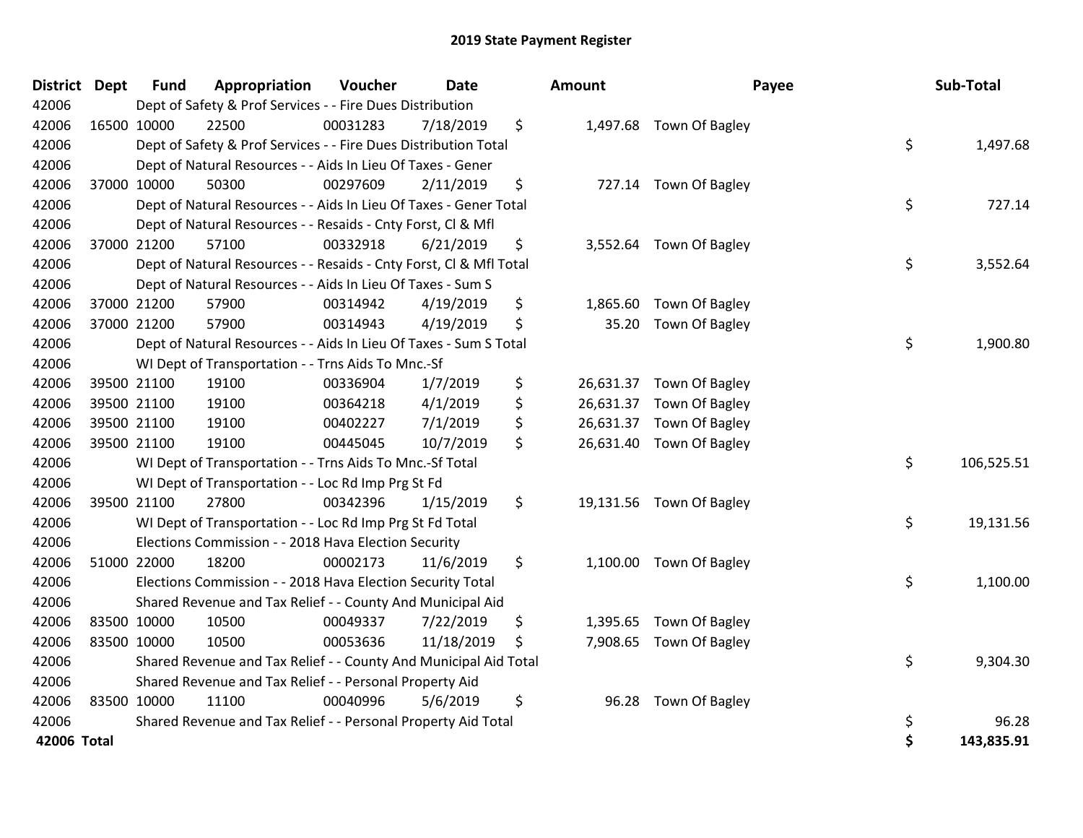| <b>District</b> | <b>Dept</b> | <b>Fund</b> | Appropriation                                                      | Voucher  | Date       | <b>Amount</b>   | Payee                    | Sub-Total        |
|-----------------|-------------|-------------|--------------------------------------------------------------------|----------|------------|-----------------|--------------------------|------------------|
| 42006           |             |             | Dept of Safety & Prof Services - - Fire Dues Distribution          |          |            |                 |                          |                  |
| 42006           |             | 16500 10000 | 22500                                                              | 00031283 | 7/18/2019  | \$              | 1,497.68 Town Of Bagley  |                  |
| 42006           |             |             | Dept of Safety & Prof Services - - Fire Dues Distribution Total    |          |            |                 |                          | \$<br>1,497.68   |
| 42006           |             |             | Dept of Natural Resources - - Aids In Lieu Of Taxes - Gener        |          |            |                 |                          |                  |
| 42006           |             | 37000 10000 | 50300                                                              | 00297609 | 2/11/2019  | \$              | 727.14 Town Of Bagley    |                  |
| 42006           |             |             | Dept of Natural Resources - - Aids In Lieu Of Taxes - Gener Total  |          |            |                 |                          | \$<br>727.14     |
| 42006           |             |             | Dept of Natural Resources - - Resaids - Cnty Forst, Cl & Mfl       |          |            |                 |                          |                  |
| 42006           |             | 37000 21200 | 57100                                                              | 00332918 | 6/21/2019  | \$              | 3,552.64 Town Of Bagley  |                  |
| 42006           |             |             | Dept of Natural Resources - - Resaids - Cnty Forst, Cl & Mfl Total |          |            |                 |                          | \$<br>3,552.64   |
| 42006           |             |             | Dept of Natural Resources - - Aids In Lieu Of Taxes - Sum S        |          |            |                 |                          |                  |
| 42006           |             | 37000 21200 | 57900                                                              | 00314942 | 4/19/2019  | \$<br>1,865.60  | Town Of Bagley           |                  |
| 42006           |             | 37000 21200 | 57900                                                              | 00314943 | 4/19/2019  | \$<br>35.20     | Town Of Bagley           |                  |
| 42006           |             |             | Dept of Natural Resources - - Aids In Lieu Of Taxes - Sum S Total  |          |            |                 |                          | \$<br>1,900.80   |
| 42006           |             |             | WI Dept of Transportation - - Trns Aids To Mnc.-Sf                 |          |            |                 |                          |                  |
| 42006           |             | 39500 21100 | 19100                                                              | 00336904 | 1/7/2019   | \$              | 26,631.37 Town Of Bagley |                  |
| 42006           |             | 39500 21100 | 19100                                                              | 00364218 | 4/1/2019   | \$<br>26,631.37 | Town Of Bagley           |                  |
| 42006           |             | 39500 21100 | 19100                                                              | 00402227 | 7/1/2019   | \$              | 26,631.37 Town Of Bagley |                  |
| 42006           |             | 39500 21100 | 19100                                                              | 00445045 | 10/7/2019  | \$              | 26,631.40 Town Of Bagley |                  |
| 42006           |             |             | WI Dept of Transportation - - Trns Aids To Mnc.-Sf Total           |          |            |                 |                          | \$<br>106,525.51 |
| 42006           |             |             | WI Dept of Transportation - - Loc Rd Imp Prg St Fd                 |          |            |                 |                          |                  |
| 42006           |             | 39500 21100 | 27800                                                              | 00342396 | 1/15/2019  | \$              | 19,131.56 Town Of Bagley |                  |
| 42006           |             |             | WI Dept of Transportation - - Loc Rd Imp Prg St Fd Total           |          |            |                 |                          | \$<br>19,131.56  |
| 42006           |             |             | Elections Commission - - 2018 Hava Election Security               |          |            |                 |                          |                  |
| 42006           |             | 51000 22000 | 18200                                                              | 00002173 | 11/6/2019  | \$<br>1,100.00  | Town Of Bagley           |                  |
| 42006           |             |             | Elections Commission - - 2018 Hava Election Security Total         |          |            |                 |                          | \$<br>1,100.00   |
| 42006           |             |             | Shared Revenue and Tax Relief - - County And Municipal Aid         |          |            |                 |                          |                  |
| 42006           |             | 83500 10000 | 10500                                                              | 00049337 | 7/22/2019  | \$              | 1,395.65 Town Of Bagley  |                  |
| 42006           |             | 83500 10000 | 10500                                                              | 00053636 | 11/18/2019 | \$              | 7,908.65 Town Of Bagley  |                  |
| 42006           |             |             | Shared Revenue and Tax Relief - - County And Municipal Aid Total   |          |            |                 |                          | \$<br>9,304.30   |
| 42006           |             |             | Shared Revenue and Tax Relief - - Personal Property Aid            |          |            |                 |                          |                  |
| 42006           |             | 83500 10000 | 11100                                                              | 00040996 | 5/6/2019   | \$<br>96.28     | Town Of Bagley           |                  |
| 42006           |             |             | Shared Revenue and Tax Relief - - Personal Property Aid Total      |          |            |                 |                          | \$<br>96.28      |
| 42006 Total     |             |             |                                                                    |          |            |                 |                          | \$<br>143,835.91 |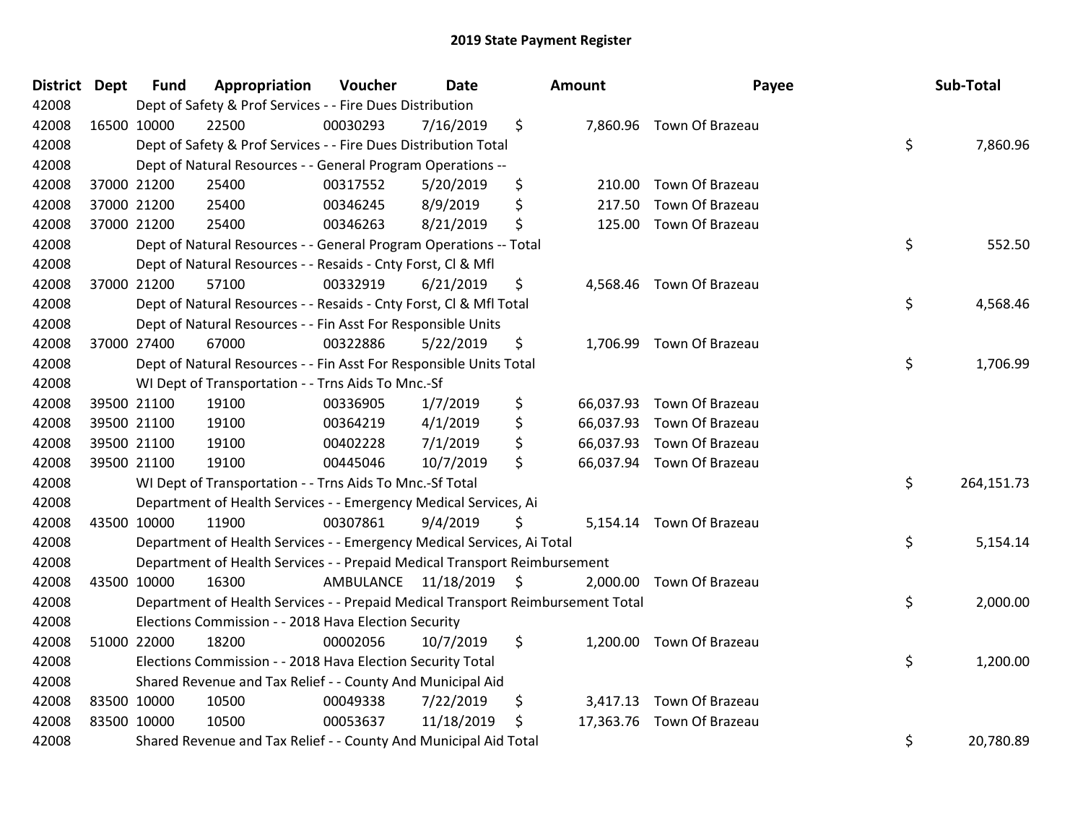| <b>District</b> | <b>Dept</b> | <b>Fund</b> | Appropriation                                                                   | Voucher                 | <b>Date</b> |    | <b>Amount</b> | Payee                     | Sub-Total        |
|-----------------|-------------|-------------|---------------------------------------------------------------------------------|-------------------------|-------------|----|---------------|---------------------------|------------------|
| 42008           |             |             | Dept of Safety & Prof Services - - Fire Dues Distribution                       |                         |             |    |               |                           |                  |
| 42008           |             | 16500 10000 | 22500                                                                           | 00030293                | 7/16/2019   | \$ |               | 7,860.96 Town Of Brazeau  |                  |
| 42008           |             |             | Dept of Safety & Prof Services - - Fire Dues Distribution Total                 |                         |             |    |               |                           | \$<br>7,860.96   |
| 42008           |             |             | Dept of Natural Resources - - General Program Operations --                     |                         |             |    |               |                           |                  |
| 42008           |             | 37000 21200 | 25400                                                                           | 00317552                | 5/20/2019   | \$ | 210.00        | Town Of Brazeau           |                  |
| 42008           |             | 37000 21200 | 25400                                                                           | 00346245                | 8/9/2019    | \$ | 217.50        | Town Of Brazeau           |                  |
| 42008           |             | 37000 21200 | 25400                                                                           | 00346263                | 8/21/2019   | \$ | 125.00        | Town Of Brazeau           |                  |
| 42008           |             |             | Dept of Natural Resources - - General Program Operations -- Total               |                         |             |    |               |                           | \$<br>552.50     |
| 42008           |             |             | Dept of Natural Resources - - Resaids - Cnty Forst, Cl & Mfl                    |                         |             |    |               |                           |                  |
| 42008           |             | 37000 21200 | 57100                                                                           | 00332919                | 6/21/2019   | \$ |               | 4,568.46 Town Of Brazeau  |                  |
| 42008           |             |             | Dept of Natural Resources - - Resaids - Cnty Forst, CI & Mfl Total              |                         |             |    |               |                           | \$<br>4,568.46   |
| 42008           |             |             | Dept of Natural Resources - - Fin Asst For Responsible Units                    |                         |             |    |               |                           |                  |
| 42008           |             | 37000 27400 | 67000                                                                           | 00322886                | 5/22/2019   | \$ |               | 1,706.99 Town Of Brazeau  |                  |
| 42008           |             |             | Dept of Natural Resources - - Fin Asst For Responsible Units Total              |                         |             |    |               |                           | \$<br>1,706.99   |
| 42008           |             |             | WI Dept of Transportation - - Trns Aids To Mnc.-Sf                              |                         |             |    |               |                           |                  |
| 42008           |             | 39500 21100 | 19100                                                                           | 00336905                | 1/7/2019    | \$ | 66,037.93     | Town Of Brazeau           |                  |
| 42008           |             | 39500 21100 | 19100                                                                           | 00364219                | 4/1/2019    | \$ | 66,037.93     | Town Of Brazeau           |                  |
| 42008           | 39500 21100 |             | 19100                                                                           | 00402228                | 7/1/2019    | \$ |               | 66,037.93 Town Of Brazeau |                  |
| 42008           | 39500 21100 |             | 19100                                                                           | 00445046                | 10/7/2019   | \$ |               | 66,037.94 Town Of Brazeau |                  |
| 42008           |             |             | WI Dept of Transportation - - Trns Aids To Mnc.-Sf Total                        |                         |             |    |               |                           | \$<br>264,151.73 |
| 42008           |             |             | Department of Health Services - - Emergency Medical Services, Ai                |                         |             |    |               |                           |                  |
| 42008           | 43500 10000 |             | 11900                                                                           | 00307861                | 9/4/2019    | Ş  |               | 5,154.14 Town Of Brazeau  |                  |
| 42008           |             |             | Department of Health Services - - Emergency Medical Services, Ai Total          |                         |             |    |               |                           | \$<br>5,154.14   |
| 42008           |             |             | Department of Health Services - - Prepaid Medical Transport Reimbursement       |                         |             |    |               |                           |                  |
| 42008           | 43500 10000 |             | 16300                                                                           | AMBULANCE 11/18/2019 \$ |             |    | 2,000.00      | Town Of Brazeau           |                  |
| 42008           |             |             | Department of Health Services - - Prepaid Medical Transport Reimbursement Total |                         |             |    |               |                           | \$<br>2,000.00   |
| 42008           |             |             | Elections Commission - - 2018 Hava Election Security                            |                         |             |    |               |                           |                  |
| 42008           |             | 51000 22000 | 18200                                                                           | 00002056                | 10/7/2019   | \$ |               | 1,200.00 Town Of Brazeau  |                  |
| 42008           |             |             | Elections Commission - - 2018 Hava Election Security Total                      |                         |             |    |               |                           | \$<br>1,200.00   |
| 42008           |             |             | Shared Revenue and Tax Relief - - County And Municipal Aid                      |                         |             |    |               |                           |                  |
| 42008           | 83500 10000 |             | 10500                                                                           | 00049338                | 7/22/2019   | \$ | 3,417.13      | Town Of Brazeau           |                  |
| 42008           | 83500 10000 |             | 10500                                                                           | 00053637                | 11/18/2019  | \$ |               | 17,363.76 Town Of Brazeau |                  |
| 42008           |             |             | Shared Revenue and Tax Relief - - County And Municipal Aid Total                |                         |             |    |               |                           | \$<br>20,780.89  |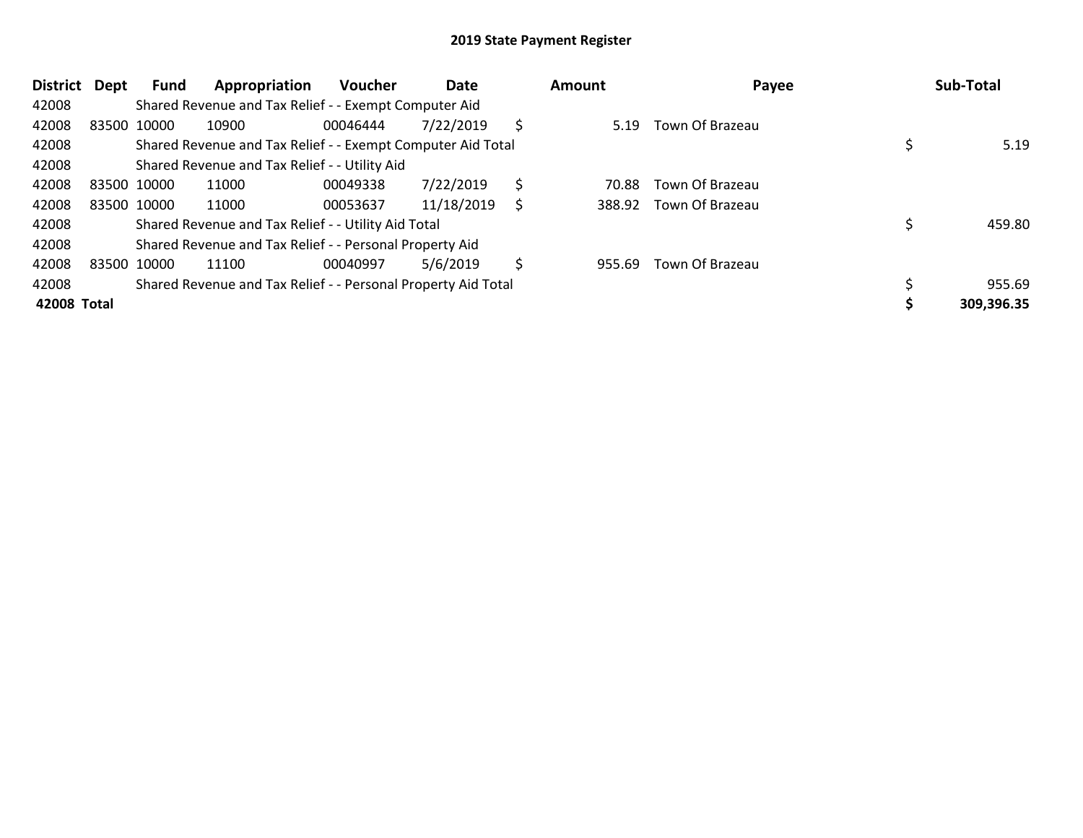| <b>District</b> | Dept | Fund        | Appropriation                                                 | <b>Voucher</b> | Date       |    | Amount | Payee                  | Sub-Total  |
|-----------------|------|-------------|---------------------------------------------------------------|----------------|------------|----|--------|------------------------|------------|
| 42008           |      |             | Shared Revenue and Tax Relief - - Exempt Computer Aid         |                |            |    |        |                        |            |
| 42008           |      | 83500 10000 | 10900                                                         | 00046444       | 7/22/2019  | Ŝ  | 5.19   | Town Of Brazeau        |            |
| 42008           |      |             | Shared Revenue and Tax Relief - - Exempt Computer Aid Total   |                |            |    |        |                        | 5.19       |
| 42008           |      |             | Shared Revenue and Tax Relief - - Utility Aid                 |                |            |    |        |                        |            |
| 42008           |      | 83500 10000 | 11000                                                         | 00049338       | 7/22/2019  | \$ | 70.88  | Town Of Brazeau        |            |
| 42008           |      | 83500 10000 | 11000                                                         | 00053637       | 11/18/2019 | S  | 388.92 | Town Of Brazeau        |            |
| 42008           |      |             | Shared Revenue and Tax Relief - - Utility Aid Total           |                |            |    |        |                        | 459.80     |
| 42008           |      |             | Shared Revenue and Tax Relief - - Personal Property Aid       |                |            |    |        |                        |            |
| 42008           |      | 83500 10000 | 11100                                                         | 00040997       | 5/6/2019   | S  | 955.69 | <b>Town Of Brazeau</b> |            |
| 42008           |      |             | Shared Revenue and Tax Relief - - Personal Property Aid Total |                |            |    |        |                        | 955.69     |
| 42008 Total     |      |             |                                                               |                |            |    |        |                        | 309,396.35 |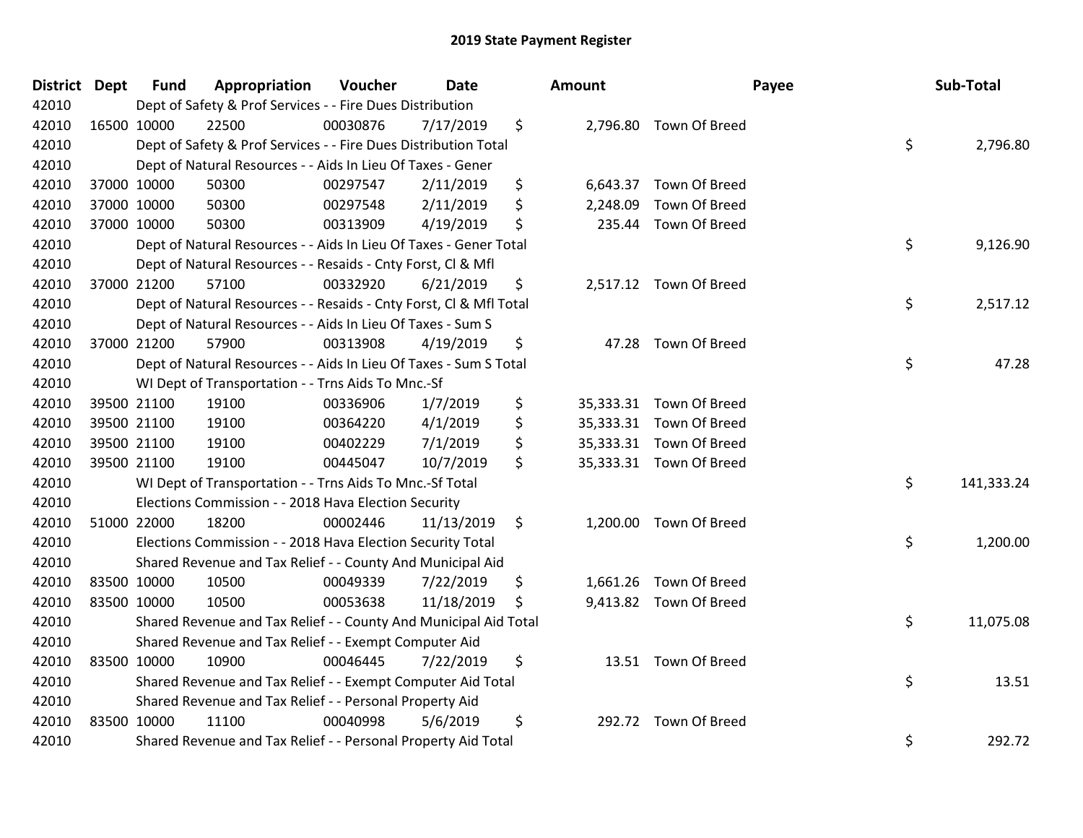| District Dept | <b>Fund</b> | Appropriation                                                      | Voucher  | <b>Date</b> | Amount         |                         | Payee | Sub-Total  |
|---------------|-------------|--------------------------------------------------------------------|----------|-------------|----------------|-------------------------|-------|------------|
| 42010         |             | Dept of Safety & Prof Services - - Fire Dues Distribution          |          |             |                |                         |       |            |
| 42010         | 16500 10000 | 22500                                                              | 00030876 | 7/17/2019   | \$             | 2,796.80 Town Of Breed  |       |            |
| 42010         |             | Dept of Safety & Prof Services - - Fire Dues Distribution Total    |          |             |                |                         | \$    | 2,796.80   |
| 42010         |             | Dept of Natural Resources - - Aids In Lieu Of Taxes - Gener        |          |             |                |                         |       |            |
| 42010         | 37000 10000 | 50300                                                              | 00297547 | 2/11/2019   | \$             | 6,643.37 Town Of Breed  |       |            |
| 42010         | 37000 10000 | 50300                                                              | 00297548 | 2/11/2019   | \$<br>2,248.09 | Town Of Breed           |       |            |
| 42010         | 37000 10000 | 50300                                                              | 00313909 | 4/19/2019   | \$             | 235.44 Town Of Breed    |       |            |
| 42010         |             | Dept of Natural Resources - - Aids In Lieu Of Taxes - Gener Total  |          |             |                |                         | \$    | 9,126.90   |
| 42010         |             | Dept of Natural Resources - - Resaids - Cnty Forst, Cl & Mfl       |          |             |                |                         |       |            |
| 42010         | 37000 21200 | 57100                                                              | 00332920 | 6/21/2019   | \$             | 2,517.12 Town Of Breed  |       |            |
| 42010         |             | Dept of Natural Resources - - Resaids - Cnty Forst, CI & Mfl Total |          |             |                |                         | \$    | 2,517.12   |
| 42010         |             | Dept of Natural Resources - - Aids In Lieu Of Taxes - Sum S        |          |             |                |                         |       |            |
| 42010         | 37000 21200 | 57900                                                              | 00313908 | 4/19/2019   | \$             | 47.28 Town Of Breed     |       |            |
| 42010         |             | Dept of Natural Resources - - Aids In Lieu Of Taxes - Sum S Total  |          |             |                |                         | \$    | 47.28      |
| 42010         |             | WI Dept of Transportation - - Trns Aids To Mnc.-Sf                 |          |             |                |                         |       |            |
| 42010         | 39500 21100 | 19100                                                              | 00336906 | 1/7/2019    | \$             | 35,333.31 Town Of Breed |       |            |
| 42010         | 39500 21100 | 19100                                                              | 00364220 | 4/1/2019    | \$             | 35,333.31 Town Of Breed |       |            |
| 42010         | 39500 21100 | 19100                                                              | 00402229 | 7/1/2019    | \$             | 35,333.31 Town Of Breed |       |            |
| 42010         | 39500 21100 | 19100                                                              | 00445047 | 10/7/2019   | \$             | 35,333.31 Town Of Breed |       |            |
| 42010         |             | WI Dept of Transportation - - Trns Aids To Mnc.-Sf Total           |          |             |                |                         | \$    | 141,333.24 |
| 42010         |             | Elections Commission - - 2018 Hava Election Security               |          |             |                |                         |       |            |
| 42010         | 51000 22000 | 18200                                                              | 00002446 | 11/13/2019  | \$             | 1,200.00 Town Of Breed  |       |            |
| 42010         |             | Elections Commission - - 2018 Hava Election Security Total         |          |             |                |                         | \$    | 1,200.00   |
| 42010         |             | Shared Revenue and Tax Relief - - County And Municipal Aid         |          |             |                |                         |       |            |
| 42010         | 83500 10000 | 10500                                                              | 00049339 | 7/22/2019   | \$             | 1,661.26 Town Of Breed  |       |            |
| 42010         | 83500 10000 | 10500                                                              | 00053638 | 11/18/2019  | \$             | 9,413.82 Town Of Breed  |       |            |
| 42010         |             | Shared Revenue and Tax Relief - - County And Municipal Aid Total   |          |             |                |                         | \$    | 11,075.08  |
| 42010         |             | Shared Revenue and Tax Relief - - Exempt Computer Aid              |          |             |                |                         |       |            |
| 42010         | 83500 10000 | 10900                                                              | 00046445 | 7/22/2019   | \$             | 13.51 Town Of Breed     |       |            |
| 42010         |             | Shared Revenue and Tax Relief - - Exempt Computer Aid Total        |          |             |                |                         | \$    | 13.51      |
| 42010         |             | Shared Revenue and Tax Relief - - Personal Property Aid            |          |             |                |                         |       |            |
| 42010         | 83500 10000 | 11100                                                              | 00040998 | 5/6/2019    | \$             | 292.72 Town Of Breed    |       |            |
| 42010         |             | Shared Revenue and Tax Relief - - Personal Property Aid Total      |          |             |                |                         | \$    | 292.72     |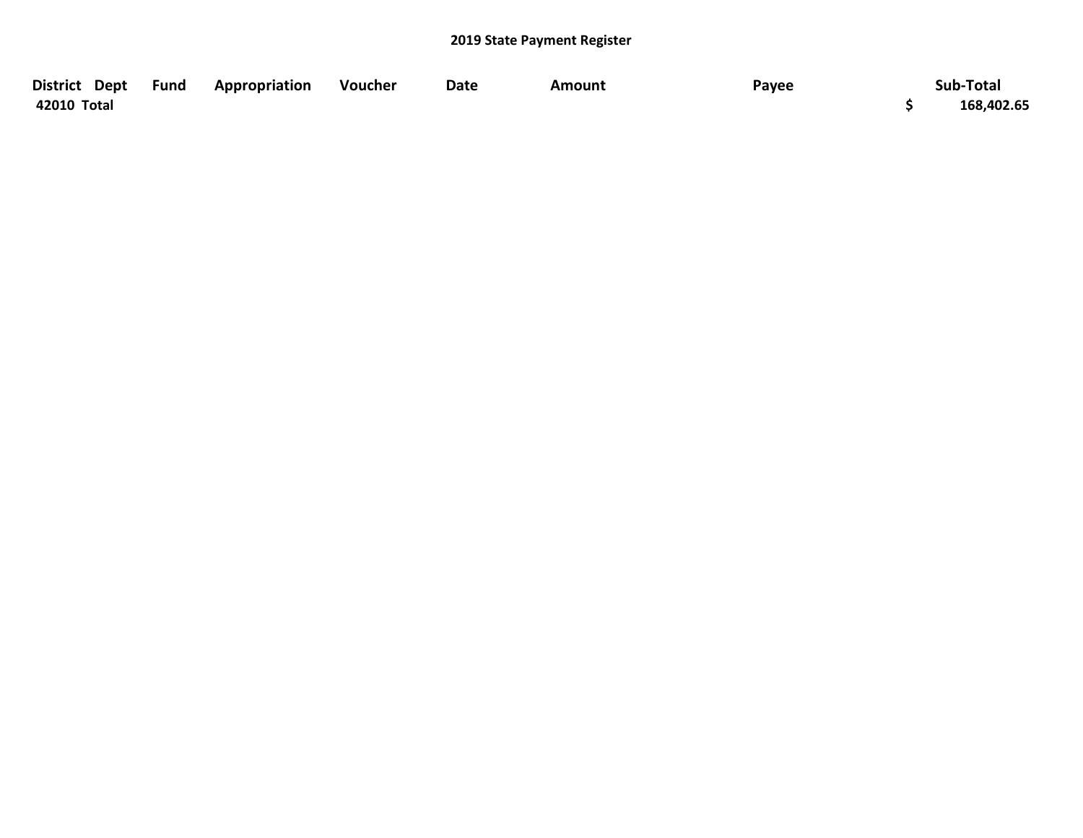| District Dept Fund | <b>Appropriation</b> | Voucher | <b>Date</b> | Amount | Payee | Sub-Total  |
|--------------------|----------------------|---------|-------------|--------|-------|------------|
| 42010 Total        |                      |         |             |        |       | 168,402.65 |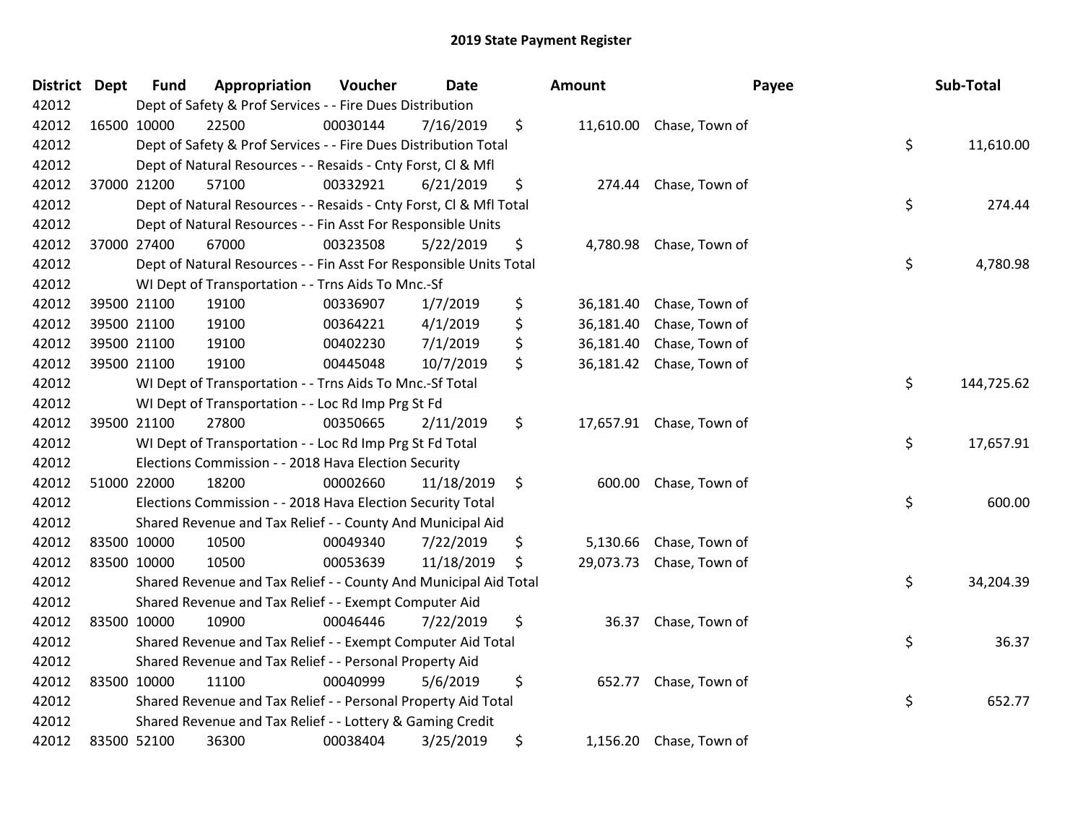| <b>District</b> | <b>Dept</b> | <b>Fund</b> | Appropriation                                                      | Voucher  | <b>Date</b> | Amount          | Payee                    | Sub-Total        |
|-----------------|-------------|-------------|--------------------------------------------------------------------|----------|-------------|-----------------|--------------------------|------------------|
| 42012           |             |             | Dept of Safety & Prof Services - - Fire Dues Distribution          |          |             |                 |                          |                  |
| 42012           |             | 16500 10000 | 22500                                                              | 00030144 | 7/16/2019   | \$              | 11,610.00 Chase, Town of |                  |
| 42012           |             |             | Dept of Safety & Prof Services - - Fire Dues Distribution Total    |          |             |                 |                          | \$<br>11,610.00  |
| 42012           |             |             | Dept of Natural Resources - - Resaids - Cnty Forst, Cl & Mfl       |          |             |                 |                          |                  |
| 42012           |             | 37000 21200 | 57100                                                              | 00332921 | 6/21/2019   | \$<br>274.44    | Chase, Town of           |                  |
| 42012           |             |             | Dept of Natural Resources - - Resaids - Cnty Forst, CI & Mfl Total |          |             |                 |                          | \$<br>274.44     |
| 42012           |             |             | Dept of Natural Resources - - Fin Asst For Responsible Units       |          |             |                 |                          |                  |
| 42012           |             | 37000 27400 | 67000                                                              | 00323508 | 5/22/2019   | \$<br>4,780.98  | Chase, Town of           |                  |
| 42012           |             |             | Dept of Natural Resources - - Fin Asst For Responsible Units Total |          |             |                 |                          | \$<br>4,780.98   |
| 42012           |             |             | WI Dept of Transportation - - Trns Aids To Mnc.-Sf                 |          |             |                 |                          |                  |
| 42012           |             | 39500 21100 | 19100                                                              | 00336907 | 1/7/2019    | \$<br>36,181.40 | Chase, Town of           |                  |
| 42012           |             | 39500 21100 | 19100                                                              | 00364221 | 4/1/2019    | \$<br>36,181.40 | Chase, Town of           |                  |
| 42012           |             | 39500 21100 | 19100                                                              | 00402230 | 7/1/2019    | \$<br>36,181.40 | Chase, Town of           |                  |
| 42012           |             | 39500 21100 | 19100                                                              | 00445048 | 10/7/2019   | \$<br>36,181.42 | Chase, Town of           |                  |
| 42012           |             |             | WI Dept of Transportation - - Trns Aids To Mnc.-Sf Total           |          |             |                 |                          | \$<br>144,725.62 |
| 42012           |             |             | WI Dept of Transportation - - Loc Rd Imp Prg St Fd                 |          |             |                 |                          |                  |
| 42012           |             | 39500 21100 | 27800                                                              | 00350665 | 2/11/2019   | \$              | 17,657.91 Chase, Town of |                  |
| 42012           |             |             | WI Dept of Transportation - - Loc Rd Imp Prg St Fd Total           |          |             |                 |                          | \$<br>17,657.91  |
| 42012           |             |             | Elections Commission - - 2018 Hava Election Security               |          |             |                 |                          |                  |
| 42012           |             | 51000 22000 | 18200                                                              | 00002660 | 11/18/2019  | \$<br>600.00    | Chase, Town of           |                  |
| 42012           |             |             | Elections Commission - - 2018 Hava Election Security Total         |          |             |                 |                          | \$<br>600.00     |
| 42012           |             |             | Shared Revenue and Tax Relief - - County And Municipal Aid         |          |             |                 |                          |                  |
| 42012           |             | 83500 10000 | 10500                                                              | 00049340 | 7/22/2019   | \$<br>5,130.66  | Chase, Town of           |                  |
| 42012           |             | 83500 10000 | 10500                                                              | 00053639 | 11/18/2019  | \$<br>29,073.73 | Chase, Town of           |                  |
| 42012           |             |             | Shared Revenue and Tax Relief - - County And Municipal Aid Total   |          |             |                 |                          | \$<br>34,204.39  |
| 42012           |             |             | Shared Revenue and Tax Relief - - Exempt Computer Aid              |          |             |                 |                          |                  |
| 42012           |             | 83500 10000 | 10900                                                              | 00046446 | 7/22/2019   | \$<br>36.37     | Chase, Town of           |                  |
| 42012           |             |             | Shared Revenue and Tax Relief - - Exempt Computer Aid Total        |          |             |                 |                          | \$<br>36.37      |
| 42012           |             |             | Shared Revenue and Tax Relief - - Personal Property Aid            |          |             |                 |                          |                  |
| 42012           |             | 83500 10000 | 11100                                                              | 00040999 | 5/6/2019    | \$<br>652.77    | Chase, Town of           |                  |
| 42012           |             |             | Shared Revenue and Tax Relief - - Personal Property Aid Total      |          |             |                 |                          | \$<br>652.77     |
| 42012           |             |             | Shared Revenue and Tax Relief - - Lottery & Gaming Credit          |          |             |                 |                          |                  |
| 42012           |             | 83500 52100 | 36300                                                              | 00038404 | 3/25/2019   | \$<br>1,156.20  | Chase, Town of           |                  |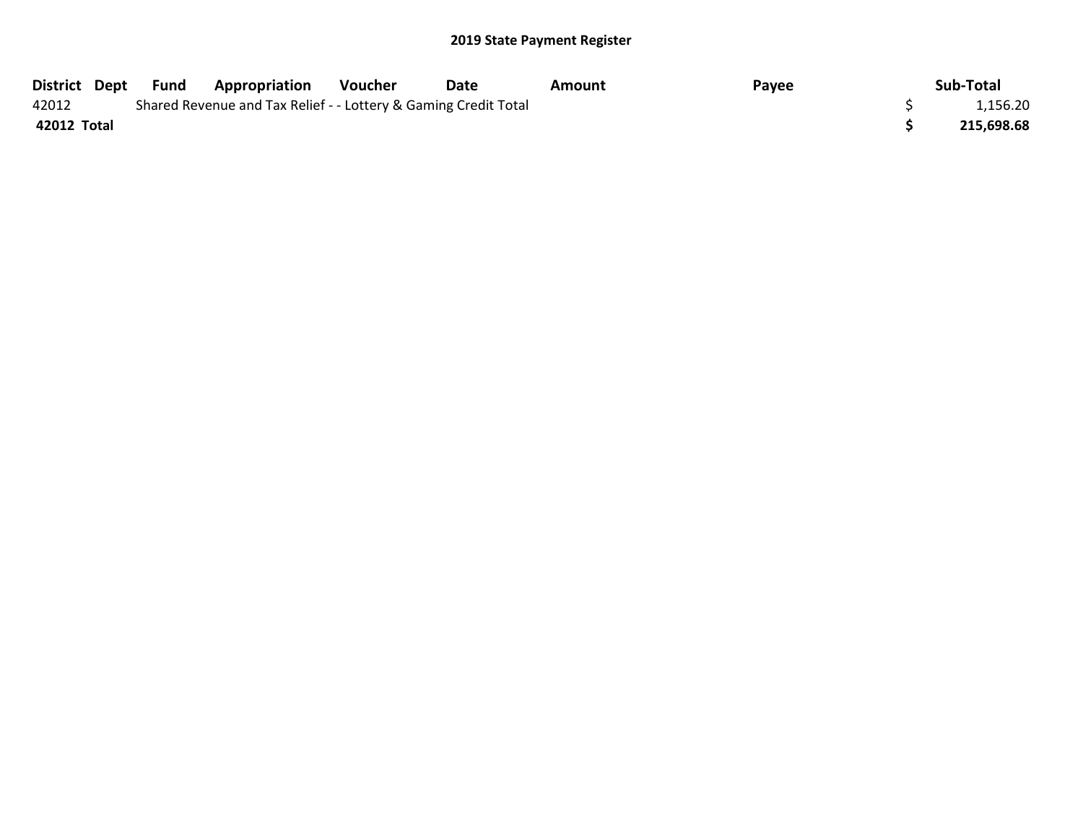|             | District Dept Fund | <b>Appropriation</b>                                            | Voucher | Date | Amount | Payee | Sub-Total  |
|-------------|--------------------|-----------------------------------------------------------------|---------|------|--------|-------|------------|
| 42012       |                    | Shared Revenue and Tax Relief - - Lottery & Gaming Credit Total |         |      |        |       | 1,156.20   |
| 42012 Total |                    |                                                                 |         |      |        |       | 215,698.68 |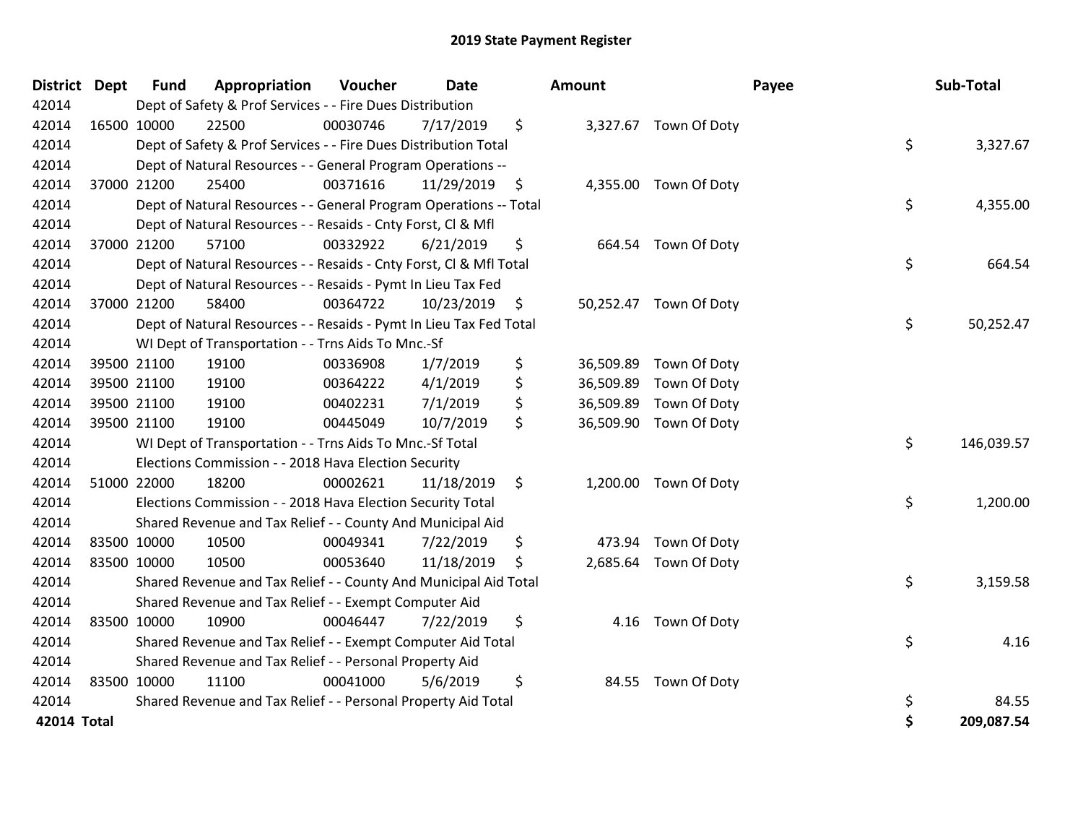| <b>District</b> | <b>Dept</b> | <b>Fund</b> | Appropriation                                                      | Voucher  | <b>Date</b> | <b>Amount</b>   |                        | Payee | Sub-Total  |
|-----------------|-------------|-------------|--------------------------------------------------------------------|----------|-------------|-----------------|------------------------|-------|------------|
| 42014           |             |             | Dept of Safety & Prof Services - - Fire Dues Distribution          |          |             |                 |                        |       |            |
| 42014           |             | 16500 10000 | 22500                                                              | 00030746 | 7/17/2019   | \$              | 3,327.67 Town Of Doty  |       |            |
| 42014           |             |             | Dept of Safety & Prof Services - - Fire Dues Distribution Total    |          |             |                 |                        | \$    | 3,327.67   |
| 42014           |             |             | Dept of Natural Resources - - General Program Operations --        |          |             |                 |                        |       |            |
| 42014           |             | 37000 21200 | 25400                                                              | 00371616 | 11/29/2019  | \$              | 4,355.00 Town Of Doty  |       |            |
| 42014           |             |             | Dept of Natural Resources - - General Program Operations -- Total  |          |             |                 |                        | \$    | 4,355.00   |
| 42014           |             |             | Dept of Natural Resources - - Resaids - Cnty Forst, CI & Mfl       |          |             |                 |                        |       |            |
| 42014           |             | 37000 21200 | 57100                                                              | 00332922 | 6/21/2019   | \$              | 664.54 Town Of Doty    |       |            |
| 42014           |             |             | Dept of Natural Resources - - Resaids - Cnty Forst, CI & Mfl Total |          |             |                 |                        | \$    | 664.54     |
| 42014           |             |             | Dept of Natural Resources - - Resaids - Pymt In Lieu Tax Fed       |          |             |                 |                        |       |            |
| 42014           |             | 37000 21200 | 58400                                                              | 00364722 | 10/23/2019  | \$              | 50,252.47 Town Of Doty |       |            |
| 42014           |             |             | Dept of Natural Resources - - Resaids - Pymt In Lieu Tax Fed Total |          |             |                 |                        | \$    | 50,252.47  |
| 42014           |             |             | WI Dept of Transportation - - Trns Aids To Mnc.-Sf                 |          |             |                 |                        |       |            |
| 42014           |             | 39500 21100 | 19100                                                              | 00336908 | 1/7/2019    | \$<br>36,509.89 | Town Of Doty           |       |            |
| 42014           |             | 39500 21100 | 19100                                                              | 00364222 | 4/1/2019    | \$<br>36,509.89 | Town Of Doty           |       |            |
| 42014           |             | 39500 21100 | 19100                                                              | 00402231 | 7/1/2019    | \$<br>36,509.89 | Town Of Doty           |       |            |
| 42014           |             | 39500 21100 | 19100                                                              | 00445049 | 10/7/2019   | \$              | 36,509.90 Town Of Doty |       |            |
| 42014           |             |             | WI Dept of Transportation - - Trns Aids To Mnc.-Sf Total           |          |             |                 |                        | \$    | 146,039.57 |
| 42014           |             |             | Elections Commission - - 2018 Hava Election Security               |          |             |                 |                        |       |            |
| 42014           |             | 51000 22000 | 18200                                                              | 00002621 | 11/18/2019  | \$              | 1,200.00 Town Of Doty  |       |            |
| 42014           |             |             | Elections Commission - - 2018 Hava Election Security Total         |          |             |                 |                        | \$    | 1,200.00   |
| 42014           |             |             | Shared Revenue and Tax Relief - - County And Municipal Aid         |          |             |                 |                        |       |            |
| 42014           |             | 83500 10000 | 10500                                                              | 00049341 | 7/22/2019   | \$<br>473.94    | Town Of Doty           |       |            |
| 42014           |             | 83500 10000 | 10500                                                              | 00053640 | 11/18/2019  | \$              | 2,685.64 Town Of Doty  |       |            |
| 42014           |             |             | Shared Revenue and Tax Relief - - County And Municipal Aid Total   |          |             |                 |                        | \$    | 3,159.58   |
| 42014           |             |             | Shared Revenue and Tax Relief - - Exempt Computer Aid              |          |             |                 |                        |       |            |
| 42014           |             | 83500 10000 | 10900                                                              | 00046447 | 7/22/2019   | \$<br>4.16      | Town Of Doty           |       |            |
| 42014           |             |             | Shared Revenue and Tax Relief - - Exempt Computer Aid Total        |          |             |                 |                        | \$    | 4.16       |
| 42014           |             |             | Shared Revenue and Tax Relief - - Personal Property Aid            |          |             |                 |                        |       |            |
| 42014           | 83500 10000 |             | 11100                                                              | 00041000 | 5/6/2019    | \$              | 84.55 Town Of Doty     |       |            |
| 42014           |             |             | Shared Revenue and Tax Relief - - Personal Property Aid Total      |          |             |                 |                        | \$    | 84.55      |
| 42014 Total     |             |             |                                                                    |          |             |                 |                        | \$    | 209,087.54 |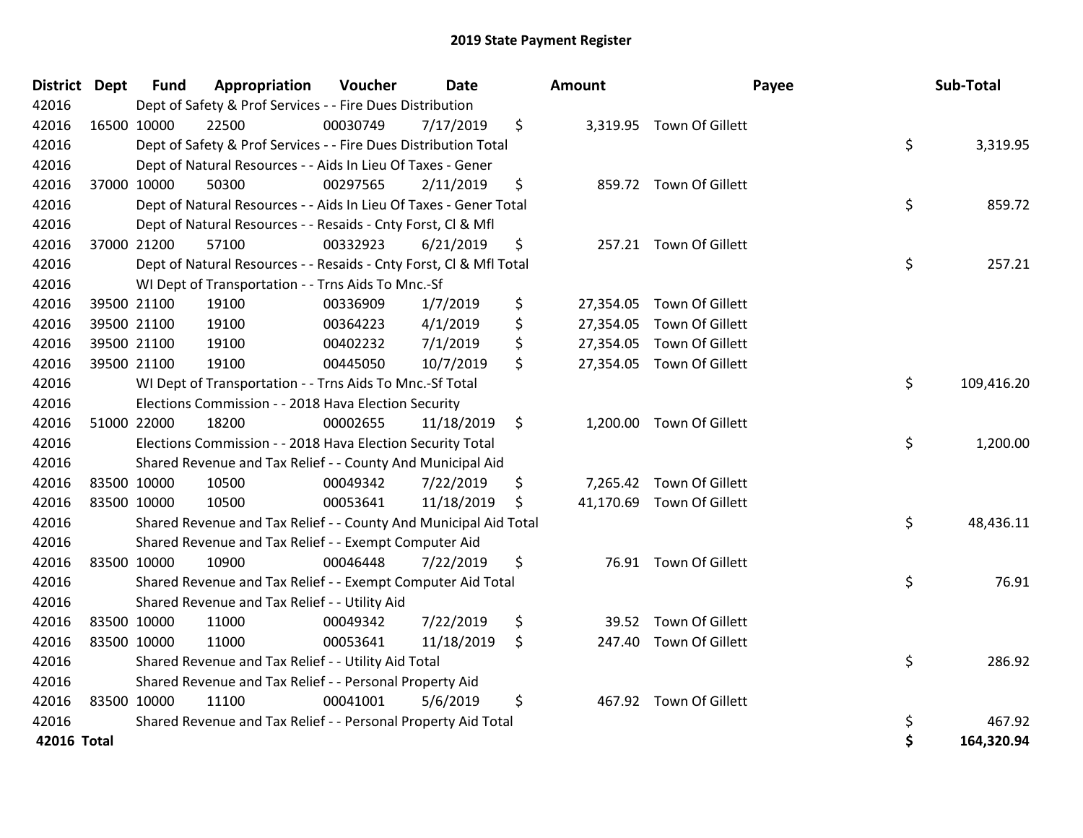| District Dept |             | <b>Fund</b> | Appropriation                                                      | Voucher  | <b>Date</b> |    | Amount    |                           | Payee | Sub-Total  |
|---------------|-------------|-------------|--------------------------------------------------------------------|----------|-------------|----|-----------|---------------------------|-------|------------|
| 42016         |             |             | Dept of Safety & Prof Services - - Fire Dues Distribution          |          |             |    |           |                           |       |            |
| 42016         | 16500 10000 |             | 22500                                                              | 00030749 | 7/17/2019   | \$ |           | 3,319.95 Town Of Gillett  |       |            |
| 42016         |             |             | Dept of Safety & Prof Services - - Fire Dues Distribution Total    |          |             |    |           |                           | \$    | 3,319.95   |
| 42016         |             |             | Dept of Natural Resources - - Aids In Lieu Of Taxes - Gener        |          |             |    |           |                           |       |            |
| 42016         |             | 37000 10000 | 50300                                                              | 00297565 | 2/11/2019   | \$ |           | 859.72 Town Of Gillett    |       |            |
| 42016         |             |             | Dept of Natural Resources - - Aids In Lieu Of Taxes - Gener Total  |          |             |    |           |                           | \$    | 859.72     |
| 42016         |             |             | Dept of Natural Resources - - Resaids - Cnty Forst, Cl & Mfl       |          |             |    |           |                           |       |            |
| 42016         |             | 37000 21200 | 57100                                                              | 00332923 | 6/21/2019   | \$ |           | 257.21 Town Of Gillett    |       |            |
| 42016         |             |             | Dept of Natural Resources - - Resaids - Cnty Forst, Cl & Mfl Total |          |             |    |           |                           | \$    | 257.21     |
| 42016         |             |             | WI Dept of Transportation - - Trns Aids To Mnc.-Sf                 |          |             |    |           |                           |       |            |
| 42016         |             | 39500 21100 | 19100                                                              | 00336909 | 1/7/2019    | \$ |           | 27,354.05 Town Of Gillett |       |            |
| 42016         |             | 39500 21100 | 19100                                                              | 00364223 | 4/1/2019    | \$ | 27,354.05 | Town Of Gillett           |       |            |
| 42016         |             | 39500 21100 | 19100                                                              | 00402232 | 7/1/2019    | \$ |           | 27,354.05 Town Of Gillett |       |            |
| 42016         |             | 39500 21100 | 19100                                                              | 00445050 | 10/7/2019   | \$ |           | 27,354.05 Town Of Gillett |       |            |
| 42016         |             |             | WI Dept of Transportation - - Trns Aids To Mnc.-Sf Total           |          |             |    |           |                           | \$    | 109,416.20 |
| 42016         |             |             | Elections Commission - - 2018 Hava Election Security               |          |             |    |           |                           |       |            |
| 42016         |             | 51000 22000 | 18200                                                              | 00002655 | 11/18/2019  | \$ |           | 1,200.00 Town Of Gillett  |       |            |
| 42016         |             |             | Elections Commission - - 2018 Hava Election Security Total         |          |             |    |           |                           | \$    | 1,200.00   |
| 42016         |             |             | Shared Revenue and Tax Relief - - County And Municipal Aid         |          |             |    |           |                           |       |            |
| 42016         |             | 83500 10000 | 10500                                                              | 00049342 | 7/22/2019   | \$ |           | 7,265.42 Town Of Gillett  |       |            |
| 42016         |             | 83500 10000 | 10500                                                              | 00053641 | 11/18/2019  | -S |           | 41,170.69 Town Of Gillett |       |            |
| 42016         |             |             | Shared Revenue and Tax Relief - - County And Municipal Aid Total   |          |             |    |           |                           | \$    | 48,436.11  |
| 42016         |             |             | Shared Revenue and Tax Relief - - Exempt Computer Aid              |          |             |    |           |                           |       |            |
| 42016         |             | 83500 10000 | 10900                                                              | 00046448 | 7/22/2019   | \$ |           | 76.91 Town Of Gillett     |       |            |
| 42016         |             |             | Shared Revenue and Tax Relief - - Exempt Computer Aid Total        |          |             |    |           |                           | \$    | 76.91      |
| 42016         |             |             | Shared Revenue and Tax Relief - - Utility Aid                      |          |             |    |           |                           |       |            |
| 42016         |             | 83500 10000 | 11000                                                              | 00049342 | 7/22/2019   | \$ |           | 39.52 Town Of Gillett     |       |            |
| 42016         | 83500 10000 |             | 11000                                                              | 00053641 | 11/18/2019  | \$ |           | 247.40 Town Of Gillett    |       |            |
| 42016         |             |             | Shared Revenue and Tax Relief - - Utility Aid Total                |          |             |    |           |                           | \$    | 286.92     |
| 42016         |             |             | Shared Revenue and Tax Relief - - Personal Property Aid            |          |             |    |           |                           |       |            |
| 42016         |             | 83500 10000 | 11100                                                              | 00041001 | 5/6/2019    | \$ |           | 467.92 Town Of Gillett    |       |            |
| 42016         |             |             | Shared Revenue and Tax Relief - - Personal Property Aid Total      |          |             |    |           |                           | \$    | 467.92     |
| 42016 Total   |             |             |                                                                    |          |             |    |           |                           | \$    | 164,320.94 |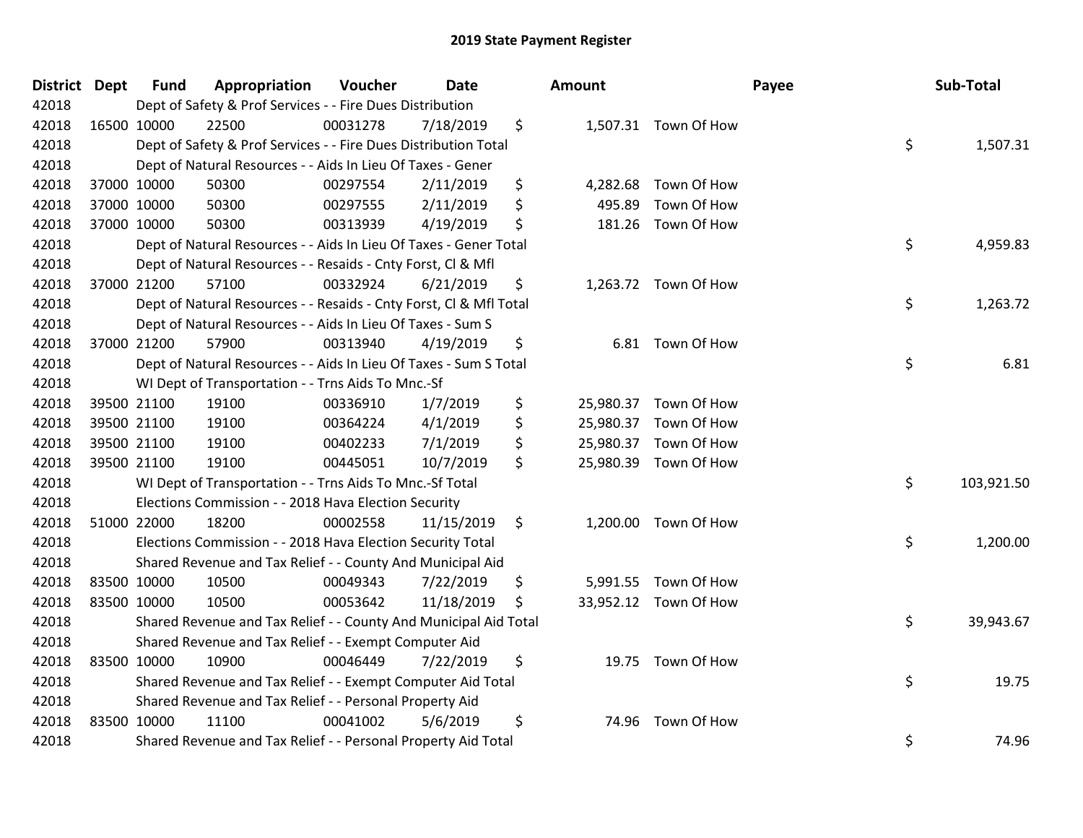| District Dept | <b>Fund</b> | Appropriation                                                      | Voucher  | <b>Date</b> |    | Amount    |                       | Payee | Sub-Total  |
|---------------|-------------|--------------------------------------------------------------------|----------|-------------|----|-----------|-----------------------|-------|------------|
| 42018         |             | Dept of Safety & Prof Services - - Fire Dues Distribution          |          |             |    |           |                       |       |            |
| 42018         | 16500 10000 | 22500                                                              | 00031278 | 7/18/2019   | \$ |           | 1,507.31 Town Of How  |       |            |
| 42018         |             | Dept of Safety & Prof Services - - Fire Dues Distribution Total    |          |             |    |           |                       | \$    | 1,507.31   |
| 42018         |             | Dept of Natural Resources - - Aids In Lieu Of Taxes - Gener        |          |             |    |           |                       |       |            |
| 42018         | 37000 10000 | 50300                                                              | 00297554 | 2/11/2019   | \$ | 4,282.68  | Town Of How           |       |            |
| 42018         | 37000 10000 | 50300                                                              | 00297555 | 2/11/2019   | \$ | 495.89    | Town Of How           |       |            |
| 42018         | 37000 10000 | 50300                                                              | 00313939 | 4/19/2019   | \$ | 181.26    | Town Of How           |       |            |
| 42018         |             | Dept of Natural Resources - - Aids In Lieu Of Taxes - Gener Total  |          |             |    |           |                       | \$    | 4,959.83   |
| 42018         |             | Dept of Natural Resources - - Resaids - Cnty Forst, Cl & Mfl       |          |             |    |           |                       |       |            |
| 42018         | 37000 21200 | 57100                                                              | 00332924 | 6/21/2019   | \$ |           | 1,263.72 Town Of How  |       |            |
| 42018         |             | Dept of Natural Resources - - Resaids - Cnty Forst, Cl & Mfl Total |          |             |    |           |                       | \$    | 1,263.72   |
| 42018         |             | Dept of Natural Resources - - Aids In Lieu Of Taxes - Sum S        |          |             |    |           |                       |       |            |
| 42018         | 37000 21200 | 57900                                                              | 00313940 | 4/19/2019   | \$ |           | 6.81 Town Of How      |       |            |
| 42018         |             | Dept of Natural Resources - - Aids In Lieu Of Taxes - Sum S Total  |          |             |    |           |                       | \$    | 6.81       |
| 42018         |             | WI Dept of Transportation - - Trns Aids To Mnc.-Sf                 |          |             |    |           |                       |       |            |
| 42018         | 39500 21100 | 19100                                                              | 00336910 | 1/7/2019    | \$ | 25,980.37 | Town Of How           |       |            |
| 42018         | 39500 21100 | 19100                                                              | 00364224 | 4/1/2019    | \$ | 25,980.37 | Town Of How           |       |            |
| 42018         | 39500 21100 | 19100                                                              | 00402233 | 7/1/2019    | \$ | 25,980.37 | Town Of How           |       |            |
| 42018         | 39500 21100 | 19100                                                              | 00445051 | 10/7/2019   | \$ | 25,980.39 | Town Of How           |       |            |
| 42018         |             | WI Dept of Transportation - - Trns Aids To Mnc.-Sf Total           |          |             |    |           |                       | \$    | 103,921.50 |
| 42018         |             | Elections Commission - - 2018 Hava Election Security               |          |             |    |           |                       |       |            |
| 42018         | 51000 22000 | 18200                                                              | 00002558 | 11/15/2019  | \$ | 1,200.00  | Town Of How           |       |            |
| 42018         |             | Elections Commission - - 2018 Hava Election Security Total         |          |             |    |           |                       | \$    | 1,200.00   |
| 42018         |             | Shared Revenue and Tax Relief - - County And Municipal Aid         |          |             |    |           |                       |       |            |
| 42018         | 83500 10000 | 10500                                                              | 00049343 | 7/22/2019   | \$ | 5,991.55  | Town Of How           |       |            |
| 42018         | 83500 10000 | 10500                                                              | 00053642 | 11/18/2019  | \$ |           | 33,952.12 Town Of How |       |            |
| 42018         |             | Shared Revenue and Tax Relief - - County And Municipal Aid Total   |          |             |    |           |                       | \$    | 39,943.67  |
| 42018         |             | Shared Revenue and Tax Relief - - Exempt Computer Aid              |          |             |    |           |                       |       |            |
| 42018         | 83500 10000 | 10900                                                              | 00046449 | 7/22/2019   | \$ |           | 19.75 Town Of How     |       |            |
| 42018         |             | Shared Revenue and Tax Relief - - Exempt Computer Aid Total        |          |             |    |           |                       | \$    | 19.75      |
| 42018         |             | Shared Revenue and Tax Relief - - Personal Property Aid            |          |             |    |           |                       |       |            |
| 42018         | 83500 10000 | 11100                                                              | 00041002 | 5/6/2019    | \$ | 74.96     | Town Of How           |       |            |
| 42018         |             | Shared Revenue and Tax Relief - - Personal Property Aid Total      |          |             |    |           |                       | \$    | 74.96      |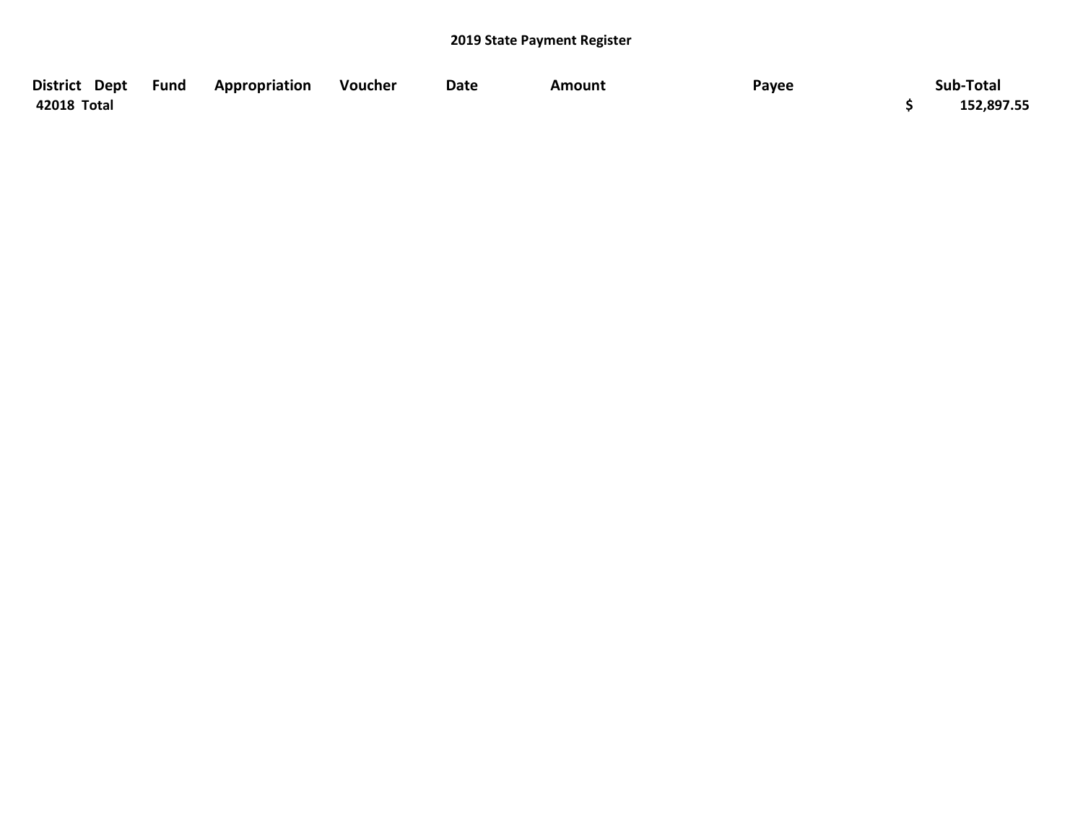| District Dept | Fund | Appropriation | Voucher | Date | Amount | Payee | Sub-Total  |
|---------------|------|---------------|---------|------|--------|-------|------------|
| 42018 Total   |      |               |         |      |        |       | 152,897.55 |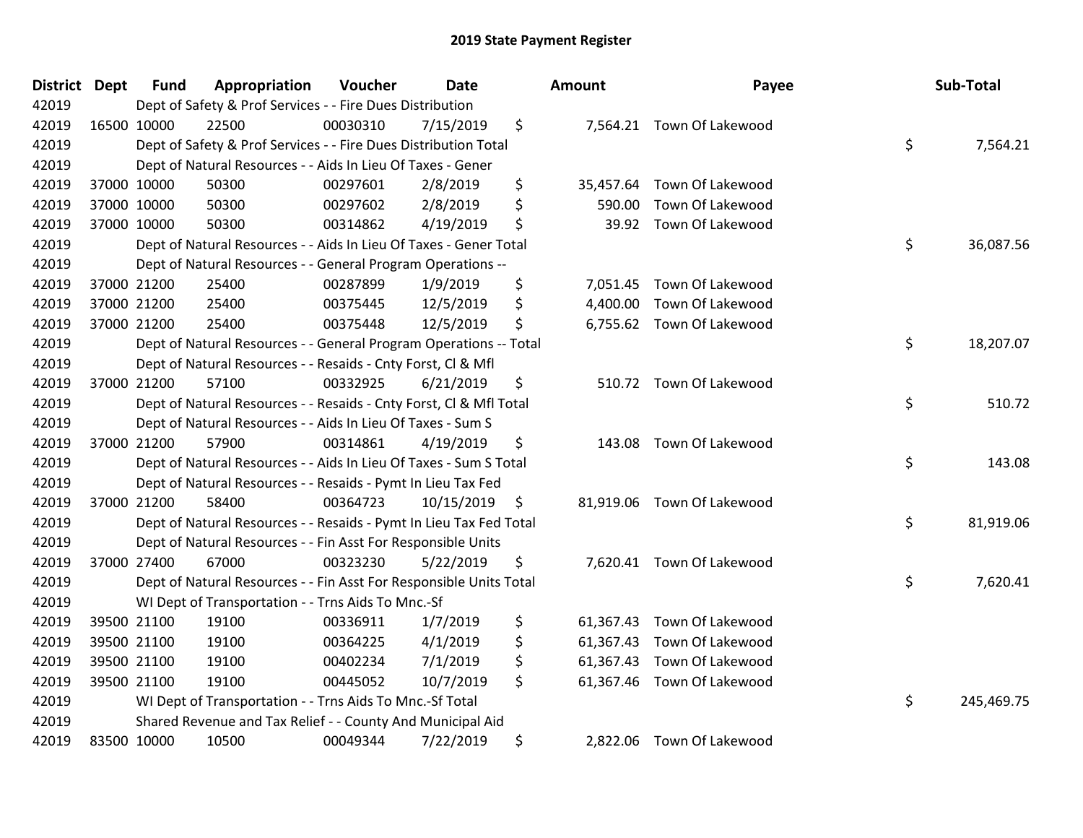| <b>District Dept</b> | <b>Fund</b> | Appropriation                                                      | Voucher  | <b>Date</b> | Amount          | Payee                      | Sub-Total        |
|----------------------|-------------|--------------------------------------------------------------------|----------|-------------|-----------------|----------------------------|------------------|
| 42019                |             | Dept of Safety & Prof Services - - Fire Dues Distribution          |          |             |                 |                            |                  |
| 42019                | 16500 10000 | 22500                                                              | 00030310 | 7/15/2019   | \$              | 7,564.21 Town Of Lakewood  |                  |
| 42019                |             | Dept of Safety & Prof Services - - Fire Dues Distribution Total    |          |             |                 |                            | \$<br>7,564.21   |
| 42019                |             | Dept of Natural Resources - - Aids In Lieu Of Taxes - Gener        |          |             |                 |                            |                  |
| 42019                | 37000 10000 | 50300                                                              | 00297601 | 2/8/2019    | \$<br>35,457.64 | Town Of Lakewood           |                  |
| 42019                | 37000 10000 | 50300                                                              | 00297602 | 2/8/2019    | \$<br>590.00    | Town Of Lakewood           |                  |
| 42019                | 37000 10000 | 50300                                                              | 00314862 | 4/19/2019   | \$<br>39.92     | Town Of Lakewood           |                  |
| 42019                |             | Dept of Natural Resources - - Aids In Lieu Of Taxes - Gener Total  |          |             |                 |                            | \$<br>36,087.56  |
| 42019                |             | Dept of Natural Resources - - General Program Operations --        |          |             |                 |                            |                  |
| 42019                | 37000 21200 | 25400                                                              | 00287899 | 1/9/2019    | \$<br>7,051.45  | Town Of Lakewood           |                  |
| 42019                | 37000 21200 | 25400                                                              | 00375445 | 12/5/2019   | \$<br>4,400.00  | Town Of Lakewood           |                  |
| 42019                | 37000 21200 | 25400                                                              | 00375448 | 12/5/2019   | \$              | 6,755.62 Town Of Lakewood  |                  |
| 42019                |             | Dept of Natural Resources - - General Program Operations -- Total  |          |             |                 |                            | \$<br>18,207.07  |
| 42019                |             | Dept of Natural Resources - - Resaids - Cnty Forst, Cl & Mfl       |          |             |                 |                            |                  |
| 42019                | 37000 21200 | 57100                                                              | 00332925 | 6/21/2019   | \$<br>510.72    | Town Of Lakewood           |                  |
| 42019                |             | Dept of Natural Resources - - Resaids - Cnty Forst, Cl & Mfl Total |          |             |                 |                            | \$<br>510.72     |
| 42019                |             | Dept of Natural Resources - - Aids In Lieu Of Taxes - Sum S        |          |             |                 |                            |                  |
| 42019                | 37000 21200 | 57900                                                              | 00314861 | 4/19/2019   | \$<br>143.08    | Town Of Lakewood           |                  |
| 42019                |             | Dept of Natural Resources - - Aids In Lieu Of Taxes - Sum S Total  |          |             |                 |                            | \$<br>143.08     |
| 42019                |             | Dept of Natural Resources - - Resaids - Pymt In Lieu Tax Fed       |          |             |                 |                            |                  |
| 42019                | 37000 21200 | 58400                                                              | 00364723 | 10/15/2019  | \$              | 81,919.06 Town Of Lakewood |                  |
| 42019                |             | Dept of Natural Resources - - Resaids - Pymt In Lieu Tax Fed Total |          |             |                 |                            | \$<br>81,919.06  |
| 42019                |             | Dept of Natural Resources - - Fin Asst For Responsible Units       |          |             |                 |                            |                  |
| 42019                | 37000 27400 | 67000                                                              | 00323230 | 5/22/2019   | \$              | 7,620.41 Town Of Lakewood  |                  |
| 42019                |             | Dept of Natural Resources - - Fin Asst For Responsible Units Total |          |             |                 |                            | \$<br>7,620.41   |
| 42019                |             | WI Dept of Transportation - - Trns Aids To Mnc.-Sf                 |          |             |                 |                            |                  |
| 42019                | 39500 21100 | 19100                                                              | 00336911 | 1/7/2019    | \$<br>61,367.43 | Town Of Lakewood           |                  |
| 42019                | 39500 21100 | 19100                                                              | 00364225 | 4/1/2019    | \$<br>61,367.43 | Town Of Lakewood           |                  |
| 42019                | 39500 21100 | 19100                                                              | 00402234 | 7/1/2019    | \$<br>61,367.43 | Town Of Lakewood           |                  |
| 42019                | 39500 21100 | 19100                                                              | 00445052 | 10/7/2019   | \$<br>61,367.46 | Town Of Lakewood           |                  |
| 42019                |             | WI Dept of Transportation - - Trns Aids To Mnc.-Sf Total           |          |             |                 |                            | \$<br>245,469.75 |
| 42019                |             | Shared Revenue and Tax Relief - - County And Municipal Aid         |          |             |                 |                            |                  |
| 42019                | 83500 10000 | 10500                                                              | 00049344 | 7/22/2019   | \$<br>2,822.06  | Town Of Lakewood           |                  |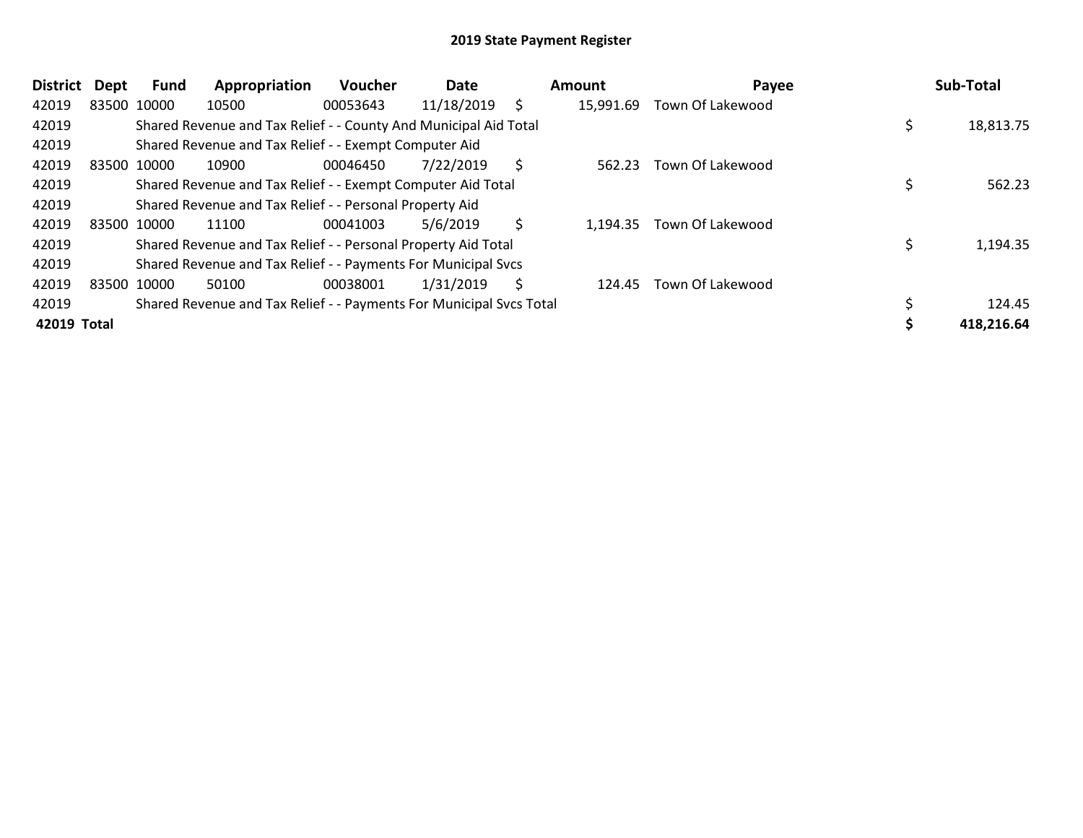| <b>District</b> | Dept        | Fund | Appropriation                                                       | Voucher  | Date       |    | Amount    | Payee                   | Sub-Total  |
|-----------------|-------------|------|---------------------------------------------------------------------|----------|------------|----|-----------|-------------------------|------------|
| 42019           | 83500 10000 |      | 10500                                                               | 00053643 | 11/18/2019 | S  | 15,991.69 | Town Of Lakewood        |            |
| 42019           |             |      | Shared Revenue and Tax Relief - - County And Municipal Aid Total    |          |            |    |           |                         | 18,813.75  |
| 42019           |             |      | Shared Revenue and Tax Relief - - Exempt Computer Aid               |          |            |    |           |                         |            |
| 42019           | 83500 10000 |      | 10900                                                               | 00046450 | 7/22/2019  | \$ | 562.23    | Town Of Lakewood        |            |
| 42019           |             |      | Shared Revenue and Tax Relief - - Exempt Computer Aid Total         |          |            |    |           |                         | 562.23     |
| 42019           |             |      | Shared Revenue and Tax Relief - - Personal Property Aid             |          |            |    |           |                         |            |
| 42019           | 83500 10000 |      | 11100                                                               | 00041003 | 5/6/2019   | \$ | 1,194.35  | Town Of Lakewood        |            |
| 42019           |             |      | Shared Revenue and Tax Relief - - Personal Property Aid Total       |          |            |    |           |                         | 1,194.35   |
| 42019           |             |      | Shared Revenue and Tax Relief - - Payments For Municipal Svcs       |          |            |    |           |                         |            |
| 42019           | 83500 10000 |      | 50100                                                               | 00038001 | 1/31/2019  | S  | 124.45    | <b>Town Of Lakewood</b> |            |
| 42019           |             |      | Shared Revenue and Tax Relief - - Payments For Municipal Svcs Total |          |            |    |           |                         | 124.45     |
| 42019 Total     |             |      |                                                                     |          |            |    |           |                         | 418,216.64 |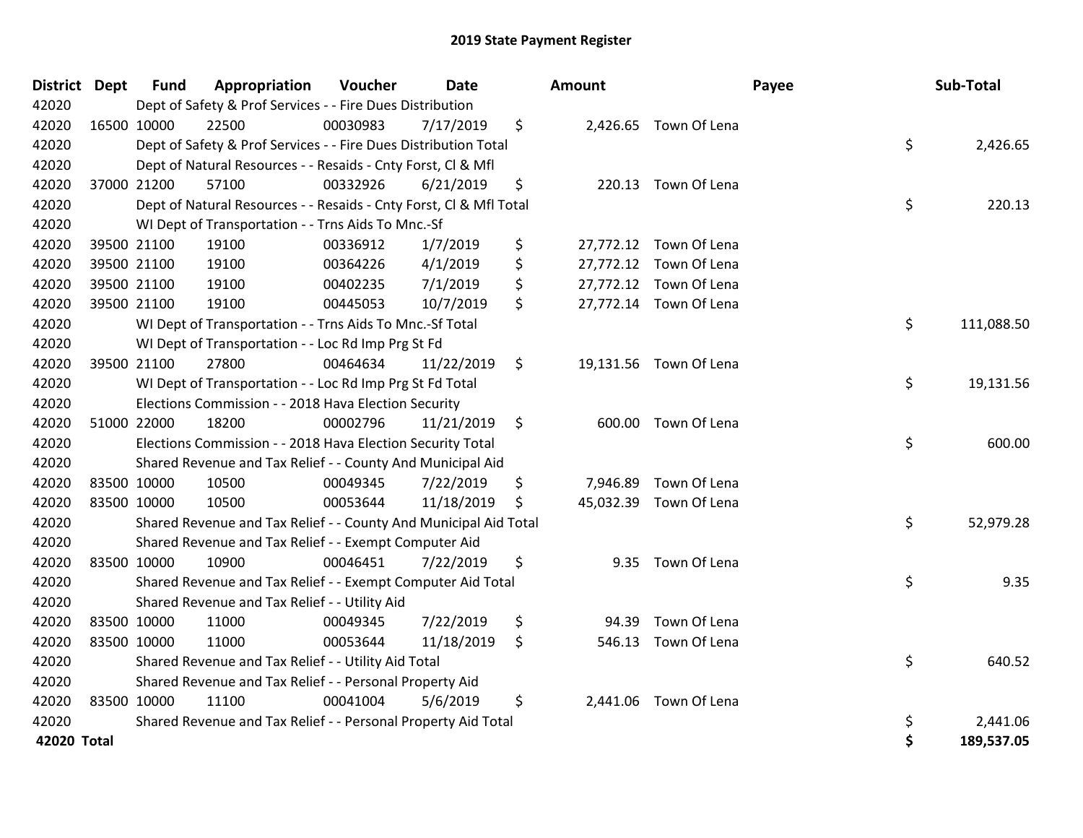| District Dept | <b>Fund</b> | Appropriation                                                      | Voucher  | <b>Date</b> |         | Amount   |                        | Payee | Sub-Total  |
|---------------|-------------|--------------------------------------------------------------------|----------|-------------|---------|----------|------------------------|-------|------------|
| 42020         |             | Dept of Safety & Prof Services - - Fire Dues Distribution          |          |             |         |          |                        |       |            |
| 42020         | 16500 10000 | 22500                                                              | 00030983 | 7/17/2019   | \$      |          | 2,426.65 Town Of Lena  |       |            |
| 42020         |             | Dept of Safety & Prof Services - - Fire Dues Distribution Total    |          |             |         |          |                        | \$    | 2,426.65   |
| 42020         |             | Dept of Natural Resources - - Resaids - Cnty Forst, Cl & Mfl       |          |             |         |          |                        |       |            |
| 42020         | 37000 21200 | 57100                                                              | 00332926 | 6/21/2019   | \$      |          | 220.13 Town Of Lena    |       |            |
| 42020         |             | Dept of Natural Resources - - Resaids - Cnty Forst, Cl & Mfl Total |          |             |         |          |                        | \$    | 220.13     |
| 42020         |             | WI Dept of Transportation - - Trns Aids To Mnc.-Sf                 |          |             |         |          |                        |       |            |
| 42020         | 39500 21100 | 19100                                                              | 00336912 | 1/7/2019    | \$      |          | 27,772.12 Town Of Lena |       |            |
| 42020         | 39500 21100 | 19100                                                              | 00364226 | 4/1/2019    | \$      |          | 27,772.12 Town Of Lena |       |            |
| 42020         | 39500 21100 | 19100                                                              | 00402235 | 7/1/2019    | \$      |          | 27,772.12 Town Of Lena |       |            |
| 42020         | 39500 21100 | 19100                                                              | 00445053 | 10/7/2019   | \$      |          | 27,772.14 Town Of Lena |       |            |
| 42020         |             | WI Dept of Transportation - - Trns Aids To Mnc.-Sf Total           |          |             |         |          |                        | \$    | 111,088.50 |
| 42020         |             | WI Dept of Transportation - - Loc Rd Imp Prg St Fd                 |          |             |         |          |                        |       |            |
| 42020         | 39500 21100 | 27800                                                              | 00464634 | 11/22/2019  | $\zeta$ |          | 19,131.56 Town Of Lena |       |            |
| 42020         |             | WI Dept of Transportation - - Loc Rd Imp Prg St Fd Total           |          |             |         |          |                        | \$    | 19,131.56  |
| 42020         |             | Elections Commission - - 2018 Hava Election Security               |          |             |         |          |                        |       |            |
| 42020         | 51000 22000 | 18200                                                              | 00002796 | 11/21/2019  | \$      | 600.00   | Town Of Lena           |       |            |
| 42020         |             | Elections Commission - - 2018 Hava Election Security Total         |          |             |         |          |                        | \$    | 600.00     |
| 42020         |             | Shared Revenue and Tax Relief - - County And Municipal Aid         |          |             |         |          |                        |       |            |
| 42020         | 83500 10000 | 10500                                                              | 00049345 | 7/22/2019   | \$      | 7,946.89 | Town Of Lena           |       |            |
| 42020         | 83500 10000 | 10500                                                              | 00053644 | 11/18/2019  | \$      |          | 45,032.39 Town Of Lena |       |            |
| 42020         |             | Shared Revenue and Tax Relief - - County And Municipal Aid Total   |          |             |         |          |                        | \$    | 52,979.28  |
| 42020         |             | Shared Revenue and Tax Relief - - Exempt Computer Aid              |          |             |         |          |                        |       |            |
| 42020         | 83500 10000 | 10900                                                              | 00046451 | 7/22/2019   | \$      |          | 9.35 Town Of Lena      |       |            |
| 42020         |             | Shared Revenue and Tax Relief - - Exempt Computer Aid Total        |          |             |         |          |                        | \$    | 9.35       |
| 42020         |             | Shared Revenue and Tax Relief - - Utility Aid                      |          |             |         |          |                        |       |            |
| 42020         | 83500 10000 | 11000                                                              | 00049345 | 7/22/2019   | \$      | 94.39    | Town Of Lena           |       |            |
| 42020         | 83500 10000 | 11000                                                              | 00053644 | 11/18/2019  | \$      |          | 546.13 Town Of Lena    |       |            |
| 42020         |             | Shared Revenue and Tax Relief - - Utility Aid Total                |          |             |         |          |                        | \$    | 640.52     |
| 42020         |             | Shared Revenue and Tax Relief - - Personal Property Aid            |          |             |         |          |                        |       |            |
| 42020         | 83500 10000 | 11100                                                              | 00041004 | 5/6/2019    | \$      | 2,441.06 | Town Of Lena           |       |            |
| 42020         |             | Shared Revenue and Tax Relief - - Personal Property Aid Total      |          |             |         |          |                        | \$    | 2,441.06   |
| 42020 Total   |             |                                                                    |          |             |         |          |                        | \$    | 189,537.05 |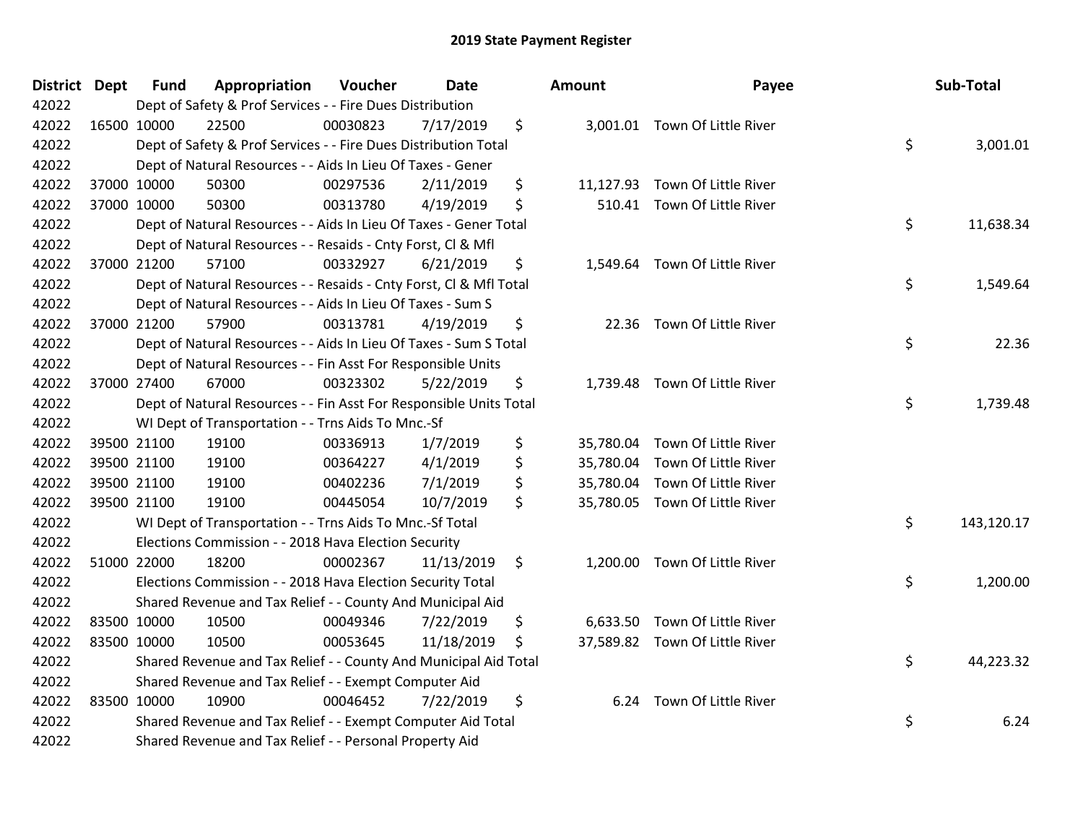| District Dept |             | <b>Fund</b> | Appropriation                                                      | Voucher  | <b>Date</b> |     | Amount    | Payee                          | Sub-Total        |
|---------------|-------------|-------------|--------------------------------------------------------------------|----------|-------------|-----|-----------|--------------------------------|------------------|
| 42022         |             |             | Dept of Safety & Prof Services - - Fire Dues Distribution          |          |             |     |           |                                |                  |
| 42022         |             | 16500 10000 | 22500                                                              | 00030823 | 7/17/2019   | \$  |           | 3,001.01 Town Of Little River  |                  |
| 42022         |             |             | Dept of Safety & Prof Services - - Fire Dues Distribution Total    |          |             |     |           |                                | \$<br>3,001.01   |
| 42022         |             |             | Dept of Natural Resources - - Aids In Lieu Of Taxes - Gener        |          |             |     |           |                                |                  |
| 42022         |             | 37000 10000 | 50300                                                              | 00297536 | 2/11/2019   | \$  |           | 11,127.93 Town Of Little River |                  |
| 42022         |             | 37000 10000 | 50300                                                              | 00313780 | 4/19/2019   | \$  |           | 510.41 Town Of Little River    |                  |
| 42022         |             |             | Dept of Natural Resources - - Aids In Lieu Of Taxes - Gener Total  |          |             |     |           |                                | \$<br>11,638.34  |
| 42022         |             |             | Dept of Natural Resources - - Resaids - Cnty Forst, Cl & Mfl       |          |             |     |           |                                |                  |
| 42022         |             | 37000 21200 | 57100                                                              | 00332927 | 6/21/2019   | \$  |           | 1,549.64 Town Of Little River  |                  |
| 42022         |             |             | Dept of Natural Resources - - Resaids - Cnty Forst, Cl & Mfl Total |          |             |     |           |                                | \$<br>1,549.64   |
| 42022         |             |             | Dept of Natural Resources - - Aids In Lieu Of Taxes - Sum S        |          |             |     |           |                                |                  |
| 42022         |             | 37000 21200 | 57900                                                              | 00313781 | 4/19/2019   | \$  |           | 22.36 Town Of Little River     |                  |
| 42022         |             |             | Dept of Natural Resources - - Aids In Lieu Of Taxes - Sum S Total  |          |             |     |           |                                | \$<br>22.36      |
| 42022         |             |             | Dept of Natural Resources - - Fin Asst For Responsible Units       |          |             |     |           |                                |                  |
| 42022         |             | 37000 27400 | 67000                                                              | 00323302 | 5/22/2019   | \$  | 1,739.48  | Town Of Little River           |                  |
| 42022         |             |             | Dept of Natural Resources - - Fin Asst For Responsible Units Total |          |             |     |           |                                | \$<br>1,739.48   |
| 42022         |             |             | WI Dept of Transportation - - Trns Aids To Mnc.-Sf                 |          |             |     |           |                                |                  |
| 42022         |             | 39500 21100 | 19100                                                              | 00336913 | 1/7/2019    | \$  |           | 35,780.04 Town Of Little River |                  |
| 42022         |             | 39500 21100 | 19100                                                              | 00364227 | 4/1/2019    | \$  | 35,780.04 | Town Of Little River           |                  |
| 42022         |             | 39500 21100 | 19100                                                              | 00402236 | 7/1/2019    | \$  | 35,780.04 | Town Of Little River           |                  |
| 42022         |             | 39500 21100 | 19100                                                              | 00445054 | 10/7/2019   | \$  |           | 35,780.05 Town Of Little River |                  |
| 42022         |             |             | WI Dept of Transportation - - Trns Aids To Mnc.-Sf Total           |          |             |     |           |                                | \$<br>143,120.17 |
| 42022         |             |             | Elections Commission - - 2018 Hava Election Security               |          |             |     |           |                                |                  |
| 42022         |             | 51000 22000 | 18200                                                              | 00002367 | 11/13/2019  | \$  | 1,200.00  | Town Of Little River           |                  |
| 42022         |             |             | Elections Commission - - 2018 Hava Election Security Total         |          |             |     |           |                                | \$<br>1,200.00   |
| 42022         |             |             | Shared Revenue and Tax Relief - - County And Municipal Aid         |          |             |     |           |                                |                  |
| 42022         |             | 83500 10000 | 10500                                                              | 00049346 | 7/22/2019   | \$  | 6,633.50  | Town Of Little River           |                  |
| 42022         |             | 83500 10000 | 10500                                                              | 00053645 | 11/18/2019  | \$. |           | 37,589.82 Town Of Little River |                  |
| 42022         |             |             | Shared Revenue and Tax Relief - - County And Municipal Aid Total   |          |             |     |           |                                | \$<br>44,223.32  |
| 42022         |             |             | Shared Revenue and Tax Relief - - Exempt Computer Aid              |          |             |     |           |                                |                  |
| 42022         | 83500 10000 |             | 10900                                                              | 00046452 | 7/22/2019   | \$  |           | 6.24 Town Of Little River      |                  |
| 42022         |             |             | Shared Revenue and Tax Relief - - Exempt Computer Aid Total        |          |             |     |           |                                | \$<br>6.24       |
| 42022         |             |             | Shared Revenue and Tax Relief - - Personal Property Aid            |          |             |     |           |                                |                  |

| ıount     | Payee                          | Sub-Total        |
|-----------|--------------------------------|------------------|
| 3,001.01  | Town Of Little River           | \$<br>3,001.01   |
|           | 11,127.93 Town Of Little River |                  |
| 510.41    | Town Of Little River           | \$<br>11,638.34  |
| 1,549.64  | Town Of Little River           | \$<br>1,549.64   |
| 22.36     | Town Of Little River           | \$<br>22.36      |
| 1,739.48  | Town Of Little River           | \$<br>1,739.48   |
|           | 35,780.04 Town Of Little River |                  |
| 35,780.04 | Town Of Little River           |                  |
|           | 35,780.04 Town Of Little River |                  |
| 35,780.05 | Town Of Little River           |                  |
|           |                                | \$<br>143,120.17 |
| 1,200.00  | Town Of Little River           | \$<br>1,200.00   |
|           | 6,633.50 Town Of Little River  |                  |
|           | 37,589.82 Town Of Little River | \$<br>44,223.32  |
| 6.24      | Town Of Little River           | \$<br>6.24       |
|           |                                |                  |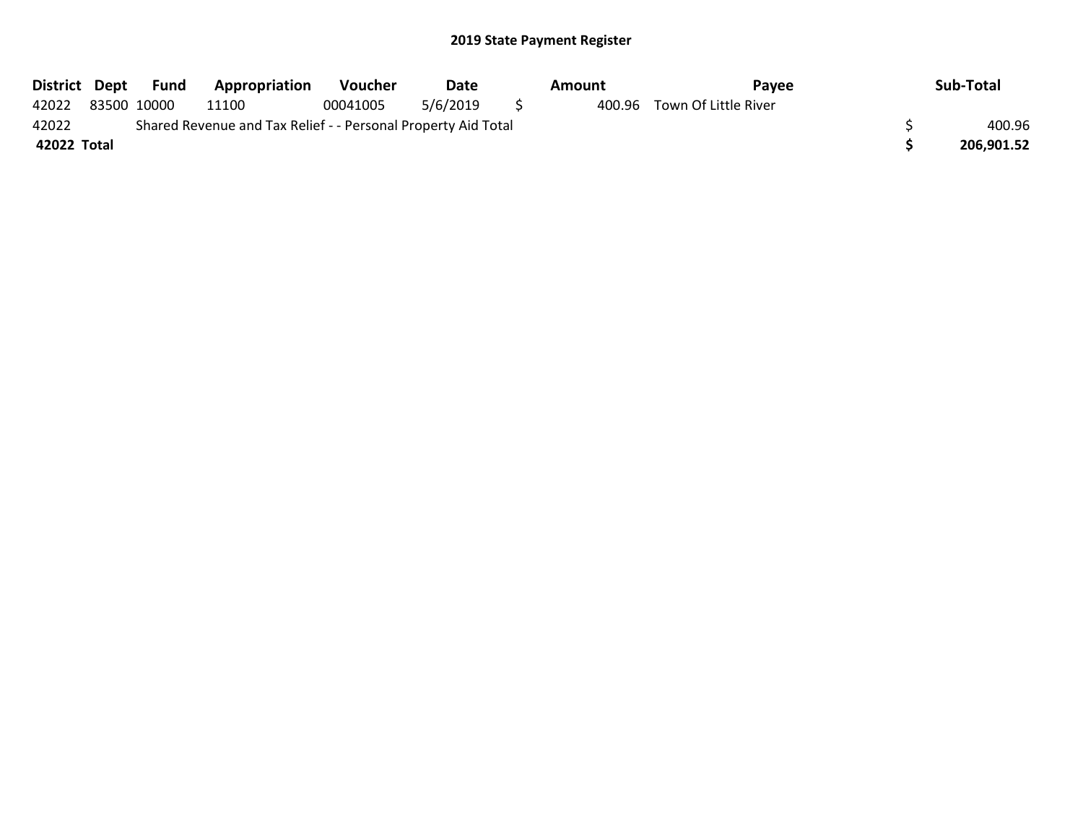| District Dept |                                                               | Fund        | <b>Appropriation</b> | <b>Voucher</b> | Date     |  | Amount | Pavee                |  | Sub-Total  |
|---------------|---------------------------------------------------------------|-------------|----------------------|----------------|----------|--|--------|----------------------|--|------------|
| 42022         |                                                               | 83500 10000 | 11100                | 00041005       | 5/6/2019 |  | 400.96 | Town Of Little River |  |            |
| 42022         | Shared Revenue and Tax Relief - - Personal Property Aid Total |             |                      |                |          |  |        |                      |  | 400.96     |
| 42022 Total   |                                                               |             |                      |                |          |  |        |                      |  | 206,901.52 |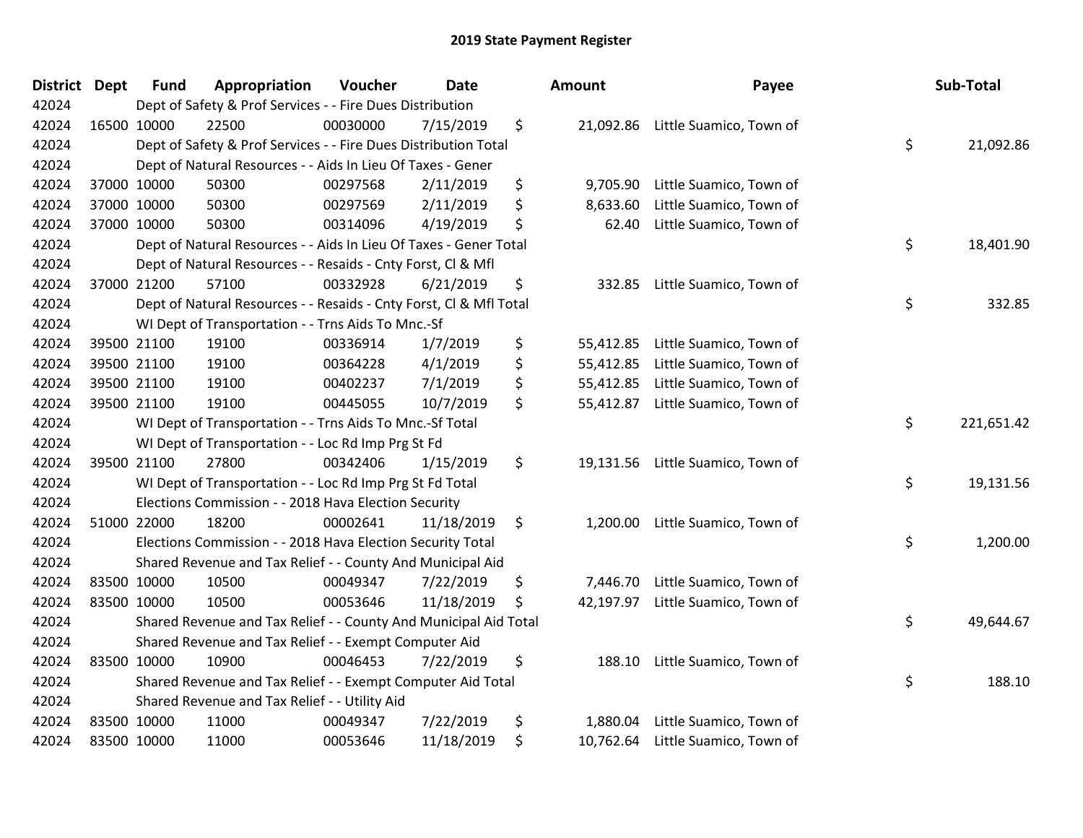| District Dept | <b>Fund</b> | Appropriation                                                      | Voucher  | <b>Date</b> | Amount          | Payee                             | Sub-Total        |
|---------------|-------------|--------------------------------------------------------------------|----------|-------------|-----------------|-----------------------------------|------------------|
| 42024         |             | Dept of Safety & Prof Services - - Fire Dues Distribution          |          |             |                 |                                   |                  |
| 42024         | 16500 10000 | 22500                                                              | 00030000 | 7/15/2019   | \$              | 21,092.86 Little Suamico, Town of |                  |
| 42024         |             | Dept of Safety & Prof Services - - Fire Dues Distribution Total    |          |             |                 |                                   | \$<br>21,092.86  |
| 42024         |             | Dept of Natural Resources - - Aids In Lieu Of Taxes - Gener        |          |             |                 |                                   |                  |
| 42024         | 37000 10000 | 50300                                                              | 00297568 | 2/11/2019   | \$<br>9,705.90  | Little Suamico, Town of           |                  |
| 42024         | 37000 10000 | 50300                                                              | 00297569 | 2/11/2019   | \$<br>8,633.60  | Little Suamico, Town of           |                  |
| 42024         | 37000 10000 | 50300                                                              | 00314096 | 4/19/2019   | \$<br>62.40     | Little Suamico, Town of           |                  |
| 42024         |             | Dept of Natural Resources - - Aids In Lieu Of Taxes - Gener Total  |          |             |                 |                                   | \$<br>18,401.90  |
| 42024         |             | Dept of Natural Resources - - Resaids - Cnty Forst, Cl & Mfl       |          |             |                 |                                   |                  |
| 42024         | 37000 21200 | 57100                                                              | 00332928 | 6/21/2019   | \$<br>332.85    | Little Suamico, Town of           |                  |
| 42024         |             | Dept of Natural Resources - - Resaids - Cnty Forst, Cl & Mfl Total |          |             |                 |                                   | \$<br>332.85     |
| 42024         |             | WI Dept of Transportation - - Trns Aids To Mnc.-Sf                 |          |             |                 |                                   |                  |
| 42024         | 39500 21100 | 19100                                                              | 00336914 | 1/7/2019    | \$              | 55,412.85 Little Suamico, Town of |                  |
| 42024         | 39500 21100 | 19100                                                              | 00364228 | 4/1/2019    | \$              | 55,412.85 Little Suamico, Town of |                  |
| 42024         | 39500 21100 | 19100                                                              | 00402237 | 7/1/2019    | \$              | 55,412.85 Little Suamico, Town of |                  |
| 42024         | 39500 21100 | 19100                                                              | 00445055 | 10/7/2019   | \$<br>55,412.87 | Little Suamico, Town of           |                  |
| 42024         |             | WI Dept of Transportation - - Trns Aids To Mnc.-Sf Total           |          |             |                 |                                   | \$<br>221,651.42 |
| 42024         |             | WI Dept of Transportation - - Loc Rd Imp Prg St Fd                 |          |             |                 |                                   |                  |
| 42024         | 39500 21100 | 27800                                                              | 00342406 | 1/15/2019   | \$              | 19,131.56 Little Suamico, Town of |                  |
| 42024         |             | WI Dept of Transportation - - Loc Rd Imp Prg St Fd Total           |          |             |                 |                                   | \$<br>19,131.56  |
| 42024         |             | Elections Commission - - 2018 Hava Election Security               |          |             |                 |                                   |                  |
| 42024         | 51000 22000 | 18200                                                              | 00002641 | 11/18/2019  | \$              | 1,200.00 Little Suamico, Town of  |                  |
| 42024         |             | Elections Commission - - 2018 Hava Election Security Total         |          |             |                 |                                   | \$<br>1,200.00   |
| 42024         |             | Shared Revenue and Tax Relief - - County And Municipal Aid         |          |             |                 |                                   |                  |
| 42024         | 83500 10000 | 10500                                                              | 00049347 | 7/22/2019   | \$<br>7,446.70  | Little Suamico, Town of           |                  |
| 42024         | 83500 10000 | 10500                                                              | 00053646 | 11/18/2019  | \$<br>42,197.97 | Little Suamico, Town of           |                  |
| 42024         |             | Shared Revenue and Tax Relief - - County And Municipal Aid Total   |          |             |                 |                                   | \$<br>49,644.67  |
| 42024         |             | Shared Revenue and Tax Relief - - Exempt Computer Aid              |          |             |                 |                                   |                  |
| 42024         | 83500 10000 | 10900                                                              | 00046453 | 7/22/2019   | \$<br>188.10    | Little Suamico, Town of           |                  |
| 42024         |             | Shared Revenue and Tax Relief - - Exempt Computer Aid Total        |          |             |                 |                                   | \$<br>188.10     |
| 42024         |             | Shared Revenue and Tax Relief - - Utility Aid                      |          |             |                 |                                   |                  |
| 42024         | 83500 10000 | 11000                                                              | 00049347 | 7/22/2019   | \$<br>1,880.04  | Little Suamico, Town of           |                  |
| 42024         | 83500 10000 | 11000                                                              | 00053646 | 11/18/2019  | \$              | 10,762.64 Little Suamico, Town of |                  |

| nount     | Payee                   | Sub-Total        |
|-----------|-------------------------|------------------|
| 21,092.86 | Little Suamico, Town of | \$<br>21,092.86  |
| 9,705.90  | Little Suamico, Town of |                  |
| 8,633.60  | Little Suamico, Town of |                  |
| 62.40     | Little Suamico, Town of |                  |
|           |                         | \$<br>18,401.90  |
| 332.85    | Little Suamico, Town of |                  |
|           |                         | \$<br>332.85     |
| 55,412.85 | Little Suamico, Town of |                  |
| 55,412.85 | Little Suamico, Town of |                  |
| 55,412.85 | Little Suamico, Town of |                  |
| 55,412.87 | Little Suamico, Town of |                  |
|           |                         | \$<br>221,651.42 |
| 19,131.56 | Little Suamico, Town of |                  |
|           |                         | \$<br>19,131.56  |
| 1,200.00  | Little Suamico, Town of |                  |
|           |                         | \$<br>1,200.00   |
| 7,446.70  | Little Suamico, Town of |                  |
| 42,197.97 | Little Suamico, Town of |                  |
|           |                         | \$<br>49,644.67  |
| 188.10    | Little Suamico, Town of |                  |
|           |                         | \$<br>188.10     |
| 1,880.04  | Little Suamico, Town of |                  |
| 10,762.64 | Little Suamico, Town of |                  |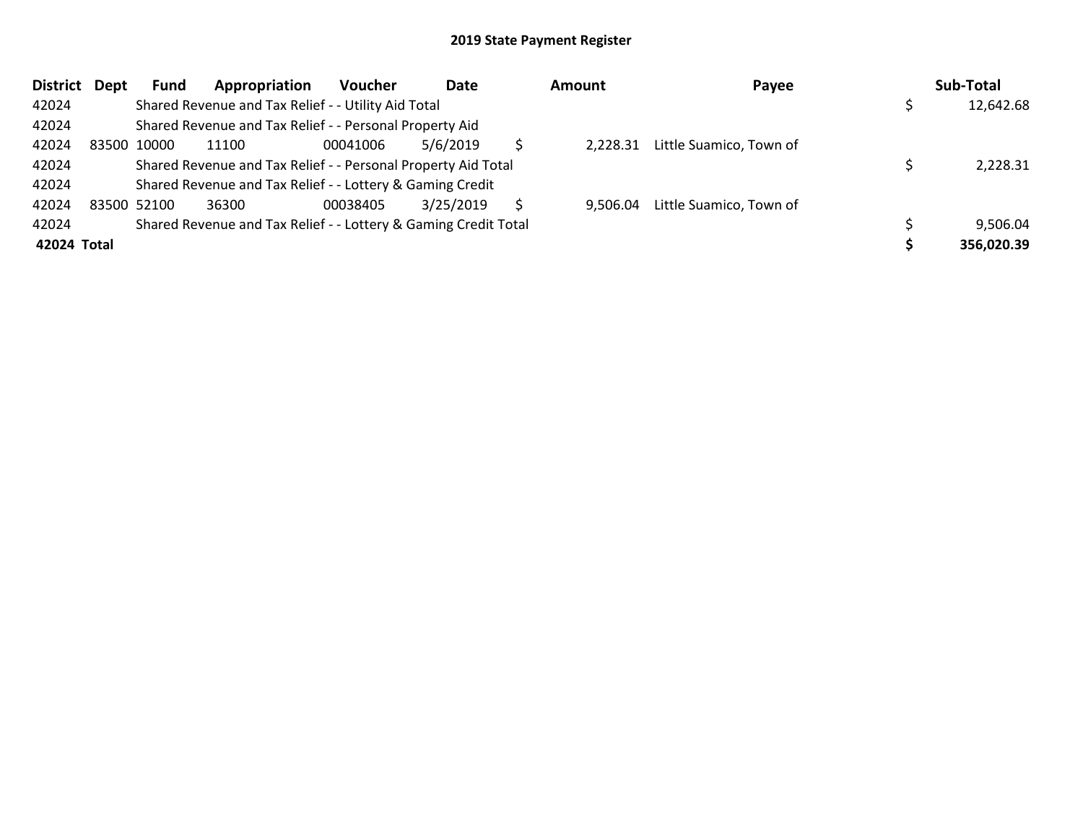| <b>District</b> | Dept | <b>Fund</b> | Appropriation                                                   | <b>Voucher</b> | Date      | <b>Amount</b> | Payee                   | Sub-Total  |
|-----------------|------|-------------|-----------------------------------------------------------------|----------------|-----------|---------------|-------------------------|------------|
| 42024           |      |             | Shared Revenue and Tax Relief - - Utility Aid Total             |                |           |               |                         | 12,642.68  |
| 42024           |      |             | Shared Revenue and Tax Relief - - Personal Property Aid         |                |           |               |                         |            |
| 42024           |      | 83500 10000 | 11100                                                           | 00041006       | 5/6/2019  | 2.228.31      | Little Suamico, Town of |            |
| 42024           |      |             | Shared Revenue and Tax Relief - - Personal Property Aid Total   | 2,228.31       |           |               |                         |            |
| 42024           |      |             | Shared Revenue and Tax Relief - - Lottery & Gaming Credit       |                |           |               |                         |            |
| 42024           |      | 83500 52100 | 36300                                                           | 00038405       | 3/25/2019 | 9.506.04      | Little Suamico, Town of |            |
| 42024           |      |             | Shared Revenue and Tax Relief - - Lottery & Gaming Credit Total |                |           |               |                         | 9,506.04   |
| 42024 Total     |      |             |                                                                 |                |           |               |                         | 356,020.39 |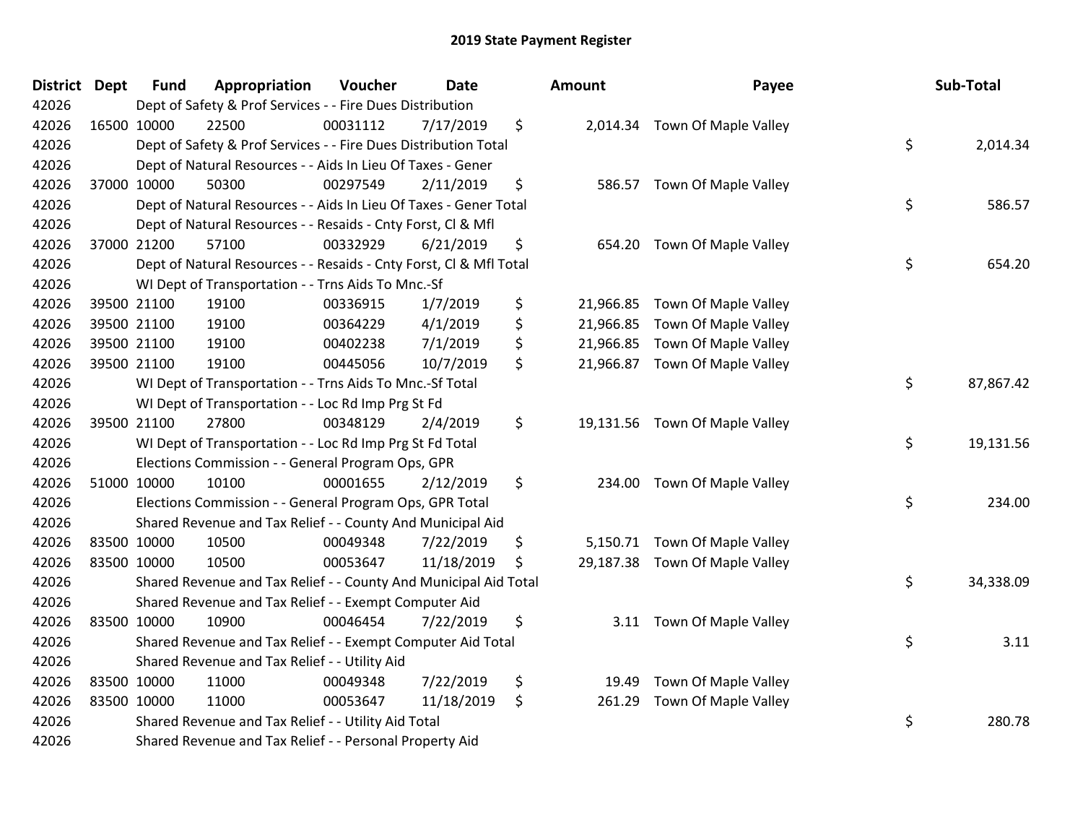| District Dept | <b>Fund</b> | Appropriation                                                      | Voucher  | <b>Date</b> | Amount       | Payee                          | Sub-Total       |
|---------------|-------------|--------------------------------------------------------------------|----------|-------------|--------------|--------------------------------|-----------------|
| 42026         |             | Dept of Safety & Prof Services - - Fire Dues Distribution          |          |             |              |                                |                 |
| 42026         | 16500 10000 | 22500                                                              | 00031112 | 7/17/2019   | \$           | 2,014.34 Town Of Maple Valley  |                 |
| 42026         |             | Dept of Safety & Prof Services - - Fire Dues Distribution Total    |          |             |              |                                | \$<br>2,014.34  |
| 42026         |             | Dept of Natural Resources - - Aids In Lieu Of Taxes - Gener        |          |             |              |                                |                 |
| 42026         | 37000 10000 | 50300                                                              | 00297549 | 2/11/2019   | \$<br>586.57 | Town Of Maple Valley           |                 |
| 42026         |             | Dept of Natural Resources - - Aids In Lieu Of Taxes - Gener Total  |          |             |              |                                | \$<br>586.57    |
| 42026         |             | Dept of Natural Resources - - Resaids - Cnty Forst, Cl & Mfl       |          |             |              |                                |                 |
| 42026         | 37000 21200 | 57100                                                              | 00332929 | 6/21/2019   | \$<br>654.20 | Town Of Maple Valley           |                 |
| 42026         |             | Dept of Natural Resources - - Resaids - Cnty Forst, Cl & Mfl Total |          |             |              |                                | \$<br>654.20    |
| 42026         |             | WI Dept of Transportation - - Trns Aids To Mnc.-Sf                 |          |             |              |                                |                 |
| 42026         | 39500 21100 | 19100                                                              | 00336915 | 1/7/2019    | \$           | 21,966.85 Town Of Maple Valley |                 |
| 42026         | 39500 21100 | 19100                                                              | 00364229 | 4/1/2019    | \$           | 21,966.85 Town Of Maple Valley |                 |
| 42026         | 39500 21100 | 19100                                                              | 00402238 | 7/1/2019    | \$           | 21,966.85 Town Of Maple Valley |                 |
| 42026         | 39500 21100 | 19100                                                              | 00445056 | 10/7/2019   | \$           | 21,966.87 Town Of Maple Valley |                 |
| 42026         |             | WI Dept of Transportation - - Trns Aids To Mnc.-Sf Total           |          |             |              |                                | \$<br>87,867.42 |
| 42026         |             | WI Dept of Transportation - - Loc Rd Imp Prg St Fd                 |          |             |              |                                |                 |
| 42026         | 39500 21100 | 27800                                                              | 00348129 | 2/4/2019    | \$           | 19,131.56 Town Of Maple Valley |                 |
| 42026         |             | WI Dept of Transportation - - Loc Rd Imp Prg St Fd Total           |          |             |              |                                | \$<br>19,131.56 |
| 42026         |             | Elections Commission - - General Program Ops, GPR                  |          |             |              |                                |                 |
| 42026         | 51000 10000 | 10100                                                              | 00001655 | 2/12/2019   | \$           | 234.00 Town Of Maple Valley    |                 |
| 42026         |             | Elections Commission - - General Program Ops, GPR Total            |          |             |              |                                | \$<br>234.00    |
| 42026         |             | Shared Revenue and Tax Relief - - County And Municipal Aid         |          |             |              |                                |                 |
| 42026         | 83500 10000 | 10500                                                              | 00049348 | 7/22/2019   | \$           | 5,150.71 Town Of Maple Valley  |                 |
| 42026         | 83500 10000 | 10500                                                              | 00053647 | 11/18/2019  | \$           | 29,187.38 Town Of Maple Valley |                 |
| 42026         |             | Shared Revenue and Tax Relief - - County And Municipal Aid Total   |          |             |              |                                | \$<br>34,338.09 |
| 42026         |             | Shared Revenue and Tax Relief - - Exempt Computer Aid              |          |             |              |                                |                 |
| 42026         | 83500 10000 | 10900                                                              | 00046454 | 7/22/2019   | \$           | 3.11 Town Of Maple Valley      |                 |
| 42026         |             | Shared Revenue and Tax Relief - - Exempt Computer Aid Total        |          |             |              |                                | \$<br>3.11      |
| 42026         |             | Shared Revenue and Tax Relief - - Utility Aid                      |          |             |              |                                |                 |
| 42026         | 83500 10000 | 11000                                                              | 00049348 | 7/22/2019   | \$<br>19.49  | Town Of Maple Valley           |                 |
| 42026         | 83500 10000 | 11000                                                              | 00053647 | 11/18/2019  | \$<br>261.29 | Town Of Maple Valley           |                 |
| 42026         |             | Shared Revenue and Tax Relief - - Utility Aid Total                |          |             |              |                                | \$<br>280.78    |
| 42026         |             | Shared Revenue and Tax Relief - - Personal Property Aid            |          |             |              |                                |                 |

| unt                                              | Payee                                                                                        | Sub-Total       |
|--------------------------------------------------|----------------------------------------------------------------------------------------------|-----------------|
| 2,014.34                                         | Town Of Maple Valley                                                                         | \$<br>2,014.34  |
| 586.57                                           | Town Of Maple Valley                                                                         | \$<br>586.57    |
| 654.20                                           | Town Of Maple Valley                                                                         | \$<br>654.20    |
| 21,966.85<br>21,966.85<br>21,966.85<br>21,966.87 | Town Of Maple Valley<br>Town Of Maple Valley<br>Town Of Maple Valley<br>Town Of Maple Valley |                 |
|                                                  |                                                                                              | \$<br>87,867.42 |
| 19,131.56                                        | Town Of Maple Valley                                                                         | \$<br>19,131.56 |
| 234.00                                           | Town Of Maple Valley                                                                         | \$<br>234.00    |
| 5,150.71                                         | Town Of Maple Valley                                                                         |                 |
| 29,187.38                                        | Town Of Maple Valley                                                                         | \$<br>34,338.09 |
| 3.11                                             | Town Of Maple Valley                                                                         | \$<br>3.11      |
| 19.49                                            | Town Of Maple Valley                                                                         |                 |
| 261.29                                           | Town Of Maple Valley                                                                         | \$<br>280.78    |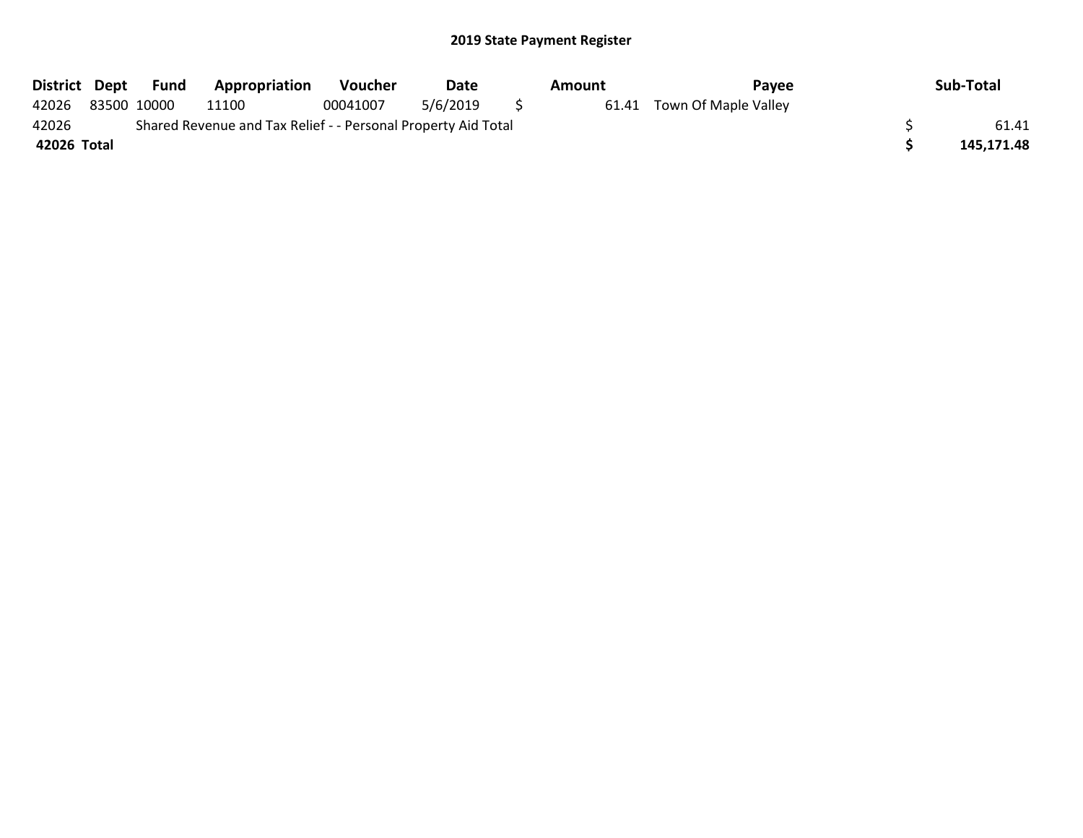| <b>District</b>                                                        | Dept | Fund        | <b>Appropriation</b> | <b>Voucher</b> | Date     |  | Amount | Pavee                      |  | Sub-Total  |
|------------------------------------------------------------------------|------|-------------|----------------------|----------------|----------|--|--------|----------------------------|--|------------|
| 42026                                                                  |      | 83500 10000 | 11100                | 00041007       | 5/6/2019 |  |        | 61.41 Town Of Maple Valley |  |            |
| 42026<br>Shared Revenue and Tax Relief - - Personal Property Aid Total |      |             |                      |                |          |  |        |                            |  | 61.41      |
| 42026 Total                                                            |      |             |                      |                |          |  |        |                            |  | 145.171.48 |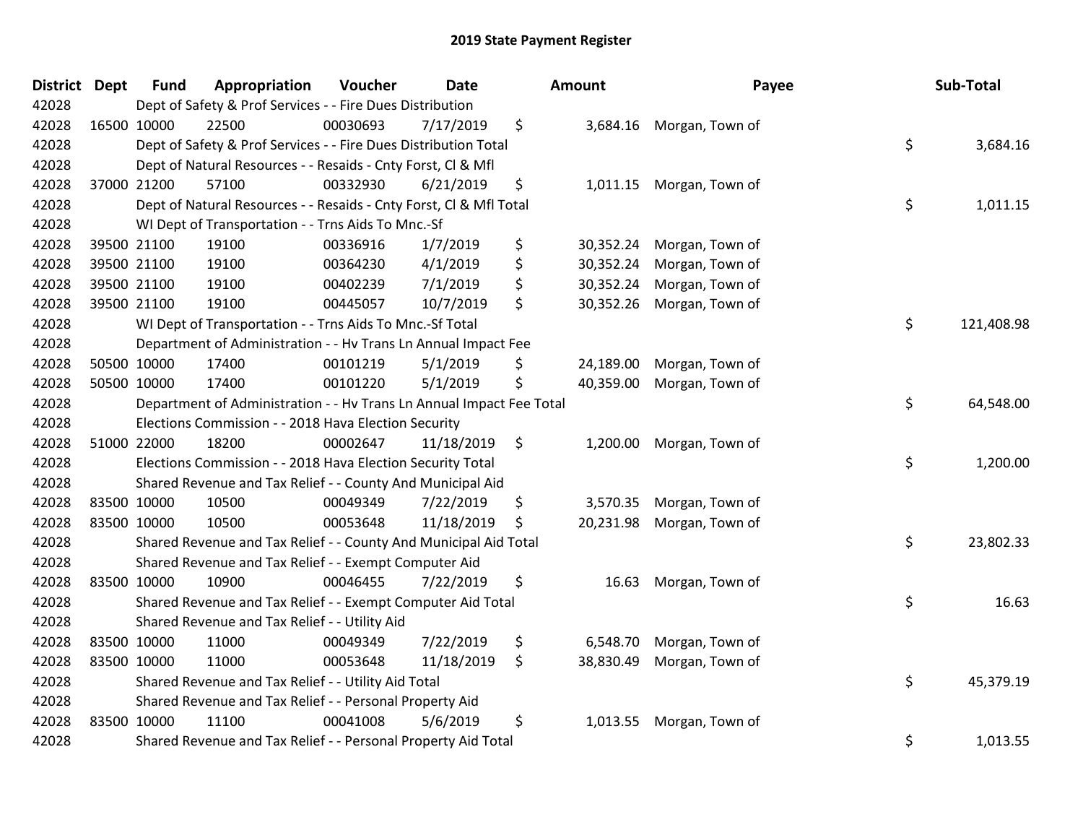| District Dept |             | <b>Fund</b> | Appropriation                                                        | Voucher  | <b>Date</b> |         | <b>Amount</b> | Payee                    |    | Sub-Total  |
|---------------|-------------|-------------|----------------------------------------------------------------------|----------|-------------|---------|---------------|--------------------------|----|------------|
| 42028         |             |             | Dept of Safety & Prof Services - - Fire Dues Distribution            |          |             |         |               |                          |    |            |
| 42028         |             | 16500 10000 | 22500                                                                | 00030693 | 7/17/2019   | \$      |               | 3,684.16 Morgan, Town of |    |            |
| 42028         |             |             | Dept of Safety & Prof Services - - Fire Dues Distribution Total      |          |             |         |               |                          | \$ | 3,684.16   |
| 42028         |             |             | Dept of Natural Resources - - Resaids - Cnty Forst, Cl & Mfl         |          |             |         |               |                          |    |            |
| 42028         |             | 37000 21200 | 57100                                                                | 00332930 | 6/21/2019   | \$      | 1,011.15      | Morgan, Town of          |    |            |
| 42028         |             |             | Dept of Natural Resources - - Resaids - Cnty Forst, CI & Mfl Total   |          |             |         |               |                          | \$ | 1,011.15   |
| 42028         |             |             | WI Dept of Transportation - - Trns Aids To Mnc.-Sf                   |          |             |         |               |                          |    |            |
| 42028         |             | 39500 21100 | 19100                                                                | 00336916 | 1/7/2019    | \$      | 30,352.24     | Morgan, Town of          |    |            |
| 42028         |             | 39500 21100 | 19100                                                                | 00364230 | 4/1/2019    | \$      | 30,352.24     | Morgan, Town of          |    |            |
| 42028         |             | 39500 21100 | 19100                                                                | 00402239 | 7/1/2019    | \$      | 30,352.24     | Morgan, Town of          |    |            |
| 42028         |             | 39500 21100 | 19100                                                                | 00445057 | 10/7/2019   | \$      | 30,352.26     | Morgan, Town of          |    |            |
| 42028         |             |             | WI Dept of Transportation - - Trns Aids To Mnc.-Sf Total             |          |             |         |               |                          | \$ | 121,408.98 |
| 42028         |             |             | Department of Administration - - Hv Trans Ln Annual Impact Fee       |          |             |         |               |                          |    |            |
| 42028         |             | 50500 10000 | 17400                                                                | 00101219 | 5/1/2019    | \$      | 24,189.00     | Morgan, Town of          |    |            |
| 42028         |             | 50500 10000 | 17400                                                                | 00101220 | 5/1/2019    | \$      | 40,359.00     | Morgan, Town of          |    |            |
| 42028         |             |             | Department of Administration - - Hv Trans Ln Annual Impact Fee Total |          |             |         |               |                          | \$ | 64,548.00  |
| 42028         |             |             | Elections Commission - - 2018 Hava Election Security                 |          |             |         |               |                          |    |            |
| 42028         |             | 51000 22000 | 18200                                                                | 00002647 | 11/18/2019  | $\zeta$ | 1,200.00      | Morgan, Town of          |    |            |
| 42028         |             |             | Elections Commission - - 2018 Hava Election Security Total           |          |             |         |               |                          | \$ | 1,200.00   |
| 42028         |             |             | Shared Revenue and Tax Relief - - County And Municipal Aid           |          |             |         |               |                          |    |            |
| 42028         |             | 83500 10000 | 10500                                                                | 00049349 | 7/22/2019   | \$      | 3,570.35      | Morgan, Town of          |    |            |
| 42028         |             | 83500 10000 | 10500                                                                | 00053648 | 11/18/2019  | \$      | 20,231.98     | Morgan, Town of          |    |            |
| 42028         |             |             | Shared Revenue and Tax Relief - - County And Municipal Aid Total     |          |             |         |               |                          | \$ | 23,802.33  |
| 42028         |             |             | Shared Revenue and Tax Relief - - Exempt Computer Aid                |          |             |         |               |                          |    |            |
| 42028         |             | 83500 10000 | 10900                                                                | 00046455 | 7/22/2019   | \$      | 16.63         | Morgan, Town of          |    |            |
| 42028         |             |             | Shared Revenue and Tax Relief - - Exempt Computer Aid Total          |          |             |         |               |                          | \$ | 16.63      |
| 42028         |             |             | Shared Revenue and Tax Relief - - Utility Aid                        |          |             |         |               |                          |    |            |
| 42028         | 83500 10000 |             | 11000                                                                | 00049349 | 7/22/2019   | \$      | 6,548.70      | Morgan, Town of          |    |            |
| 42028         |             | 83500 10000 | 11000                                                                | 00053648 | 11/18/2019  | \$      | 38,830.49     | Morgan, Town of          |    |            |
| 42028         |             |             | Shared Revenue and Tax Relief - - Utility Aid Total                  |          |             |         |               |                          | \$ | 45,379.19  |
| 42028         |             |             | Shared Revenue and Tax Relief - - Personal Property Aid              |          |             |         |               |                          |    |            |
| 42028         |             | 83500 10000 | 11100                                                                | 00041008 | 5/6/2019    | \$      | 1,013.55      | Morgan, Town of          |    |            |
| 42028         |             |             | Shared Revenue and Tax Relief - - Personal Property Aid Total        |          |             |         |               |                          | \$ | 1,013.55   |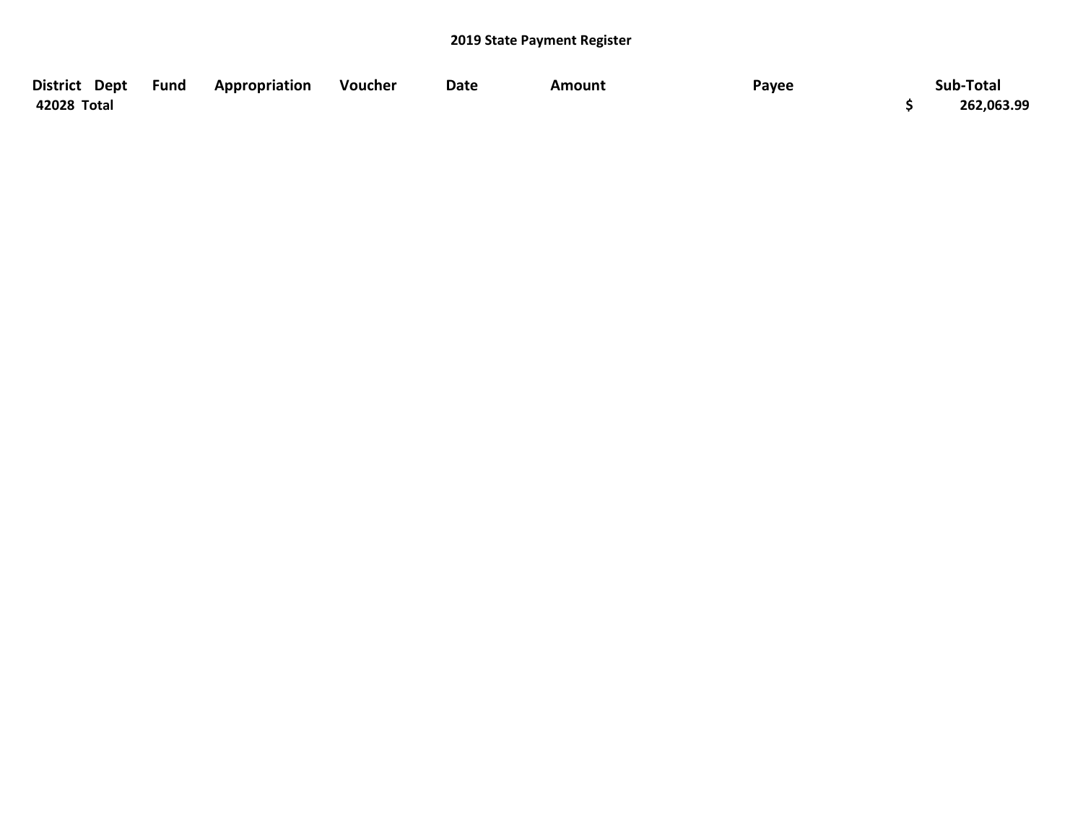| District Dept Fund | Appropriation | Voucher | Date | Amount | Payee | Sub-Total  |
|--------------------|---------------|---------|------|--------|-------|------------|
| 42028 Total        |               |         |      |        |       | 262,063.99 |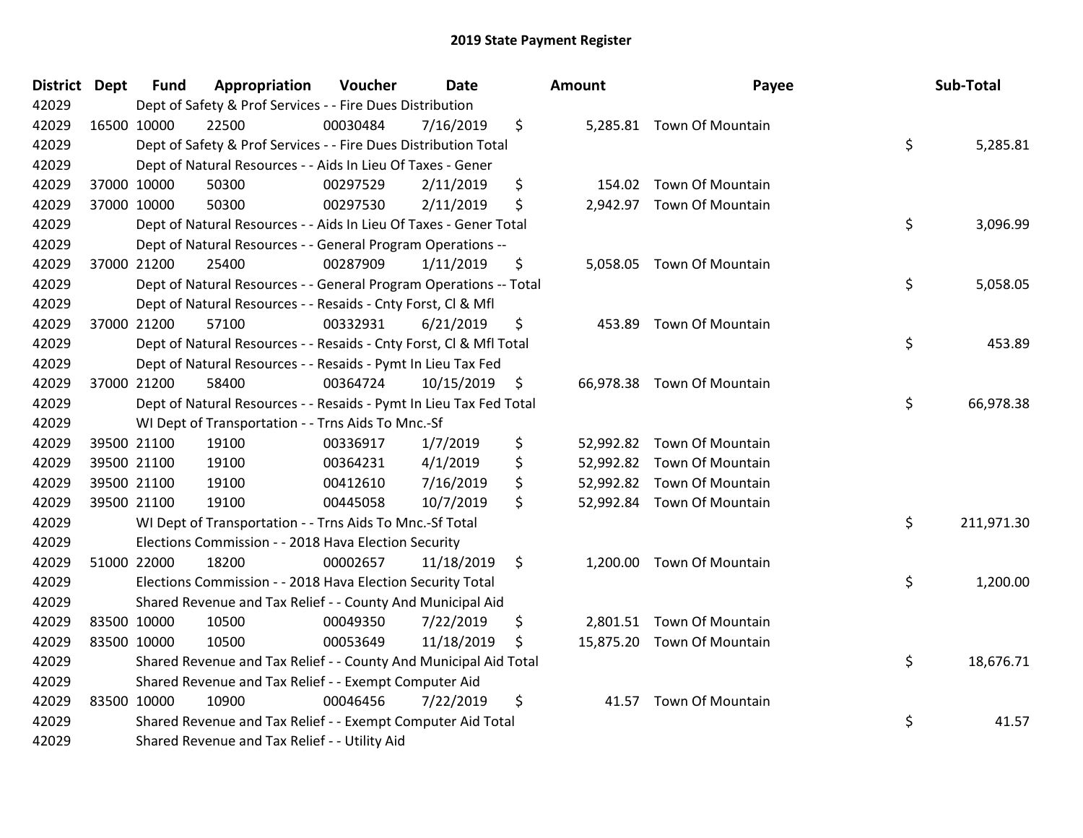| <b>District</b> | <b>Dept</b> | <b>Fund</b> | Appropriation                                                      | Voucher  | <b>Date</b> |                    | Amount   | Payee                      | Sub-Total        |
|-----------------|-------------|-------------|--------------------------------------------------------------------|----------|-------------|--------------------|----------|----------------------------|------------------|
| 42029           |             |             | Dept of Safety & Prof Services - - Fire Dues Distribution          |          |             |                    |          |                            |                  |
| 42029           |             | 16500 10000 | 22500                                                              | 00030484 | 7/16/2019   | \$                 |          | 5,285.81 Town Of Mountain  |                  |
| 42029           |             |             | Dept of Safety & Prof Services - - Fire Dues Distribution Total    |          |             |                    |          |                            | \$<br>5,285.81   |
| 42029           |             |             | Dept of Natural Resources - - Aids In Lieu Of Taxes - Gener        |          |             |                    |          |                            |                  |
| 42029           |             | 37000 10000 | 50300                                                              | 00297529 | 2/11/2019   | \$                 |          | 154.02 Town Of Mountain    |                  |
| 42029           |             | 37000 10000 | 50300                                                              | 00297530 | 2/11/2019   | \$                 | 2,942.97 | <b>Town Of Mountain</b>    |                  |
| 42029           |             |             | Dept of Natural Resources - - Aids In Lieu Of Taxes - Gener Total  |          |             |                    |          |                            | \$<br>3,096.99   |
| 42029           |             |             | Dept of Natural Resources - - General Program Operations --        |          |             |                    |          |                            |                  |
| 42029           |             | 37000 21200 | 25400                                                              | 00287909 | 1/11/2019   | \$                 |          | 5,058.05 Town Of Mountain  |                  |
| 42029           |             |             | Dept of Natural Resources - - General Program Operations -- Total  |          |             |                    |          |                            | \$<br>5,058.05   |
| 42029           |             |             | Dept of Natural Resources - - Resaids - Cnty Forst, CI & Mfl       |          |             |                    |          |                            |                  |
| 42029           |             | 37000 21200 | 57100                                                              | 00332931 | 6/21/2019   | \$                 |          | 453.89 Town Of Mountain    |                  |
| 42029           |             |             | Dept of Natural Resources - - Resaids - Cnty Forst, CI & Mfl Total |          |             |                    |          |                            | \$<br>453.89     |
| 42029           |             |             | Dept of Natural Resources - - Resaids - Pymt In Lieu Tax Fed       |          |             |                    |          |                            |                  |
| 42029           |             | 37000 21200 | 58400                                                              | 00364724 | 10/15/2019  | \$                 |          | 66,978.38 Town Of Mountain |                  |
| 42029           |             |             | Dept of Natural Resources - - Resaids - Pymt In Lieu Tax Fed Total |          |             |                    |          |                            | \$<br>66,978.38  |
| 42029           |             |             | WI Dept of Transportation - - Trns Aids To Mnc.-Sf                 |          |             |                    |          |                            |                  |
| 42029           |             | 39500 21100 | 19100                                                              | 00336917 | 1/7/2019    | \$                 |          | 52,992.82 Town Of Mountain |                  |
| 42029           |             | 39500 21100 | 19100                                                              | 00364231 | 4/1/2019    | \$                 |          | 52,992.82 Town Of Mountain |                  |
| 42029           |             | 39500 21100 | 19100                                                              | 00412610 | 7/16/2019   | \$                 |          | 52,992.82 Town Of Mountain |                  |
| 42029           |             | 39500 21100 | 19100                                                              | 00445058 | 10/7/2019   | \$                 |          | 52,992.84 Town Of Mountain |                  |
| 42029           |             |             | WI Dept of Transportation - - Trns Aids To Mnc.-Sf Total           |          |             |                    |          |                            | \$<br>211,971.30 |
| 42029           |             |             | Elections Commission - - 2018 Hava Election Security               |          |             |                    |          |                            |                  |
| 42029           |             | 51000 22000 | 18200                                                              | 00002657 | 11/18/2019  | $\ddot{\varsigma}$ |          | 1,200.00 Town Of Mountain  |                  |
| 42029           |             |             | Elections Commission - - 2018 Hava Election Security Total         |          |             |                    |          |                            | \$<br>1,200.00   |
| 42029           |             |             | Shared Revenue and Tax Relief - - County And Municipal Aid         |          |             |                    |          |                            |                  |
| 42029           |             | 83500 10000 | 10500                                                              | 00049350 | 7/22/2019   | \$                 | 2,801.51 | <b>Town Of Mountain</b>    |                  |
| 42029           |             | 83500 10000 | 10500                                                              | 00053649 | 11/18/2019  | \$                 |          | 15,875.20 Town Of Mountain |                  |
| 42029           |             |             | Shared Revenue and Tax Relief - - County And Municipal Aid Total   |          |             |                    |          |                            | \$<br>18,676.71  |
| 42029           |             |             | Shared Revenue and Tax Relief - - Exempt Computer Aid              |          |             |                    |          |                            |                  |
| 42029           |             | 83500 10000 | 10900                                                              | 00046456 | 7/22/2019   | \$                 |          | 41.57 Town Of Mountain     |                  |
| 42029           |             |             | Shared Revenue and Tax Relief - - Exempt Computer Aid Total        |          |             |                    |          |                            | \$<br>41.57      |
| 42029           |             |             | Shared Revenue and Tax Relief - - Utility Aid                      |          |             |                    |          |                            |                  |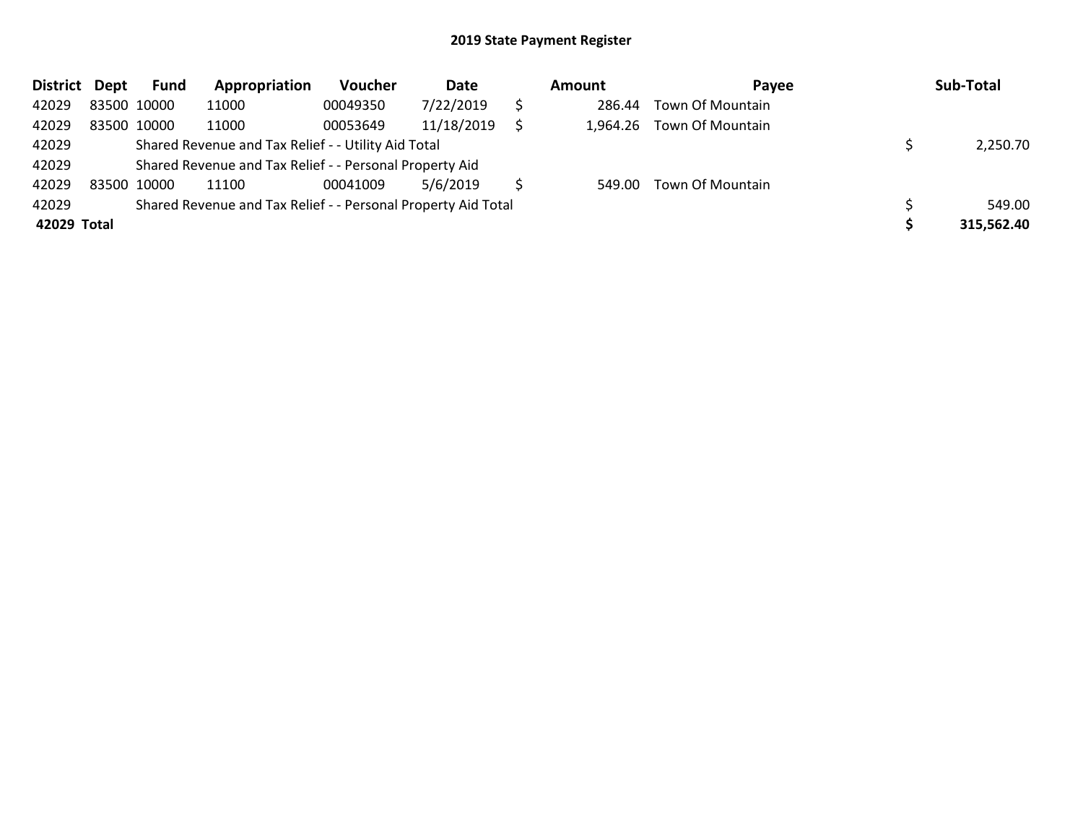| <b>District</b> | Dept        | Fund | Appropriation                                                 | Voucher  | Date       | Amount | Payee                     | Sub-Total  |
|-----------------|-------------|------|---------------------------------------------------------------|----------|------------|--------|---------------------------|------------|
| 42029           | 83500 10000 |      | 11000                                                         | 00049350 | 7/22/2019  | 286.44 | Town Of Mountain          |            |
| 42029           | 83500 10000 |      | 11000                                                         | 00053649 | 11/18/2019 |        | 1,964.26 Town Of Mountain |            |
| 42029           |             |      | Shared Revenue and Tax Relief - - Utility Aid Total           |          | 2,250.70   |        |                           |            |
| 42029           |             |      | Shared Revenue and Tax Relief - - Personal Property Aid       |          |            |        |                           |            |
| 42029           | 83500 10000 |      | 11100                                                         | 00041009 | 5/6/2019   |        | 549.00 Town Of Mountain   |            |
| 42029           |             |      | Shared Revenue and Tax Relief - - Personal Property Aid Total |          |            |        |                           | 549.00     |
| 42029 Total     |             |      |                                                               |          |            |        |                           | 315,562.40 |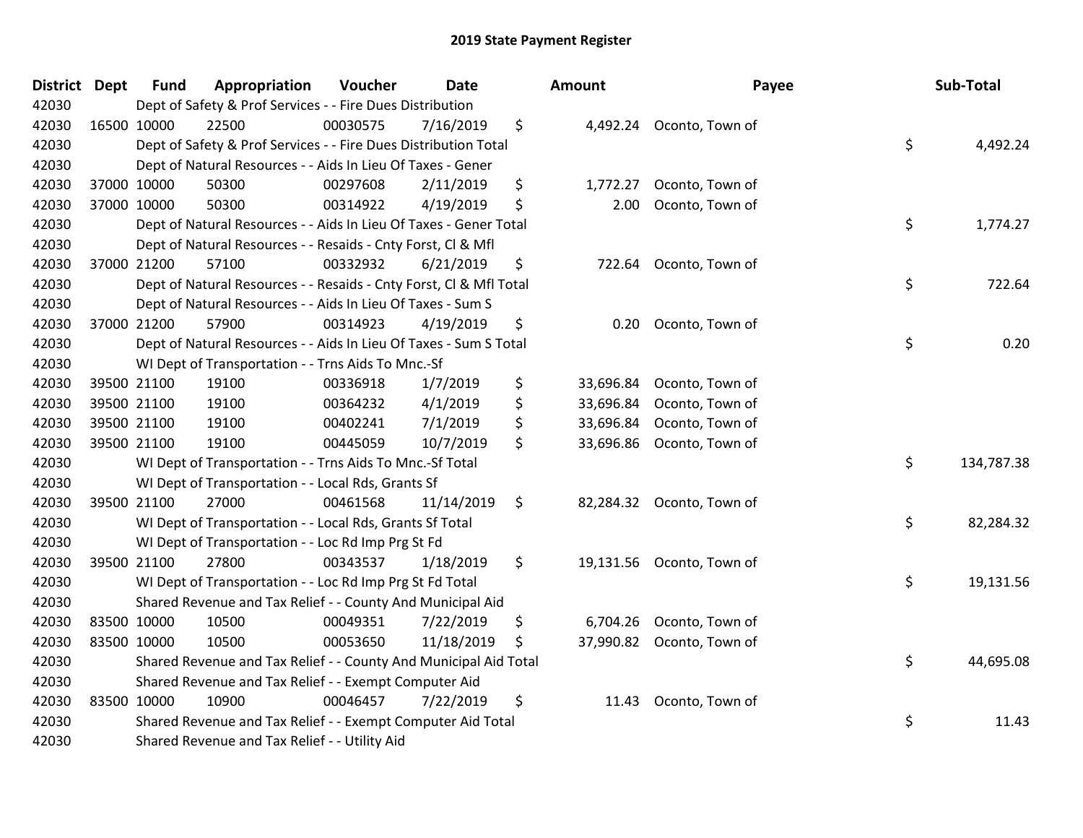| <b>District</b> | <b>Dept</b> | <b>Fund</b> | Appropriation                                                      | Voucher  | Date       | <b>Amount</b>   | Payee                     | Sub-Total        |
|-----------------|-------------|-------------|--------------------------------------------------------------------|----------|------------|-----------------|---------------------------|------------------|
| 42030           |             |             | Dept of Safety & Prof Services - - Fire Dues Distribution          |          |            |                 |                           |                  |
| 42030           | 16500 10000 |             | 22500                                                              | 00030575 | 7/16/2019  | \$              | 4,492.24 Oconto, Town of  |                  |
| 42030           |             |             | Dept of Safety & Prof Services - - Fire Dues Distribution Total    |          |            |                 |                           | \$<br>4,492.24   |
| 42030           |             |             | Dept of Natural Resources - - Aids In Lieu Of Taxes - Gener        |          |            |                 |                           |                  |
| 42030           |             | 37000 10000 | 50300                                                              | 00297608 | 2/11/2019  | \$<br>1,772.27  | Oconto, Town of           |                  |
| 42030           |             | 37000 10000 | 50300                                                              | 00314922 | 4/19/2019  | \$<br>2.00      | Oconto, Town of           |                  |
| 42030           |             |             | Dept of Natural Resources - - Aids In Lieu Of Taxes - Gener Total  |          |            |                 |                           | \$<br>1,774.27   |
| 42030           |             |             | Dept of Natural Resources - - Resaids - Cnty Forst, Cl & Mfl       |          |            |                 |                           |                  |
| 42030           |             | 37000 21200 | 57100                                                              | 00332932 | 6/21/2019  | \$<br>722.64    | Oconto, Town of           |                  |
| 42030           |             |             | Dept of Natural Resources - - Resaids - Cnty Forst, Cl & Mfl Total |          |            |                 |                           | \$<br>722.64     |
| 42030           |             |             | Dept of Natural Resources - - Aids In Lieu Of Taxes - Sum S        |          |            |                 |                           |                  |
| 42030           |             | 37000 21200 | 57900                                                              | 00314923 | 4/19/2019  | \$<br>0.20      | Oconto, Town of           |                  |
| 42030           |             |             | Dept of Natural Resources - - Aids In Lieu Of Taxes - Sum S Total  |          |            |                 |                           | \$<br>0.20       |
| 42030           |             |             | WI Dept of Transportation - - Trns Aids To Mnc.-Sf                 |          |            |                 |                           |                  |
| 42030           |             | 39500 21100 | 19100                                                              | 00336918 | 1/7/2019   | \$<br>33,696.84 | Oconto, Town of           |                  |
| 42030           |             | 39500 21100 | 19100                                                              | 00364232 | 4/1/2019   | \$<br>33,696.84 | Oconto, Town of           |                  |
| 42030           |             | 39500 21100 | 19100                                                              | 00402241 | 7/1/2019   | \$<br>33,696.84 | Oconto, Town of           |                  |
| 42030           | 39500 21100 |             | 19100                                                              | 00445059 | 10/7/2019  | \$<br>33,696.86 | Oconto, Town of           |                  |
| 42030           |             |             | WI Dept of Transportation - - Trns Aids To Mnc.-Sf Total           |          |            |                 |                           | \$<br>134,787.38 |
| 42030           |             |             | WI Dept of Transportation - - Local Rds, Grants Sf                 |          |            |                 |                           |                  |
| 42030           |             | 39500 21100 | 27000                                                              | 00461568 | 11/14/2019 | \$              | 82,284.32 Oconto, Town of |                  |
| 42030           |             |             | WI Dept of Transportation - - Local Rds, Grants Sf Total           |          |            |                 |                           | \$<br>82,284.32  |
| 42030           |             |             | WI Dept of Transportation - - Loc Rd Imp Prg St Fd                 |          |            |                 |                           |                  |
| 42030           |             | 39500 21100 | 27800                                                              | 00343537 | 1/18/2019  | \$              | 19,131.56 Oconto, Town of |                  |
| 42030           |             |             | WI Dept of Transportation - - Loc Rd Imp Prg St Fd Total           |          |            |                 |                           | \$<br>19,131.56  |
| 42030           |             |             | Shared Revenue and Tax Relief - - County And Municipal Aid         |          |            |                 |                           |                  |
| 42030           |             | 83500 10000 | 10500                                                              | 00049351 | 7/22/2019  | \$<br>6,704.26  | Oconto, Town of           |                  |
| 42030           | 83500 10000 |             | 10500                                                              | 00053650 | 11/18/2019 | \$              | 37,990.82 Oconto, Town of |                  |
| 42030           |             |             | Shared Revenue and Tax Relief - - County And Municipal Aid Total   |          |            |                 |                           | \$<br>44,695.08  |
| 42030           |             |             | Shared Revenue and Tax Relief - - Exempt Computer Aid              |          |            |                 |                           |                  |
| 42030           |             | 83500 10000 | 10900                                                              | 00046457 | 7/22/2019  | \$<br>11.43     | Oconto, Town of           |                  |
| 42030           |             |             | Shared Revenue and Tax Relief - - Exempt Computer Aid Total        |          |            |                 |                           | \$<br>11.43      |
| 42030           |             |             | Shared Revenue and Tax Relief - - Utility Aid                      |          |            |                 |                           |                  |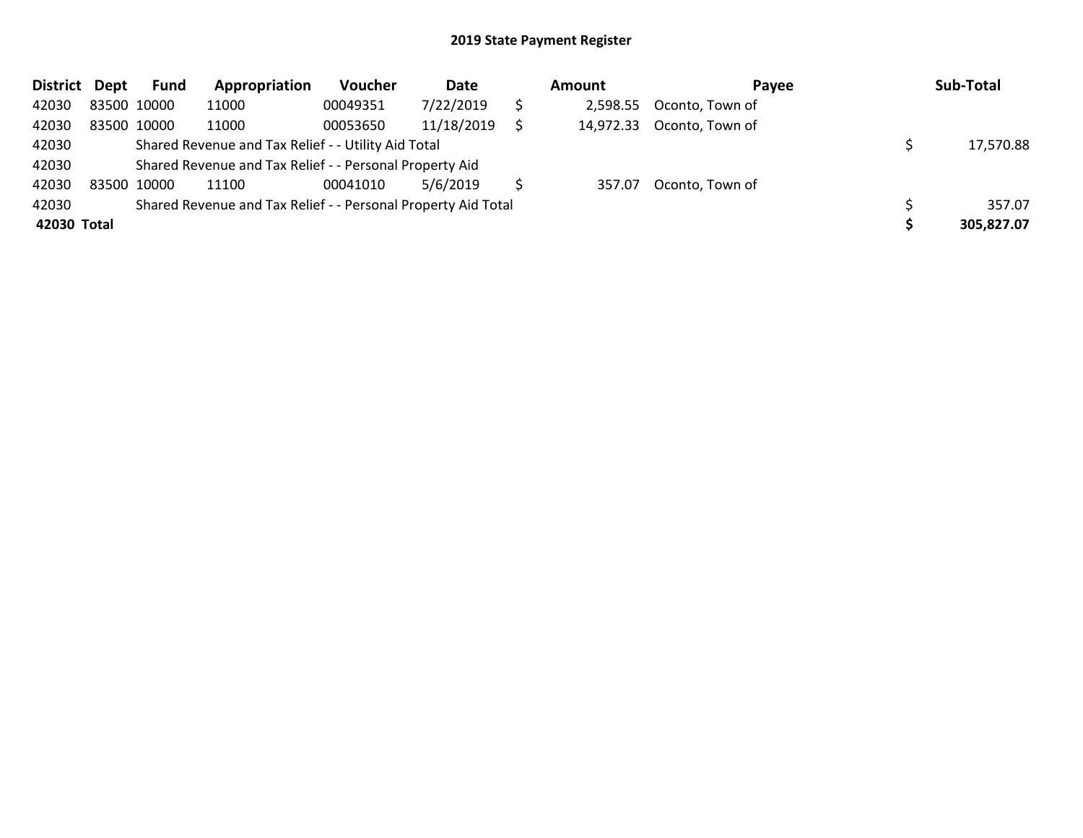| <b>District</b> | Dept        | Fund                                                          | Appropriation                                           | <b>Voucher</b> | Date       |           | Amount    | Payee           |  | Sub-Total  |
|-----------------|-------------|---------------------------------------------------------------|---------------------------------------------------------|----------------|------------|-----------|-----------|-----------------|--|------------|
| 42030           | 83500 10000 |                                                               | 11000                                                   | 00049351       | 7/22/2019  |           | 2,598.55  | Oconto, Town of |  |            |
| 42030           | 83500 10000 |                                                               | 11000                                                   | 00053650       | 11/18/2019 |           | 14,972.33 | Oconto, Town of |  |            |
| 42030           |             |                                                               | Shared Revenue and Tax Relief - - Utility Aid Total     |                |            | 17,570.88 |           |                 |  |            |
| 42030           |             |                                                               | Shared Revenue and Tax Relief - - Personal Property Aid |                |            |           |           |                 |  |            |
| 42030           | 83500 10000 |                                                               | 11100                                                   | 00041010       | 5/6/2019   |           | 357.07    | Oconto, Town of |  |            |
| 42030           |             | Shared Revenue and Tax Relief - - Personal Property Aid Total |                                                         |                |            |           |           |                 |  | 357.07     |
| 42030 Total     |             |                                                               |                                                         |                |            |           |           |                 |  | 305,827.07 |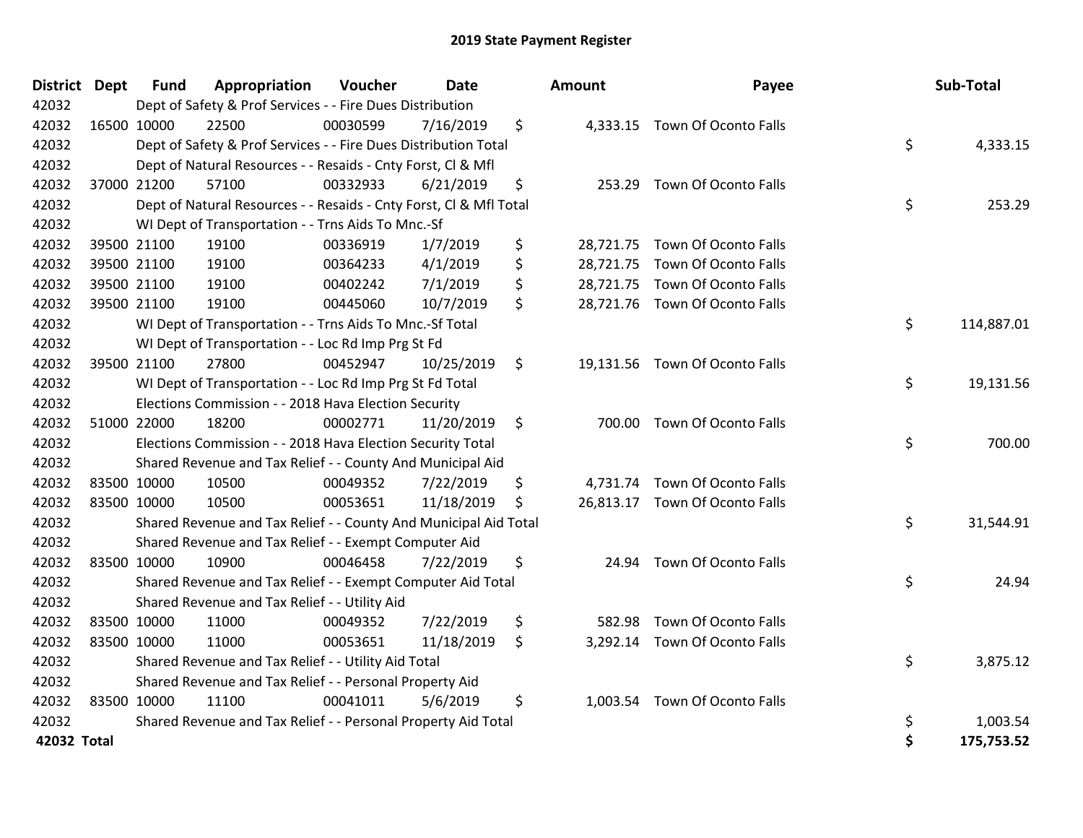| District Dept | <b>Fund</b> | Appropriation                                                      | Voucher  | <b>Date</b> | <b>Amount</b> | Payee                          | Sub-Total        |
|---------------|-------------|--------------------------------------------------------------------|----------|-------------|---------------|--------------------------------|------------------|
| 42032         |             | Dept of Safety & Prof Services - - Fire Dues Distribution          |          |             |               |                                |                  |
| 42032         | 16500 10000 | 22500                                                              | 00030599 | 7/16/2019   | \$            | 4,333.15 Town Of Oconto Falls  |                  |
| 42032         |             | Dept of Safety & Prof Services - - Fire Dues Distribution Total    |          |             |               |                                | \$<br>4,333.15   |
| 42032         |             | Dept of Natural Resources - - Resaids - Cnty Forst, Cl & Mfl       |          |             |               |                                |                  |
| 42032         | 37000 21200 | 57100                                                              | 00332933 | 6/21/2019   | \$            | 253.29 Town Of Oconto Falls    |                  |
| 42032         |             | Dept of Natural Resources - - Resaids - Cnty Forst, Cl & Mfl Total |          |             |               |                                | \$<br>253.29     |
| 42032         |             | WI Dept of Transportation - - Trns Aids To Mnc.-Sf                 |          |             |               |                                |                  |
| 42032         | 39500 21100 | 19100                                                              | 00336919 | 1/7/2019    | \$            | 28,721.75 Town Of Oconto Falls |                  |
| 42032         | 39500 21100 | 19100                                                              | 00364233 | 4/1/2019    | \$            | 28,721.75 Town Of Oconto Falls |                  |
| 42032         | 39500 21100 | 19100                                                              | 00402242 | 7/1/2019    | \$            | 28,721.75 Town Of Oconto Falls |                  |
| 42032         | 39500 21100 | 19100                                                              | 00445060 | 10/7/2019   | \$            | 28,721.76 Town Of Oconto Falls |                  |
| 42032         |             | WI Dept of Transportation - - Trns Aids To Mnc.-Sf Total           |          |             |               |                                | \$<br>114,887.01 |
| 42032         |             | WI Dept of Transportation - - Loc Rd Imp Prg St Fd                 |          |             |               |                                |                  |
| 42032         | 39500 21100 | 27800                                                              | 00452947 | 10/25/2019  | \$            | 19,131.56 Town Of Oconto Falls |                  |
| 42032         |             | WI Dept of Transportation - - Loc Rd Imp Prg St Fd Total           |          |             |               |                                | \$<br>19,131.56  |
| 42032         |             | Elections Commission - - 2018 Hava Election Security               |          |             |               |                                |                  |
| 42032         | 51000 22000 | 18200                                                              | 00002771 | 11/20/2019  | \$            | 700.00 Town Of Oconto Falls    |                  |
| 42032         |             | Elections Commission - - 2018 Hava Election Security Total         |          |             |               |                                | \$<br>700.00     |
| 42032         |             | Shared Revenue and Tax Relief - - County And Municipal Aid         |          |             |               |                                |                  |
| 42032         | 83500 10000 | 10500                                                              | 00049352 | 7/22/2019   | \$            | 4,731.74 Town Of Oconto Falls  |                  |
| 42032         | 83500 10000 | 10500                                                              | 00053651 | 11/18/2019  | \$            | 26,813.17 Town Of Oconto Falls |                  |
| 42032         |             | Shared Revenue and Tax Relief - - County And Municipal Aid Total   |          |             |               |                                | \$<br>31,544.91  |
| 42032         |             | Shared Revenue and Tax Relief - - Exempt Computer Aid              |          |             |               |                                |                  |
| 42032         | 83500 10000 | 10900                                                              | 00046458 | 7/22/2019   | \$            | 24.94 Town Of Oconto Falls     |                  |
| 42032         |             | Shared Revenue and Tax Relief - - Exempt Computer Aid Total        |          |             |               |                                | \$<br>24.94      |
| 42032         |             | Shared Revenue and Tax Relief - - Utility Aid                      |          |             |               |                                |                  |
| 42032         | 83500 10000 | 11000                                                              | 00049352 | 7/22/2019   | \$<br>582.98  | Town Of Oconto Falls           |                  |
| 42032         | 83500 10000 | 11000                                                              | 00053651 | 11/18/2019  | \$            | 3,292.14 Town Of Oconto Falls  |                  |
| 42032         |             | Shared Revenue and Tax Relief - - Utility Aid Total                |          |             |               |                                | \$<br>3,875.12   |
| 42032         |             | Shared Revenue and Tax Relief - - Personal Property Aid            |          |             |               |                                |                  |
| 42032         | 83500 10000 | 11100                                                              | 00041011 | 5/6/2019    | \$            | 1,003.54 Town Of Oconto Falls  |                  |
| 42032         |             | Shared Revenue and Tax Relief - - Personal Property Aid Total      |          |             |               |                                | \$<br>1,003.54   |
| 42032 Total   |             |                                                                    |          |             |               |                                | \$<br>175,753.52 |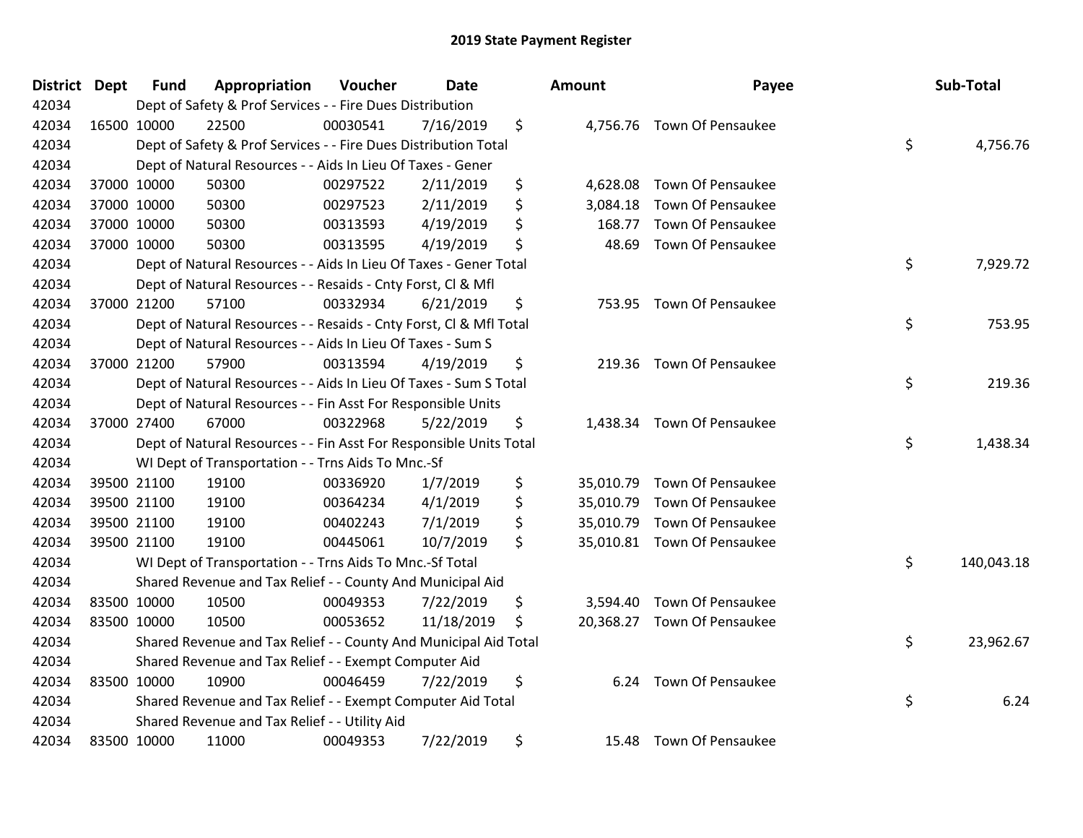| District Dept | <b>Fund</b> | Appropriation                                                      | Voucher      | <b>Date</b> | Amount          | Payee                       | Sub-Total        |
|---------------|-------------|--------------------------------------------------------------------|--------------|-------------|-----------------|-----------------------------|------------------|
| 42034         |             | Dept of Safety & Prof Services - - Fire Dues Distribution          |              |             |                 |                             |                  |
| 42034         | 16500 10000 | 22500                                                              | 00030541     | 7/16/2019   | \$              | 4,756.76 Town Of Pensaukee  |                  |
| 42034         |             | Dept of Safety & Prof Services - - Fire Dues Distribution Total    |              |             |                 |                             | \$<br>4,756.76   |
| 42034         |             | Dept of Natural Resources - - Aids In Lieu Of Taxes - Gener        |              |             |                 |                             |                  |
| 42034         | 37000 10000 | 50300                                                              | 00297522     | 2/11/2019   | \$<br>4,628.08  | Town Of Pensaukee           |                  |
| 42034         | 37000 10000 | 50300                                                              | 00297523     | 2/11/2019   | \$<br>3,084.18  | Town Of Pensaukee           |                  |
| 42034         | 37000 10000 | 50300                                                              | 00313593     | 4/19/2019   | \$<br>168.77    | Town Of Pensaukee           |                  |
| 42034         | 37000 10000 | 50300                                                              | 00313595     | 4/19/2019   | \$<br>48.69     | <b>Town Of Pensaukee</b>    |                  |
| 42034         |             | Dept of Natural Resources - - Aids In Lieu Of Taxes - Gener Total  |              |             |                 |                             | \$<br>7,929.72   |
| 42034         |             | Dept of Natural Resources - - Resaids - Cnty Forst, Cl & Mfl       |              |             |                 |                             |                  |
| 42034         | 37000 21200 | 57100                                                              | 00332934     | 6/21/2019   | \$              | 753.95 Town Of Pensaukee    |                  |
| 42034         |             | Dept of Natural Resources - - Resaids - Cnty Forst, Cl & Mfl Total |              |             |                 |                             | \$<br>753.95     |
| 42034         |             | Dept of Natural Resources - - Aids In Lieu Of Taxes - Sum S        |              |             |                 |                             |                  |
| 42034         | 37000 21200 | 57900                                                              | 00313594     | 4/19/2019   | \$              | 219.36 Town Of Pensaukee    |                  |
| 42034         |             | Dept of Natural Resources - - Aids In Lieu Of Taxes - Sum S Total  | \$<br>219.36 |             |                 |                             |                  |
| 42034         |             | Dept of Natural Resources - - Fin Asst For Responsible Units       |              |             |                 |                             |                  |
| 42034         | 37000 27400 | 67000                                                              | 00322968     | 5/22/2019   | \$              | 1,438.34 Town Of Pensaukee  |                  |
| 42034         |             | Dept of Natural Resources - - Fin Asst For Responsible Units Total |              |             |                 |                             | \$<br>1,438.34   |
| 42034         |             | WI Dept of Transportation - - Trns Aids To Mnc.-Sf                 |              |             |                 |                             |                  |
| 42034         | 39500 21100 | 19100                                                              | 00336920     | 1/7/2019    | \$<br>35,010.79 | Town Of Pensaukee           |                  |
| 42034         | 39500 21100 | 19100                                                              | 00364234     | 4/1/2019    | \$              | 35,010.79 Town Of Pensaukee |                  |
| 42034         | 39500 21100 | 19100                                                              | 00402243     | 7/1/2019    | \$              | 35,010.79 Town Of Pensaukee |                  |
| 42034         | 39500 21100 | 19100                                                              | 00445061     | 10/7/2019   | \$              | 35,010.81 Town Of Pensaukee |                  |
| 42034         |             | WI Dept of Transportation - - Trns Aids To Mnc.-Sf Total           |              |             |                 |                             | \$<br>140,043.18 |
| 42034         |             | Shared Revenue and Tax Relief - - County And Municipal Aid         |              |             |                 |                             |                  |
| 42034         | 83500 10000 | 10500                                                              | 00049353     | 7/22/2019   | \$<br>3,594.40  | Town Of Pensaukee           |                  |
| 42034         | 83500 10000 | 10500                                                              | 00053652     | 11/18/2019  | \$              | 20,368.27 Town Of Pensaukee |                  |
| 42034         |             | Shared Revenue and Tax Relief - - County And Municipal Aid Total   |              |             |                 |                             | \$<br>23,962.67  |
| 42034         |             | Shared Revenue and Tax Relief - - Exempt Computer Aid              |              |             |                 |                             |                  |
| 42034         | 83500 10000 | 10900                                                              | 00046459     | 7/22/2019   | \$<br>6.24      | <b>Town Of Pensaukee</b>    |                  |
| 42034         |             | Shared Revenue and Tax Relief - - Exempt Computer Aid Total        |              |             |                 |                             | \$<br>6.24       |
| 42034         |             | Shared Revenue and Tax Relief - - Utility Aid                      |              |             |                 |                             |                  |
| 42034         | 83500 10000 | 11000                                                              | 00049353     | 7/22/2019   | \$<br>15.48     | <b>Town Of Pensaukee</b>    |                  |

| าount     | Payee                       | Sub-Total        |
|-----------|-----------------------------|------------------|
|           | 4,756.76 Town Of Pensaukee  | \$<br>4,756.76   |
| 4,628.08  | <b>Town Of Pensaukee</b>    |                  |
| 3,084.18  | <b>Town Of Pensaukee</b>    |                  |
|           | 168.77 Town Of Pensaukee    |                  |
|           | 48.69 Town Of Pensaukee     |                  |
|           |                             | \$<br>7,929.72   |
| 753.95    | <b>Town Of Pensaukee</b>    |                  |
|           |                             | \$<br>753.95     |
| 219.36    | <b>Town Of Pensaukee</b>    |                  |
|           |                             | \$<br>219.36     |
| 1,438.34  | Town Of Pensaukee           |                  |
|           |                             | \$<br>1,438.34   |
| 35,010.79 | <b>Town Of Pensaukee</b>    |                  |
| 35,010.79 | <b>Town Of Pensaukee</b>    |                  |
| 35,010.79 | Town Of Pensaukee           |                  |
| 35,010.81 | <b>Town Of Pensaukee</b>    |                  |
|           |                             | \$<br>140,043.18 |
| 3,594.40  | <b>Town Of Pensaukee</b>    |                  |
|           | 20,368.27 Town Of Pensaukee |                  |
|           |                             | \$<br>23,962.67  |
| 6.24      | <b>Town Of Pensaukee</b>    |                  |
|           |                             | \$<br>6.24       |
| 15.48     | <b>Town Of Pensaukee</b>    |                  |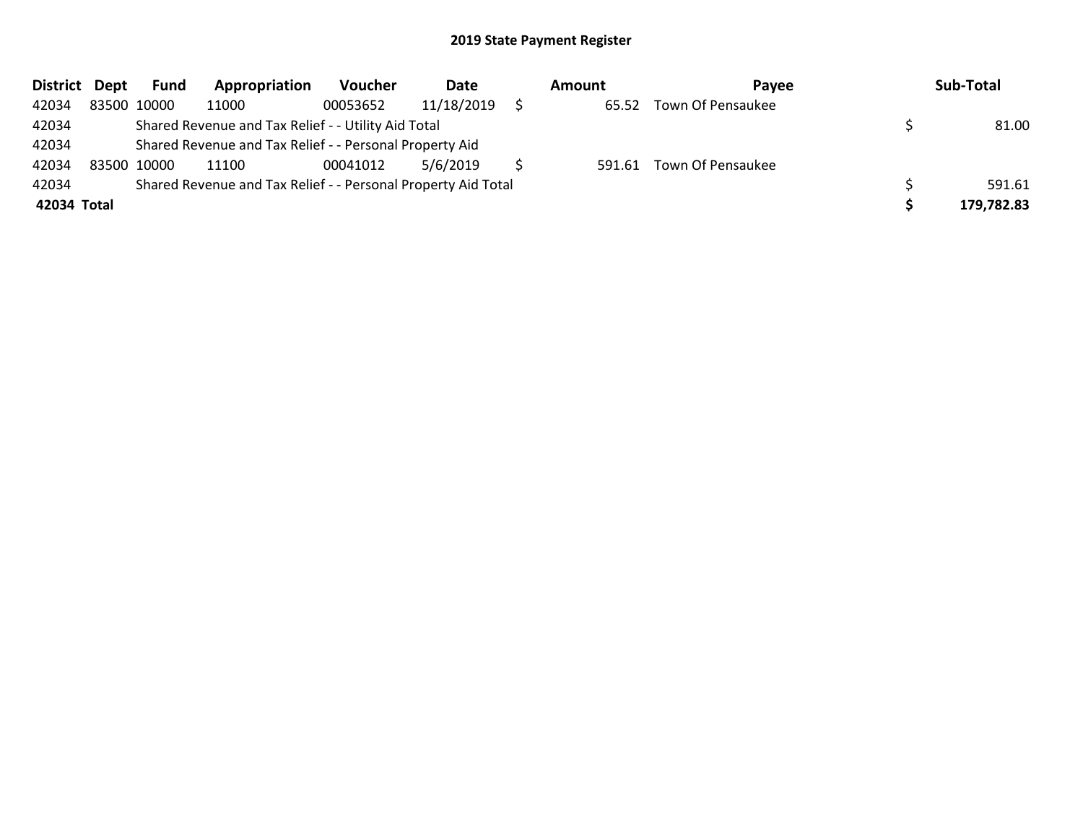| District Dept | Fund        | Appropriation                                                 | <b>Voucher</b> | Date       | Amount | <b>Pavee</b>             | Sub-Total  |
|---------------|-------------|---------------------------------------------------------------|----------------|------------|--------|--------------------------|------------|
| 42034         | 83500 10000 | 11000                                                         | 00053652       | 11/18/2019 | 65.52  | Town Of Pensaukee        |            |
| 42034         |             | Shared Revenue and Tax Relief - - Utility Aid Total           |                | 81.00      |        |                          |            |
| 42034         |             | Shared Revenue and Tax Relief - - Personal Property Aid       |                |            |        |                          |            |
| 42034         | 83500 10000 | 11100                                                         | 00041012       | 5/6/2019   |        | 591.61 Town Of Pensaukee |            |
| 42034         |             | Shared Revenue and Tax Relief - - Personal Property Aid Total |                |            |        |                          | 591.61     |
| 42034 Total   |             |                                                               |                |            |        |                          | 179,782.83 |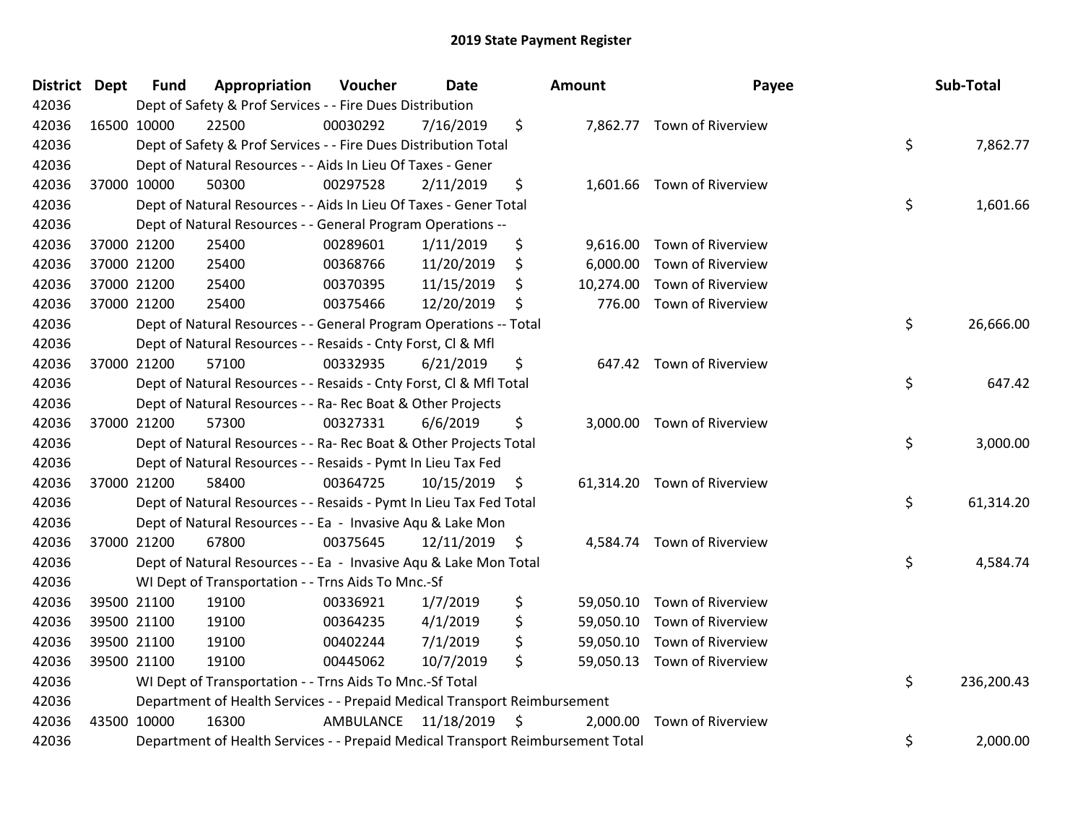| District Dept |             | <b>Fund</b> | Appropriation                                                                   | Voucher   | <b>Date</b>     |      | Amount | Payee                       | Sub-Total        |
|---------------|-------------|-------------|---------------------------------------------------------------------------------|-----------|-----------------|------|--------|-----------------------------|------------------|
| 42036         |             |             | Dept of Safety & Prof Services - - Fire Dues Distribution                       |           |                 |      |        |                             |                  |
| 42036         | 16500 10000 |             | 22500                                                                           | 00030292  | 7/16/2019       | \$   |        | 7,862.77 Town of Riverview  |                  |
| 42036         |             |             | Dept of Safety & Prof Services - - Fire Dues Distribution Total                 |           |                 |      |        |                             | \$<br>7,862.77   |
| 42036         |             |             | Dept of Natural Resources - - Aids In Lieu Of Taxes - Gener                     |           |                 |      |        |                             |                  |
| 42036         |             | 37000 10000 | 50300                                                                           | 00297528  | 2/11/2019       | \$   |        | 1,601.66 Town of Riverview  |                  |
| 42036         |             |             | Dept of Natural Resources - - Aids In Lieu Of Taxes - Gener Total               |           |                 |      |        |                             | \$<br>1,601.66   |
| 42036         |             |             | Dept of Natural Resources - - General Program Operations --                     |           |                 |      |        |                             |                  |
| 42036         |             | 37000 21200 | 25400                                                                           | 00289601  | 1/11/2019       | \$   |        | 9,616.00 Town of Riverview  |                  |
| 42036         |             | 37000 21200 | 25400                                                                           | 00368766  | 11/20/2019      | \$   |        | 6,000.00 Town of Riverview  |                  |
| 42036         |             | 37000 21200 | 25400                                                                           | 00370395  | 11/15/2019      | S    |        | 10,274.00 Town of Riverview |                  |
| 42036         |             | 37000 21200 | 25400                                                                           | 00375466  | 12/20/2019      | S    |        | 776.00 Town of Riverview    |                  |
| 42036         |             |             | Dept of Natural Resources - - General Program Operations -- Total               |           |                 |      |        |                             | \$<br>26,666.00  |
| 42036         |             |             | Dept of Natural Resources - - Resaids - Cnty Forst, Cl & Mfl                    |           |                 |      |        |                             |                  |
| 42036         |             | 37000 21200 | 57100                                                                           | 00332935  | 6/21/2019       | \$   |        | 647.42 Town of Riverview    |                  |
| 42036         |             |             | Dept of Natural Resources - - Resaids - Cnty Forst, Cl & Mfl Total              |           |                 |      |        |                             | \$<br>647.42     |
| 42036         |             |             | Dept of Natural Resources - - Ra- Rec Boat & Other Projects                     |           |                 |      |        |                             |                  |
| 42036         |             | 37000 21200 | 57300                                                                           | 00327331  | 6/6/2019        | \$   |        | 3,000.00 Town of Riverview  |                  |
| 42036         |             |             | Dept of Natural Resources - - Ra- Rec Boat & Other Projects Total               |           |                 |      |        |                             | \$<br>3,000.00   |
| 42036         |             |             | Dept of Natural Resources - - Resaids - Pymt In Lieu Tax Fed                    |           |                 |      |        |                             |                  |
| 42036         |             | 37000 21200 | 58400                                                                           | 00364725  | $10/15/2019$ \$ |      |        | 61,314.20 Town of Riverview |                  |
| 42036         |             |             | Dept of Natural Resources - - Resaids - Pymt In Lieu Tax Fed Total              |           |                 |      |        |                             | \$<br>61,314.20  |
| 42036         |             |             | Dept of Natural Resources - - Ea - Invasive Aqu & Lake Mon                      |           |                 |      |        |                             |                  |
| 42036         |             | 37000 21200 | 67800                                                                           | 00375645  | $12/11/2019$ \$ |      |        | 4,584.74 Town of Riverview  |                  |
| 42036         |             |             | Dept of Natural Resources - - Ea - Invasive Aqu & Lake Mon Total                |           |                 |      |        |                             | \$<br>4,584.74   |
| 42036         |             |             | WI Dept of Transportation - - Trns Aids To Mnc.-Sf                              |           |                 |      |        |                             |                  |
| 42036         |             | 39500 21100 | 19100                                                                           | 00336921  | 1/7/2019        | \$   |        | 59,050.10 Town of Riverview |                  |
| 42036         |             | 39500 21100 | 19100                                                                           | 00364235  | 4/1/2019        | \$   |        | 59,050.10 Town of Riverview |                  |
| 42036         |             | 39500 21100 | 19100                                                                           | 00402244  | 7/1/2019        | \$   |        | 59,050.10 Town of Riverview |                  |
| 42036         |             | 39500 21100 | 19100                                                                           | 00445062  | 10/7/2019       | \$   |        | 59,050.13 Town of Riverview |                  |
| 42036         |             |             | WI Dept of Transportation - - Trns Aids To Mnc.-Sf Total                        |           |                 |      |        |                             | \$<br>236,200.43 |
| 42036         |             |             | Department of Health Services - - Prepaid Medical Transport Reimbursement       |           |                 |      |        |                             |                  |
| 42036         |             | 43500 10000 | 16300                                                                           | AMBULANCE | 11/18/2019      | - \$ |        | 2,000.00 Town of Riverview  |                  |
| 42036         |             |             | Department of Health Services - - Prepaid Medical Transport Reimbursement Total |           |                 |      |        |                             | \$<br>2,000.00   |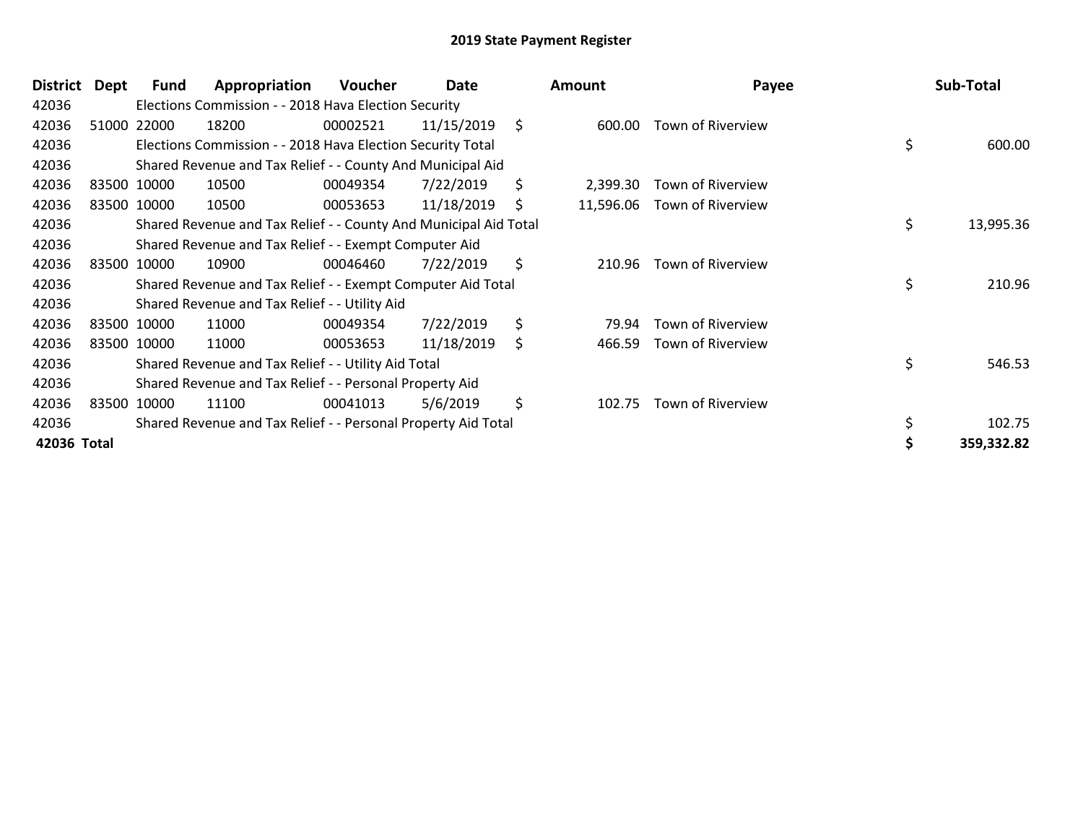| <b>District</b> | Dept | Fund        | Appropriation                                                    | Voucher  | Date       | <b>Amount</b>   | Payee             |    | Sub-Total  |
|-----------------|------|-------------|------------------------------------------------------------------|----------|------------|-----------------|-------------------|----|------------|
| 42036           |      |             | Elections Commission - - 2018 Hava Election Security             |          |            |                 |                   |    |            |
| 42036           |      | 51000 22000 | 18200                                                            | 00002521 | 11/15/2019 | \$<br>600.00    | Town of Riverview |    |            |
| 42036           |      |             | Elections Commission - - 2018 Hava Election Security Total       |          |            |                 |                   | \$ | 600.00     |
| 42036           |      |             | Shared Revenue and Tax Relief - - County And Municipal Aid       |          |            |                 |                   |    |            |
| 42036           |      | 83500 10000 | 10500                                                            | 00049354 | 7/22/2019  | \$<br>2,399.30  | Town of Riverview |    |            |
| 42036           |      | 83500 10000 | 10500                                                            | 00053653 | 11/18/2019 | \$<br>11,596.06 | Town of Riverview |    |            |
| 42036           |      |             | Shared Revenue and Tax Relief - - County And Municipal Aid Total |          |            |                 |                   | \$ | 13,995.36  |
| 42036           |      |             | Shared Revenue and Tax Relief - - Exempt Computer Aid            |          |            |                 |                   |    |            |
| 42036           |      | 83500 10000 | 10900                                                            | 00046460 | 7/22/2019  | \$<br>210.96    | Town of Riverview |    |            |
| 42036           |      |             | Shared Revenue and Tax Relief - - Exempt Computer Aid Total      |          |            |                 |                   | \$ | 210.96     |
| 42036           |      |             | Shared Revenue and Tax Relief - - Utility Aid                    |          |            |                 |                   |    |            |
| 42036           |      | 83500 10000 | 11000                                                            | 00049354 | 7/22/2019  | \$<br>79.94     | Town of Riverview |    |            |
| 42036           |      | 83500 10000 | 11000                                                            | 00053653 | 11/18/2019 | \$<br>466.59    | Town of Riverview |    |            |
| 42036           |      |             | Shared Revenue and Tax Relief - - Utility Aid Total              |          |            |                 |                   | \$ | 546.53     |
| 42036           |      |             | Shared Revenue and Tax Relief - - Personal Property Aid          |          |            |                 |                   |    |            |
| 42036           |      | 83500 10000 | 11100                                                            | 00041013 | 5/6/2019   | \$<br>102.75    | Town of Riverview |    |            |
| 42036           |      |             | Shared Revenue and Tax Relief - - Personal Property Aid Total    |          |            |                 |                   | \$ | 102.75     |
| 42036 Total     |      |             |                                                                  |          |            |                 |                   | Ś  | 359,332.82 |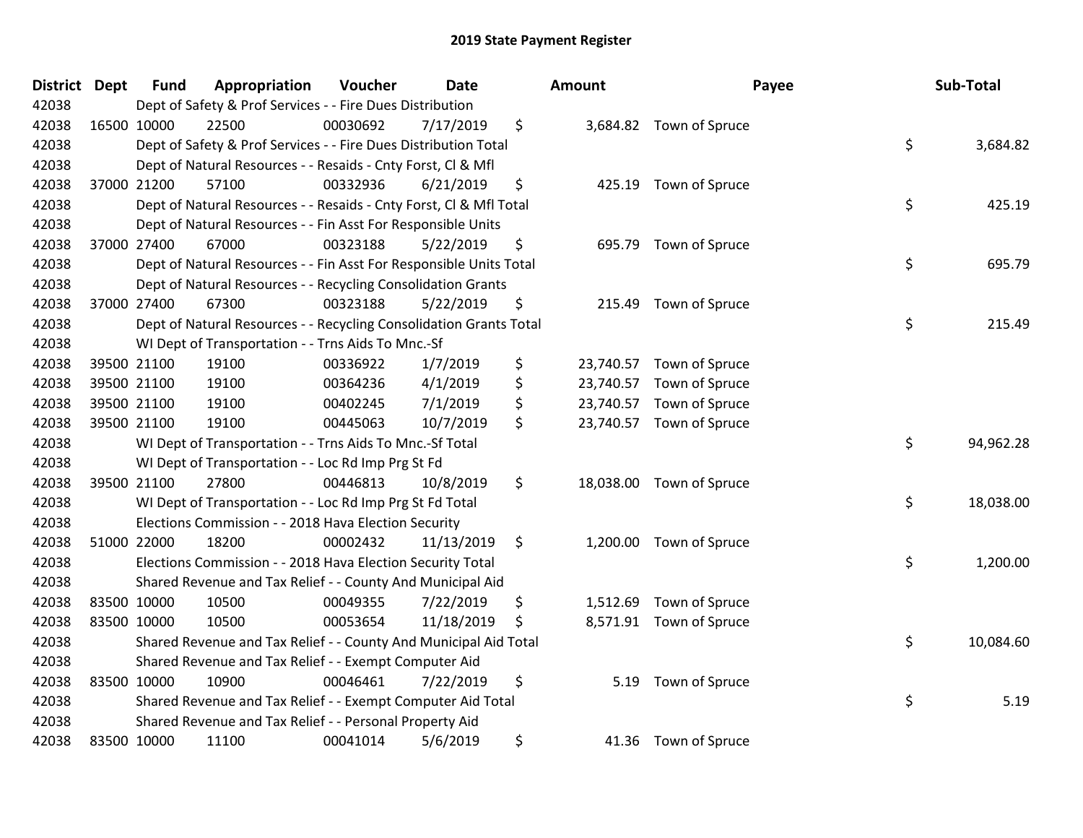| District Dept | <b>Fund</b> | Appropriation                                                      | Voucher  | <b>Date</b> |                    | <b>Amount</b> | Payee                   | Sub-Total       |
|---------------|-------------|--------------------------------------------------------------------|----------|-------------|--------------------|---------------|-------------------------|-----------------|
| 42038         |             | Dept of Safety & Prof Services - - Fire Dues Distribution          |          |             |                    |               |                         |                 |
| 42038         | 16500 10000 | 22500                                                              | 00030692 | 7/17/2019   | \$                 |               | 3,684.82 Town of Spruce |                 |
| 42038         |             | Dept of Safety & Prof Services - - Fire Dues Distribution Total    |          |             |                    |               |                         | \$<br>3,684.82  |
| 42038         |             | Dept of Natural Resources - - Resaids - Cnty Forst, CI & Mfl       |          |             |                    |               |                         |                 |
| 42038         | 37000 21200 | 57100                                                              | 00332936 | 6/21/2019   | \$                 | 425.19        | Town of Spruce          |                 |
| 42038         |             | Dept of Natural Resources - - Resaids - Cnty Forst, Cl & Mfl Total |          |             |                    |               |                         | \$<br>425.19    |
| 42038         |             | Dept of Natural Resources - - Fin Asst For Responsible Units       |          |             |                    |               |                         |                 |
| 42038         | 37000 27400 | 67000                                                              | 00323188 | 5/22/2019   | \$                 | 695.79        | Town of Spruce          |                 |
| 42038         |             | Dept of Natural Resources - - Fin Asst For Responsible Units Total |          |             |                    |               |                         | \$<br>695.79    |
| 42038         |             | Dept of Natural Resources - - Recycling Consolidation Grants       |          |             |                    |               |                         |                 |
| 42038         | 37000 27400 | 67300                                                              | 00323188 | 5/22/2019   | \$                 | 215.49        | Town of Spruce          |                 |
| 42038         |             | Dept of Natural Resources - - Recycling Consolidation Grants Total |          |             |                    |               |                         | \$<br>215.49    |
| 42038         |             | WI Dept of Transportation - - Trns Aids To Mnc.-Sf                 |          |             |                    |               |                         |                 |
| 42038         | 39500 21100 | 19100                                                              | 00336922 | 1/7/2019    | \$                 | 23,740.57     | Town of Spruce          |                 |
| 42038         | 39500 21100 | 19100                                                              | 00364236 | 4/1/2019    | \$                 | 23,740.57     | Town of Spruce          |                 |
| 42038         | 39500 21100 | 19100                                                              | 00402245 | 7/1/2019    | \$                 | 23,740.57     | Town of Spruce          |                 |
| 42038         | 39500 21100 | 19100                                                              | 00445063 | 10/7/2019   | \$                 | 23,740.57     | Town of Spruce          |                 |
| 42038         |             | WI Dept of Transportation - - Trns Aids To Mnc.-Sf Total           |          |             |                    |               |                         | \$<br>94,962.28 |
| 42038         |             | WI Dept of Transportation - - Loc Rd Imp Prg St Fd                 |          |             |                    |               |                         |                 |
| 42038         | 39500 21100 | 27800                                                              | 00446813 | 10/8/2019   | \$                 | 18,038.00     | Town of Spruce          |                 |
| 42038         |             | WI Dept of Transportation - - Loc Rd Imp Prg St Fd Total           |          |             |                    |               |                         | \$<br>18,038.00 |
| 42038         |             | Elections Commission - - 2018 Hava Election Security               |          |             |                    |               |                         |                 |
| 42038         | 51000 22000 | 18200                                                              | 00002432 | 11/13/2019  | $\ddot{\varsigma}$ |               | 1,200.00 Town of Spruce |                 |
| 42038         |             | Elections Commission - - 2018 Hava Election Security Total         |          |             |                    |               |                         | \$<br>1,200.00  |
| 42038         |             | Shared Revenue and Tax Relief - - County And Municipal Aid         |          |             |                    |               |                         |                 |
| 42038         | 83500 10000 | 10500                                                              | 00049355 | 7/22/2019   | \$                 | 1,512.69      | Town of Spruce          |                 |
| 42038         | 83500 10000 | 10500                                                              | 00053654 | 11/18/2019  | \$                 | 8,571.91      | Town of Spruce          |                 |
| 42038         |             | Shared Revenue and Tax Relief - - County And Municipal Aid Total   |          |             |                    |               |                         | \$<br>10,084.60 |
| 42038         |             | Shared Revenue and Tax Relief - - Exempt Computer Aid              |          |             |                    |               |                         |                 |
| 42038         | 83500 10000 | 10900                                                              | 00046461 | 7/22/2019   | \$                 | 5.19          | Town of Spruce          |                 |
| 42038         |             | Shared Revenue and Tax Relief - - Exempt Computer Aid Total        |          |             |                    |               |                         | \$<br>5.19      |
| 42038         |             | Shared Revenue and Tax Relief - - Personal Property Aid            |          |             |                    |               |                         |                 |
| 42038         | 83500 10000 | 11100                                                              | 00041014 | 5/6/2019    | \$                 |               | 41.36 Town of Spruce    |                 |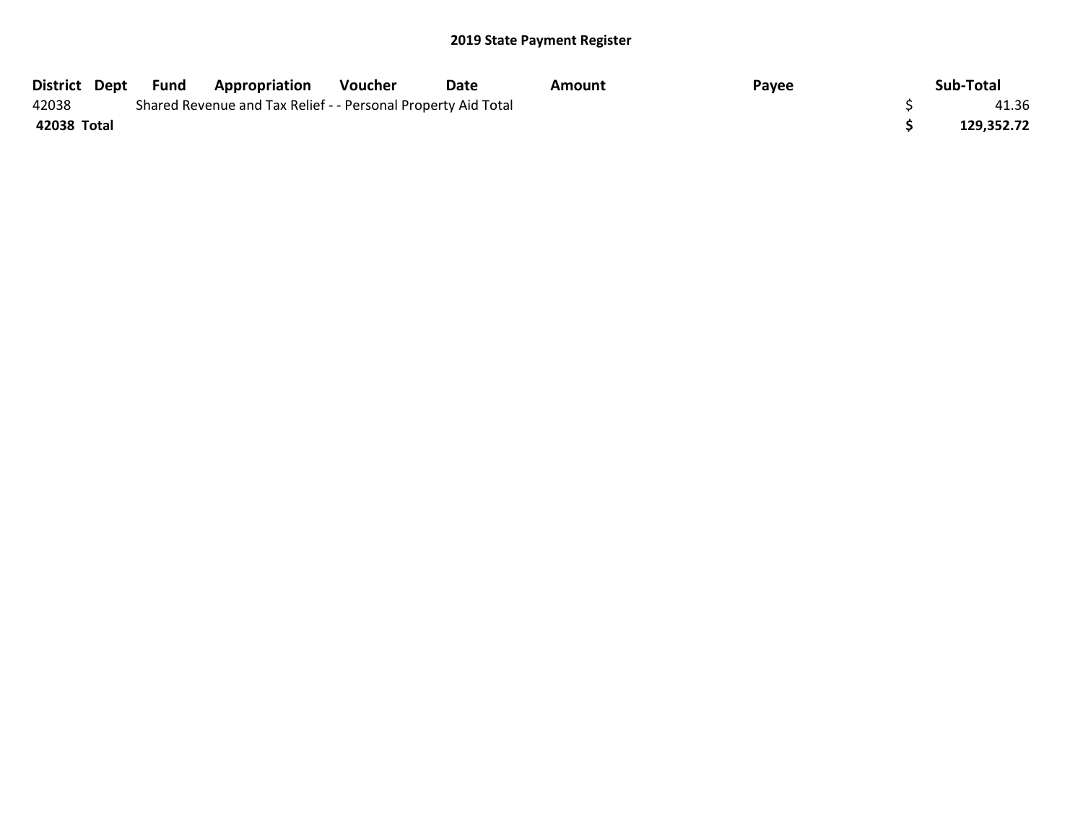| District Dept | Fund | <b>Appropriation</b>                                          | Voucher | Date | Amount | Payee | Sub-Total  |
|---------------|------|---------------------------------------------------------------|---------|------|--------|-------|------------|
| 42038         |      | Shared Revenue and Tax Relief - - Personal Property Aid Total |         |      |        |       | 41.36      |
| 42038 Total   |      |                                                               |         |      |        |       | 129,352.72 |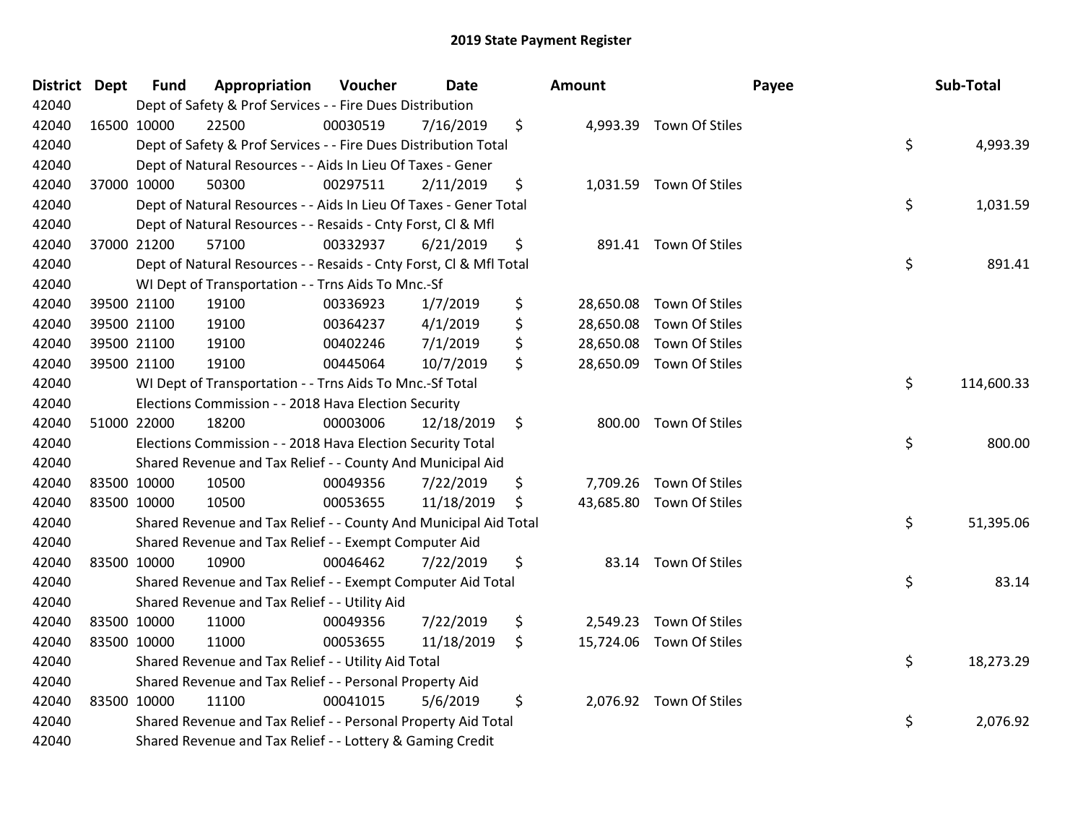| District Dept | <b>Fund</b> | Appropriation                                                      | Voucher  | Date       | Amount          |                          | Payee | Sub-Total  |
|---------------|-------------|--------------------------------------------------------------------|----------|------------|-----------------|--------------------------|-------|------------|
| 42040         |             | Dept of Safety & Prof Services - - Fire Dues Distribution          |          |            |                 |                          |       |            |
| 42040         | 16500 10000 | 22500                                                              | 00030519 | 7/16/2019  | \$              | 4,993.39 Town Of Stiles  |       |            |
| 42040         |             | Dept of Safety & Prof Services - - Fire Dues Distribution Total    |          |            |                 |                          | \$    | 4,993.39   |
| 42040         |             | Dept of Natural Resources - - Aids In Lieu Of Taxes - Gener        |          |            |                 |                          |       |            |
| 42040         | 37000 10000 | 50300                                                              | 00297511 | 2/11/2019  | \$              | 1,031.59 Town Of Stiles  |       |            |
| 42040         |             | Dept of Natural Resources - - Aids In Lieu Of Taxes - Gener Total  |          |            |                 |                          | \$    | 1,031.59   |
| 42040         |             | Dept of Natural Resources - - Resaids - Cnty Forst, Cl & Mfl       |          |            |                 |                          |       |            |
| 42040         | 37000 21200 | 57100                                                              | 00332937 | 6/21/2019  | \$              | 891.41 Town Of Stiles    |       |            |
| 42040         |             | Dept of Natural Resources - - Resaids - Cnty Forst, Cl & Mfl Total |          |            |                 |                          | \$    | 891.41     |
| 42040         |             | WI Dept of Transportation - - Trns Aids To Mnc.-Sf                 |          |            |                 |                          |       |            |
| 42040         | 39500 21100 | 19100                                                              | 00336923 | 1/7/2019   | \$<br>28,650.08 | Town Of Stiles           |       |            |
| 42040         | 39500 21100 | 19100                                                              | 00364237 | 4/1/2019   | \$<br>28,650.08 | Town Of Stiles           |       |            |
| 42040         | 39500 21100 | 19100                                                              | 00402246 | 7/1/2019   | \$              | 28,650.08 Town Of Stiles |       |            |
| 42040         | 39500 21100 | 19100                                                              | 00445064 | 10/7/2019  | \$              | 28,650.09 Town Of Stiles |       |            |
| 42040         |             | WI Dept of Transportation - - Trns Aids To Mnc.-Sf Total           |          |            |                 |                          | \$    | 114,600.33 |
| 42040         |             | Elections Commission - - 2018 Hava Election Security               |          |            |                 |                          |       |            |
| 42040         | 51000 22000 | 18200                                                              | 00003006 | 12/18/2019 | \$              | 800.00 Town Of Stiles    |       |            |
| 42040         |             | Elections Commission - - 2018 Hava Election Security Total         |          |            |                 |                          | \$    | 800.00     |
| 42040         |             | Shared Revenue and Tax Relief - - County And Municipal Aid         |          |            |                 |                          |       |            |
| 42040         | 83500 10000 | 10500                                                              | 00049356 | 7/22/2019  | \$              | 7,709.26 Town Of Stiles  |       |            |
| 42040         | 83500 10000 | 10500                                                              | 00053655 | 11/18/2019 | \$              | 43,685.80 Town Of Stiles |       |            |
| 42040         |             | Shared Revenue and Tax Relief - - County And Municipal Aid Total   |          |            |                 |                          | \$    | 51,395.06  |
| 42040         |             | Shared Revenue and Tax Relief - - Exempt Computer Aid              |          |            |                 |                          |       |            |
| 42040         | 83500 10000 | 10900                                                              | 00046462 | 7/22/2019  | \$              | 83.14 Town Of Stiles     |       |            |
| 42040         |             | Shared Revenue and Tax Relief - - Exempt Computer Aid Total        |          |            |                 |                          | \$    | 83.14      |
| 42040         |             | Shared Revenue and Tax Relief - - Utility Aid                      |          |            |                 |                          |       |            |
| 42040         | 83500 10000 | 11000                                                              | 00049356 | 7/22/2019  | \$              | 2,549.23 Town Of Stiles  |       |            |
| 42040         | 83500 10000 | 11000                                                              | 00053655 | 11/18/2019 | \$              | 15,724.06 Town Of Stiles |       |            |
| 42040         |             | Shared Revenue and Tax Relief - - Utility Aid Total                |          |            |                 |                          | \$    | 18,273.29  |
| 42040         |             | Shared Revenue and Tax Relief - - Personal Property Aid            |          |            |                 |                          |       |            |
| 42040         | 83500 10000 | 11100                                                              | 00041015 | 5/6/2019   | \$              | 2,076.92 Town Of Stiles  |       |            |
| 42040         |             | Shared Revenue and Tax Relief - - Personal Property Aid Total      |          |            |                 |                          | \$    | 2,076.92   |
| 42040         |             | Shared Revenue and Tax Relief - - Lottery & Gaming Credit          |          |            |                 |                          |       |            |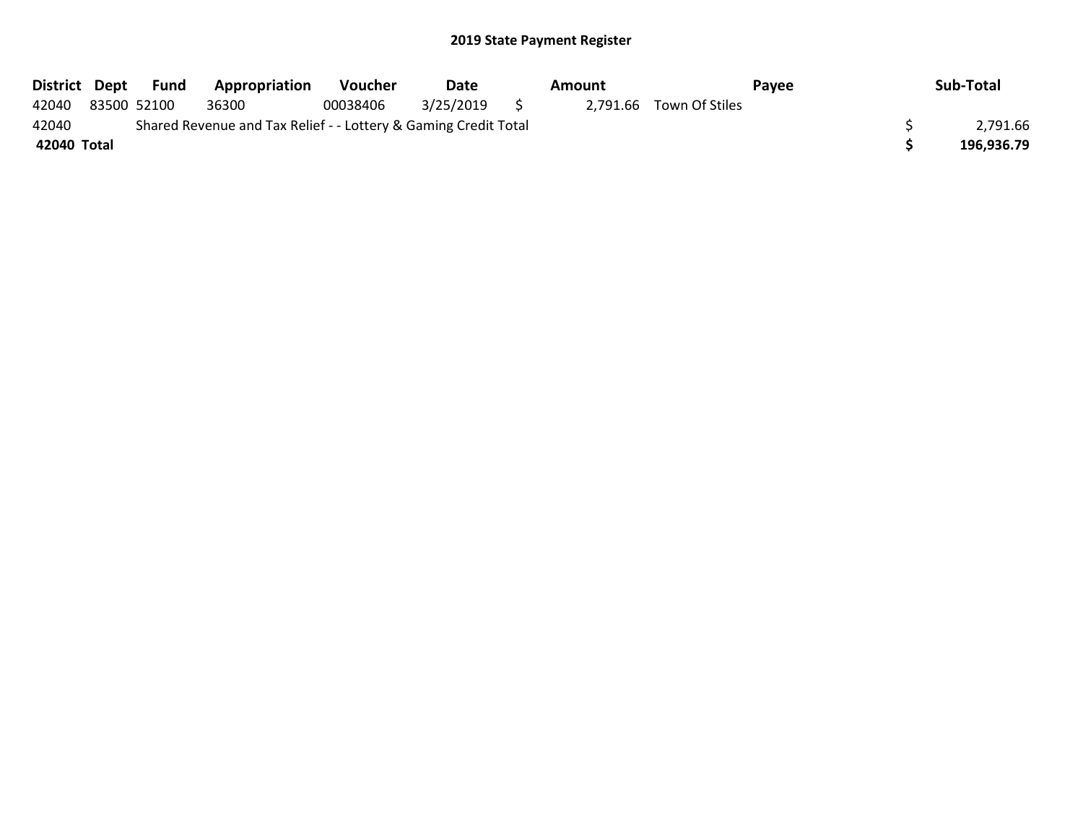|             | District Dept Fund | Appropriation                                                   | <b>Voucher</b> | Date         | Amount |                         | <b>Pavee</b> | Sub-Total  |
|-------------|--------------------|-----------------------------------------------------------------|----------------|--------------|--------|-------------------------|--------------|------------|
| 42040       | 83500 52100        | 36300                                                           | 00038406       | 3/25/2019 \$ |        | 2,791.66 Town Of Stiles |              |            |
| 42040       |                    | Shared Revenue and Tax Relief - - Lottery & Gaming Credit Total |                |              |        |                         |              | 2,791.66   |
| 42040 Total |                    |                                                                 |                |              |        |                         |              | 196,936.79 |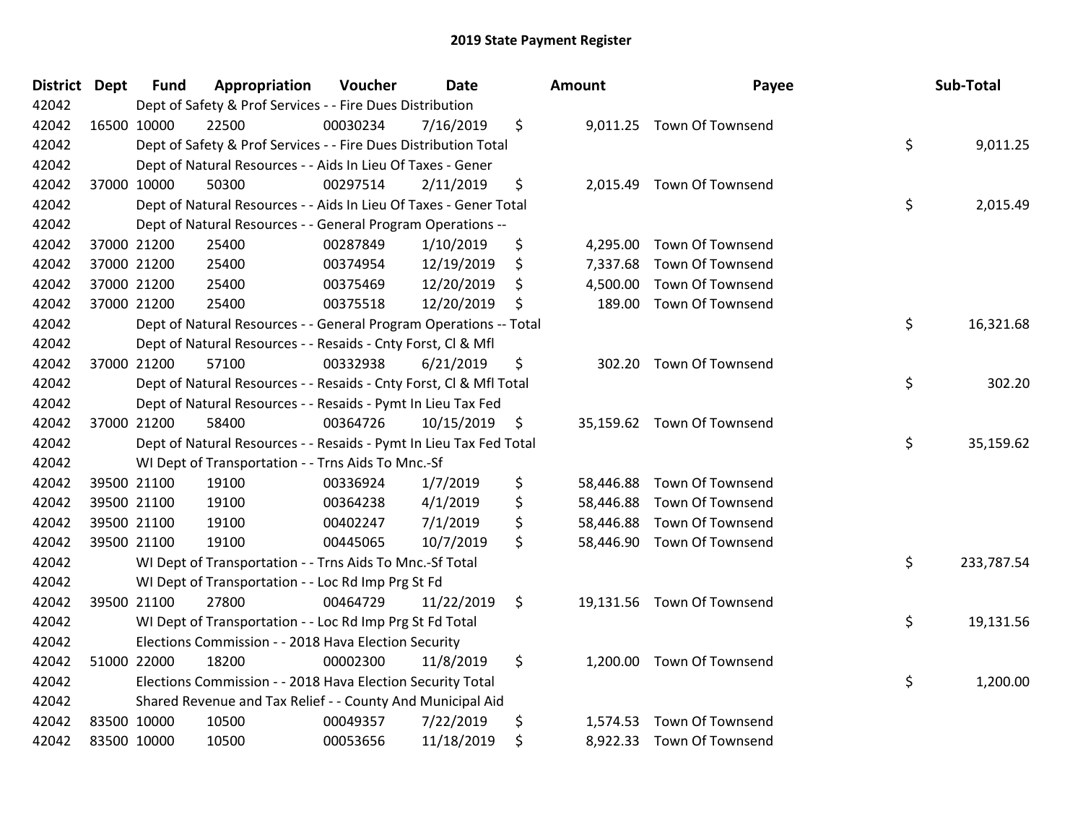| <b>District</b> | <b>Dept</b> | <b>Fund</b> | Appropriation                                                      | Voucher  | <b>Date</b> | Amount          | Payee                      | Sub-Total        |
|-----------------|-------------|-------------|--------------------------------------------------------------------|----------|-------------|-----------------|----------------------------|------------------|
| 42042           |             |             | Dept of Safety & Prof Services - - Fire Dues Distribution          |          |             |                 |                            |                  |
| 42042           |             | 16500 10000 | 22500                                                              | 00030234 | 7/16/2019   | \$              | 9,011.25 Town Of Townsend  |                  |
| 42042           |             |             | Dept of Safety & Prof Services - - Fire Dues Distribution Total    |          |             |                 |                            | \$<br>9,011.25   |
| 42042           |             |             | Dept of Natural Resources - - Aids In Lieu Of Taxes - Gener        |          |             |                 |                            |                  |
| 42042           |             | 37000 10000 | 50300                                                              | 00297514 | 2/11/2019   | \$              | 2,015.49 Town Of Townsend  |                  |
| 42042           |             |             | Dept of Natural Resources - - Aids In Lieu Of Taxes - Gener Total  |          |             |                 |                            | \$<br>2,015.49   |
| 42042           |             |             | Dept of Natural Resources - - General Program Operations --        |          |             |                 |                            |                  |
| 42042           |             | 37000 21200 | 25400                                                              | 00287849 | 1/10/2019   | \$<br>4,295.00  | Town Of Townsend           |                  |
| 42042           |             | 37000 21200 | 25400                                                              | 00374954 | 12/19/2019  | \$              | 7,337.68 Town Of Townsend  |                  |
| 42042           |             | 37000 21200 | 25400                                                              | 00375469 | 12/20/2019  | \$<br>4,500.00  | <b>Town Of Townsend</b>    |                  |
| 42042           |             | 37000 21200 | 25400                                                              | 00375518 | 12/20/2019  | \$<br>189.00    | Town Of Townsend           |                  |
| 42042           |             |             | Dept of Natural Resources - - General Program Operations -- Total  |          |             |                 |                            | \$<br>16,321.68  |
| 42042           |             |             | Dept of Natural Resources - - Resaids - Cnty Forst, Cl & Mfl       |          |             |                 |                            |                  |
| 42042           |             | 37000 21200 | 57100                                                              | 00332938 | 6/21/2019   | \$<br>302.20    | Town Of Townsend           |                  |
| 42042           |             |             | Dept of Natural Resources - - Resaids - Cnty Forst, CI & Mfl Total |          |             |                 |                            | \$<br>302.20     |
| 42042           |             |             | Dept of Natural Resources - - Resaids - Pymt In Lieu Tax Fed       |          |             |                 |                            |                  |
| 42042           |             | 37000 21200 | 58400                                                              | 00364726 | 10/15/2019  | \$              | 35,159.62 Town Of Townsend |                  |
| 42042           |             |             | Dept of Natural Resources - - Resaids - Pymt In Lieu Tax Fed Total |          |             |                 |                            | \$<br>35,159.62  |
| 42042           |             |             | WI Dept of Transportation - - Trns Aids To Mnc.-Sf                 |          |             |                 |                            |                  |
| 42042           |             | 39500 21100 | 19100                                                              | 00336924 | 1/7/2019    | \$<br>58,446.88 | <b>Town Of Townsend</b>    |                  |
| 42042           |             | 39500 21100 | 19100                                                              | 00364238 | 4/1/2019    | \$<br>58,446.88 | Town Of Townsend           |                  |
| 42042           |             | 39500 21100 | 19100                                                              | 00402247 | 7/1/2019    | \$<br>58,446.88 | Town Of Townsend           |                  |
| 42042           |             | 39500 21100 | 19100                                                              | 00445065 | 10/7/2019   | \$              | 58,446.90 Town Of Townsend |                  |
| 42042           |             |             | WI Dept of Transportation - - Trns Aids To Mnc.-Sf Total           |          |             |                 |                            | \$<br>233,787.54 |
| 42042           |             |             | WI Dept of Transportation - - Loc Rd Imp Prg St Fd                 |          |             |                 |                            |                  |
| 42042           |             | 39500 21100 | 27800                                                              | 00464729 | 11/22/2019  | \$              | 19,131.56 Town Of Townsend |                  |
| 42042           |             |             | WI Dept of Transportation - - Loc Rd Imp Prg St Fd Total           |          |             |                 |                            | \$<br>19,131.56  |
| 42042           |             |             | Elections Commission - - 2018 Hava Election Security               |          |             |                 |                            |                  |
| 42042           |             | 51000 22000 | 18200                                                              | 00002300 | 11/8/2019   | \$<br>1,200.00  | Town Of Townsend           |                  |
| 42042           |             |             | Elections Commission - - 2018 Hava Election Security Total         |          |             |                 |                            | \$<br>1,200.00   |
| 42042           |             |             | Shared Revenue and Tax Relief - - County And Municipal Aid         |          |             |                 |                            |                  |
| 42042           |             | 83500 10000 | 10500                                                              | 00049357 | 7/22/2019   | \$<br>1,574.53  | Town Of Townsend           |                  |
| 42042           |             | 83500 10000 | 10500                                                              | 00053656 | 11/18/2019  | \$              | 8,922.33 Town Of Townsend  |                  |
|                 |             |             |                                                                    |          |             |                 |                            |                  |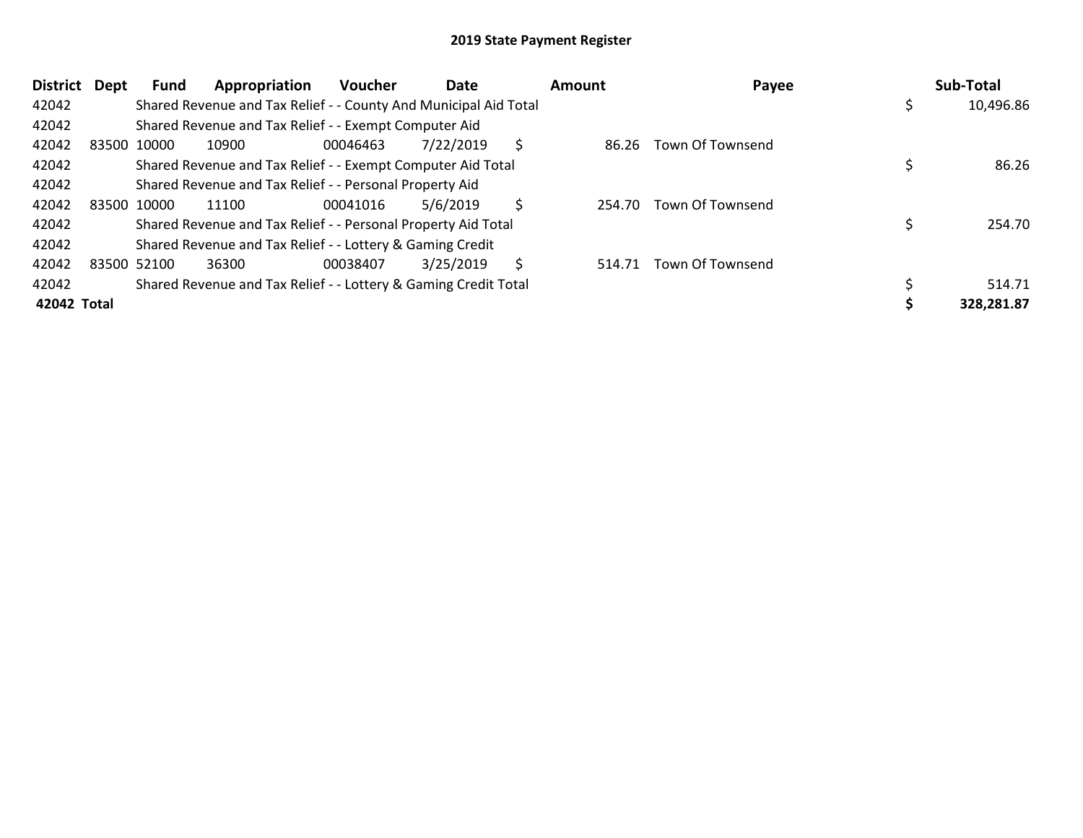| <b>District</b><br>Dept | Fund        | Appropriation                                                    | <b>Voucher</b> | Date      |   | Amount | Payee                   | Sub-Total  |
|-------------------------|-------------|------------------------------------------------------------------|----------------|-----------|---|--------|-------------------------|------------|
| 42042                   |             | Shared Revenue and Tax Relief - - County And Municipal Aid Total |                |           |   |        |                         | 10,496.86  |
| 42042                   |             | Shared Revenue and Tax Relief - - Exempt Computer Aid            |                |           |   |        |                         |            |
| 42042                   | 83500 10000 | 10900                                                            | 00046463       | 7/22/2019 | S |        | 86.26 Town Of Townsend  |            |
| 42042                   |             | Shared Revenue and Tax Relief - - Exempt Computer Aid Total      |                |           |   |        |                         | 86.26      |
| 42042                   |             | Shared Revenue and Tax Relief - - Personal Property Aid          |                |           |   |        |                         |            |
| 42042                   | 83500 10000 | 11100                                                            | 00041016       | 5/6/2019  | S | 254.70 | Town Of Townsend        |            |
| 42042                   |             | Shared Revenue and Tax Relief - - Personal Property Aid Total    |                |           |   |        |                         | 254.70     |
| 42042                   |             | Shared Revenue and Tax Relief - - Lottery & Gaming Credit        |                |           |   |        |                         |            |
| 42042                   | 83500 52100 | 36300                                                            | 00038407       | 3/25/2019 | S | 514.71 | <b>Town Of Townsend</b> |            |
| 42042                   |             | Shared Revenue and Tax Relief - - Lottery & Gaming Credit Total  |                |           |   |        |                         | 514.71     |
| 42042 Total             |             |                                                                  |                |           |   |        |                         | 328,281.87 |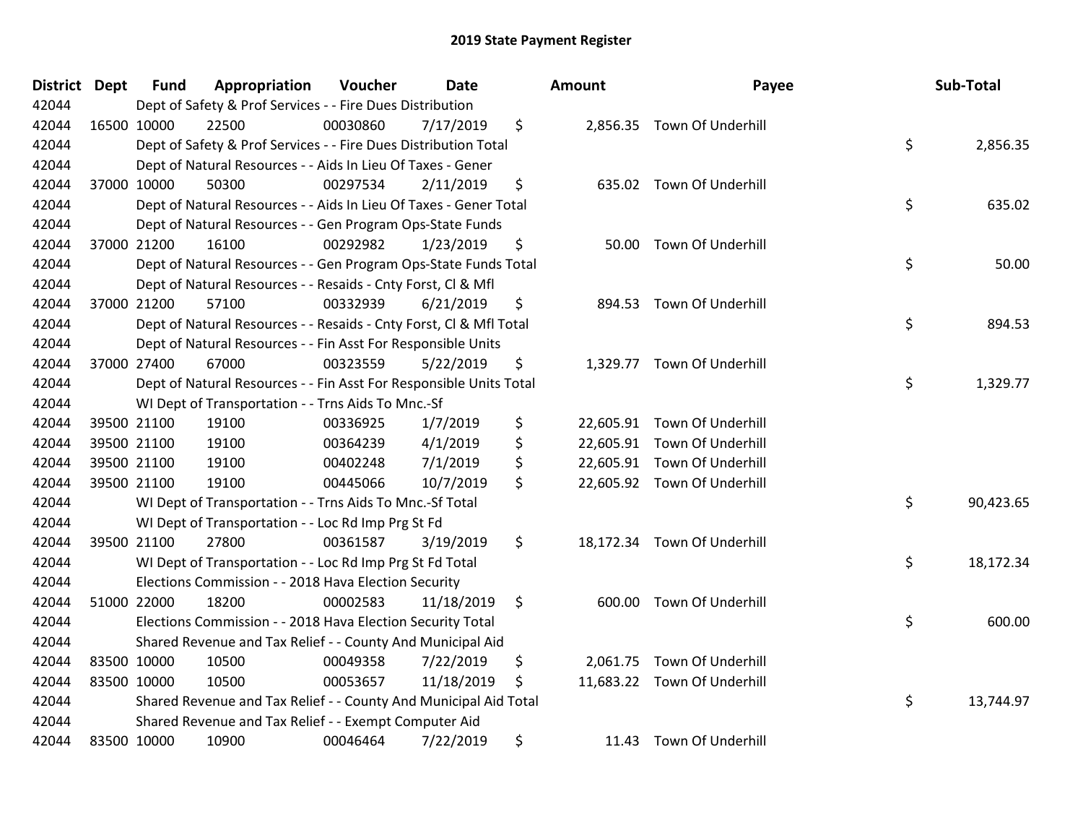| <b>District Dept</b> | <b>Fund</b> | Appropriation                                                      | Voucher  | Date       | Amount      | Payee                       | Sub-Total       |
|----------------------|-------------|--------------------------------------------------------------------|----------|------------|-------------|-----------------------------|-----------------|
| 42044                |             | Dept of Safety & Prof Services - - Fire Dues Distribution          |          |            |             |                             |                 |
| 42044                | 16500 10000 | 22500                                                              | 00030860 | 7/17/2019  | \$          | 2,856.35 Town Of Underhill  |                 |
| 42044                |             | Dept of Safety & Prof Services - - Fire Dues Distribution Total    |          |            |             |                             | \$<br>2,856.35  |
| 42044                |             | Dept of Natural Resources - - Aids In Lieu Of Taxes - Gener        |          |            |             |                             |                 |
| 42044                | 37000 10000 | 50300                                                              | 00297534 | 2/11/2019  | \$          | 635.02 Town Of Underhill    |                 |
| 42044                |             | Dept of Natural Resources - - Aids In Lieu Of Taxes - Gener Total  |          |            |             |                             | \$<br>635.02    |
| 42044                |             | Dept of Natural Resources - - Gen Program Ops-State Funds          |          |            |             |                             |                 |
| 42044                | 37000 21200 | 16100                                                              | 00292982 | 1/23/2019  | \$          | 50.00 Town Of Underhill     |                 |
| 42044                |             | Dept of Natural Resources - - Gen Program Ops-State Funds Total    |          |            |             |                             | \$<br>50.00     |
| 42044                |             | Dept of Natural Resources - - Resaids - Cnty Forst, CI & Mfl       |          |            |             |                             |                 |
| 42044                | 37000 21200 | 57100                                                              | 00332939 | 6/21/2019  | \$          | 894.53 Town Of Underhill    |                 |
| 42044                |             | Dept of Natural Resources - - Resaids - Cnty Forst, CI & Mfl Total |          |            |             |                             | \$<br>894.53    |
| 42044                |             | Dept of Natural Resources - - Fin Asst For Responsible Units       |          |            |             |                             |                 |
| 42044                | 37000 27400 | 67000                                                              | 00323559 | 5/22/2019  | \$          | 1,329.77 Town Of Underhill  |                 |
| 42044                |             | Dept of Natural Resources - - Fin Asst For Responsible Units Total |          |            |             |                             | \$<br>1,329.77  |
| 42044                |             | WI Dept of Transportation - - Trns Aids To Mnc.-Sf                 |          |            |             |                             |                 |
| 42044                | 39500 21100 | 19100                                                              | 00336925 | 1/7/2019   | \$          | 22,605.91 Town Of Underhill |                 |
| 42044                | 39500 21100 | 19100                                                              | 00364239 | 4/1/2019   | \$          | 22,605.91 Town Of Underhill |                 |
| 42044                | 39500 21100 | 19100                                                              | 00402248 | 7/1/2019   | \$          | 22,605.91 Town Of Underhill |                 |
| 42044                | 39500 21100 | 19100                                                              | 00445066 | 10/7/2019  | \$          | 22,605.92 Town Of Underhill |                 |
| 42044                |             | WI Dept of Transportation - - Trns Aids To Mnc.-Sf Total           |          |            |             |                             | \$<br>90,423.65 |
| 42044                |             | WI Dept of Transportation - - Loc Rd Imp Prg St Fd                 |          |            |             |                             |                 |
| 42044                | 39500 21100 | 27800                                                              | 00361587 | 3/19/2019  | \$          | 18,172.34 Town Of Underhill |                 |
| 42044                |             | WI Dept of Transportation - - Loc Rd Imp Prg St Fd Total           |          |            |             |                             | \$<br>18,172.34 |
| 42044                |             | Elections Commission - - 2018 Hava Election Security               |          |            |             |                             |                 |
| 42044                | 51000 22000 | 18200                                                              | 00002583 | 11/18/2019 | \$          | 600.00 Town Of Underhill    |                 |
| 42044                |             | Elections Commission - - 2018 Hava Election Security Total         |          |            |             |                             | \$<br>600.00    |
| 42044                |             | Shared Revenue and Tax Relief - - County And Municipal Aid         |          |            |             |                             |                 |
| 42044                | 83500 10000 | 10500                                                              | 00049358 | 7/22/2019  | \$          | 2,061.75 Town Of Underhill  |                 |
| 42044                | 83500 10000 | 10500                                                              | 00053657 | 11/18/2019 | \$          | 11,683.22 Town Of Underhill |                 |
| 42044                |             | Shared Revenue and Tax Relief - - County And Municipal Aid Total   |          |            |             |                             | \$<br>13,744.97 |
| 42044                |             | Shared Revenue and Tax Relief - - Exempt Computer Aid              |          |            |             |                             |                 |
| 42044                | 83500 10000 | 10900                                                              | 00046464 | 7/22/2019  | \$<br>11.43 | Town Of Underhill           |                 |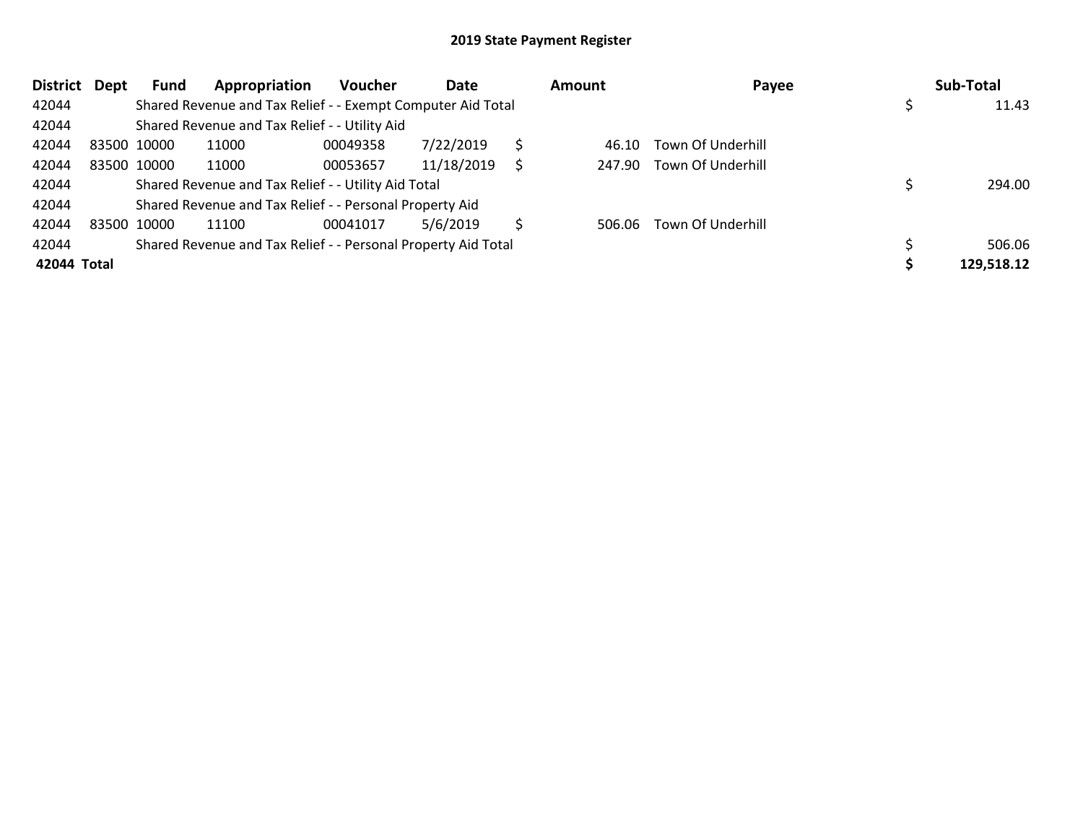| <b>District</b> | <b>Dept</b> | Fund        | Appropriation                                                 | <b>Voucher</b> | Date       |   | Amount | Payee             | Sub-Total  |
|-----------------|-------------|-------------|---------------------------------------------------------------|----------------|------------|---|--------|-------------------|------------|
| 42044           |             |             | Shared Revenue and Tax Relief - - Exempt Computer Aid Total   |                |            |   |        |                   | 11.43      |
| 42044           |             |             | Shared Revenue and Tax Relief - - Utility Aid                 |                |            |   |        |                   |            |
| 42044           |             | 83500 10000 | 11000                                                         | 00049358       | 7/22/2019  |   | 46.10  | Town Of Underhill |            |
| 42044           |             | 83500 10000 | 11000                                                         | 00053657       | 11/18/2019 |   | 247.90 | Town Of Underhill |            |
| 42044           |             |             | Shared Revenue and Tax Relief - - Utility Aid Total           |                |            |   |        |                   | 294.00     |
| 42044           |             |             | Shared Revenue and Tax Relief - - Personal Property Aid       |                |            |   |        |                   |            |
| 42044           |             | 83500 10000 | 11100                                                         | 00041017       | 5/6/2019   | Ś | 506.06 | Town Of Underhill |            |
| 42044           |             |             | Shared Revenue and Tax Relief - - Personal Property Aid Total |                |            |   |        |                   | 506.06     |
| 42044 Total     |             |             |                                                               |                |            |   |        |                   | 129,518.12 |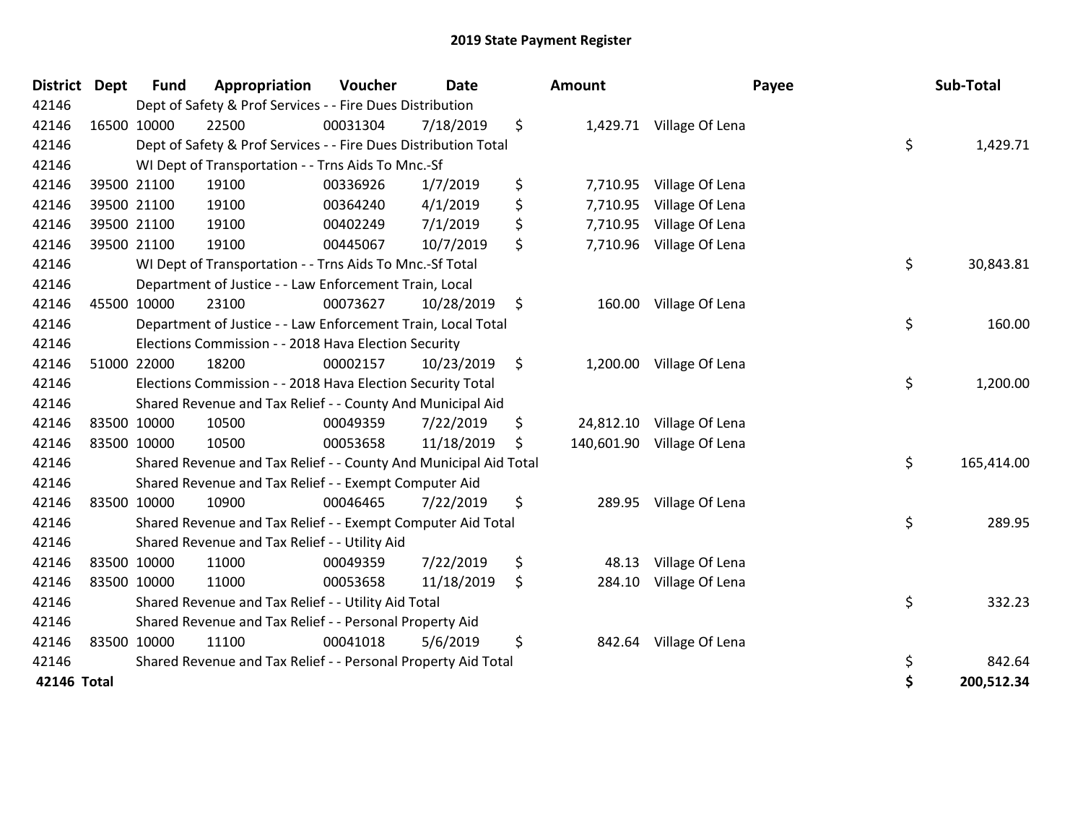| 42146<br>42146 | 16500 10000 | Dept of Safety & Prof Services - - Fire Dues Distribution        |          |            |                  |                           |                  |
|----------------|-------------|------------------------------------------------------------------|----------|------------|------------------|---------------------------|------------------|
|                |             |                                                                  |          |            |                  |                           |                  |
|                |             | 22500                                                            | 00031304 | 7/18/2019  | \$               | 1,429.71 Village Of Lena  |                  |
| 42146          |             | Dept of Safety & Prof Services - - Fire Dues Distribution Total  |          |            |                  |                           | \$<br>1,429.71   |
| 42146          |             | WI Dept of Transportation - - Trns Aids To Mnc.-Sf               |          |            |                  |                           |                  |
| 42146          | 39500 21100 | 19100                                                            | 00336926 | 1/7/2019   | \$<br>7,710.95   | Village Of Lena           |                  |
| 42146          | 39500 21100 | 19100                                                            | 00364240 | 4/1/2019   | \$<br>7,710.95   | Village Of Lena           |                  |
| 42146          | 39500 21100 | 19100                                                            | 00402249 | 7/1/2019   | \$<br>7,710.95   | Village Of Lena           |                  |
| 42146          | 39500 21100 | 19100                                                            | 00445067 | 10/7/2019  | \$<br>7,710.96   | Village Of Lena           |                  |
| 42146          |             | WI Dept of Transportation - - Trns Aids To Mnc.-Sf Total         |          |            |                  |                           | \$<br>30,843.81  |
| 42146          |             | Department of Justice - - Law Enforcement Train, Local           |          |            |                  |                           |                  |
| 42146          | 45500 10000 | 23100                                                            | 00073627 | 10/28/2019 | \$<br>160.00     | Village Of Lena           |                  |
| 42146          |             | Department of Justice - - Law Enforcement Train, Local Total     |          |            |                  |                           | \$<br>160.00     |
| 42146          |             | Elections Commission - - 2018 Hava Election Security             |          |            |                  |                           |                  |
| 42146          | 51000 22000 | 18200                                                            | 00002157 | 10/23/2019 | \$<br>1,200.00   | Village Of Lena           |                  |
| 42146          |             | Elections Commission - - 2018 Hava Election Security Total       |          |            |                  |                           | \$<br>1,200.00   |
| 42146          |             | Shared Revenue and Tax Relief - - County And Municipal Aid       |          |            |                  |                           |                  |
| 42146          | 83500 10000 | 10500                                                            | 00049359 | 7/22/2019  | \$               | 24,812.10 Village Of Lena |                  |
| 42146          | 83500 10000 | 10500                                                            | 00053658 | 11/18/2019 | \$<br>140,601.90 | Village Of Lena           |                  |
| 42146          |             | Shared Revenue and Tax Relief - - County And Municipal Aid Total |          |            |                  |                           | \$<br>165,414.00 |
| 42146          |             | Shared Revenue and Tax Relief - - Exempt Computer Aid            |          |            |                  |                           |                  |
| 42146          | 83500 10000 | 10900                                                            | 00046465 | 7/22/2019  | \$<br>289.95     | Village Of Lena           |                  |
| 42146          |             | Shared Revenue and Tax Relief - - Exempt Computer Aid Total      |          |            |                  |                           | \$<br>289.95     |
| 42146          |             | Shared Revenue and Tax Relief - - Utility Aid                    |          |            |                  |                           |                  |
| 42146          | 83500 10000 | 11000                                                            | 00049359 | 7/22/2019  | \$<br>48.13      | Village Of Lena           |                  |
| 42146          | 83500 10000 | 11000                                                            | 00053658 | 11/18/2019 | \$<br>284.10     | Village Of Lena           |                  |
| 42146          |             | Shared Revenue and Tax Relief - - Utility Aid Total              |          |            |                  |                           | \$<br>332.23     |
| 42146          |             | Shared Revenue and Tax Relief - - Personal Property Aid          |          |            |                  |                           |                  |
| 42146          | 83500 10000 | 11100                                                            | 00041018 | 5/6/2019   | \$<br>842.64     | Village Of Lena           |                  |
| 42146          |             | Shared Revenue and Tax Relief - - Personal Property Aid Total    |          |            |                  |                           | \$<br>842.64     |
| 42146 Total    |             |                                                                  |          |            |                  |                           | \$<br>200,512.34 |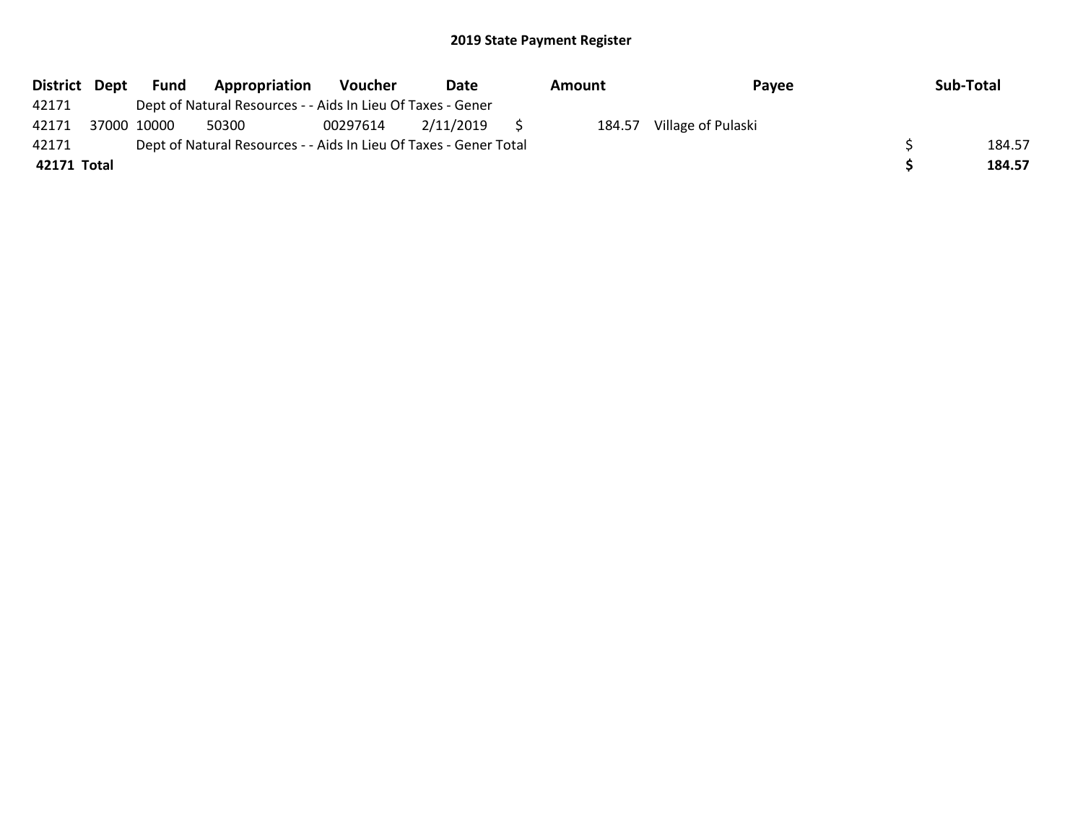| District Dept | Fund        | Appropriation                                                     | Voucher  | Date      | Amount | Payee              | Sub-Total |
|---------------|-------------|-------------------------------------------------------------------|----------|-----------|--------|--------------------|-----------|
| 42171         |             | Dept of Natural Resources - - Aids In Lieu Of Taxes - Gener       |          |           |        |                    |           |
| 42171         | 37000 10000 | 50300                                                             | 00297614 | 2/11/2019 | 184.57 | Village of Pulaski |           |
| 42171         |             | Dept of Natural Resources - - Aids In Lieu Of Taxes - Gener Total |          |           |        |                    | 184.57    |
| 42171 Total   |             |                                                                   |          |           |        |                    | 184.57    |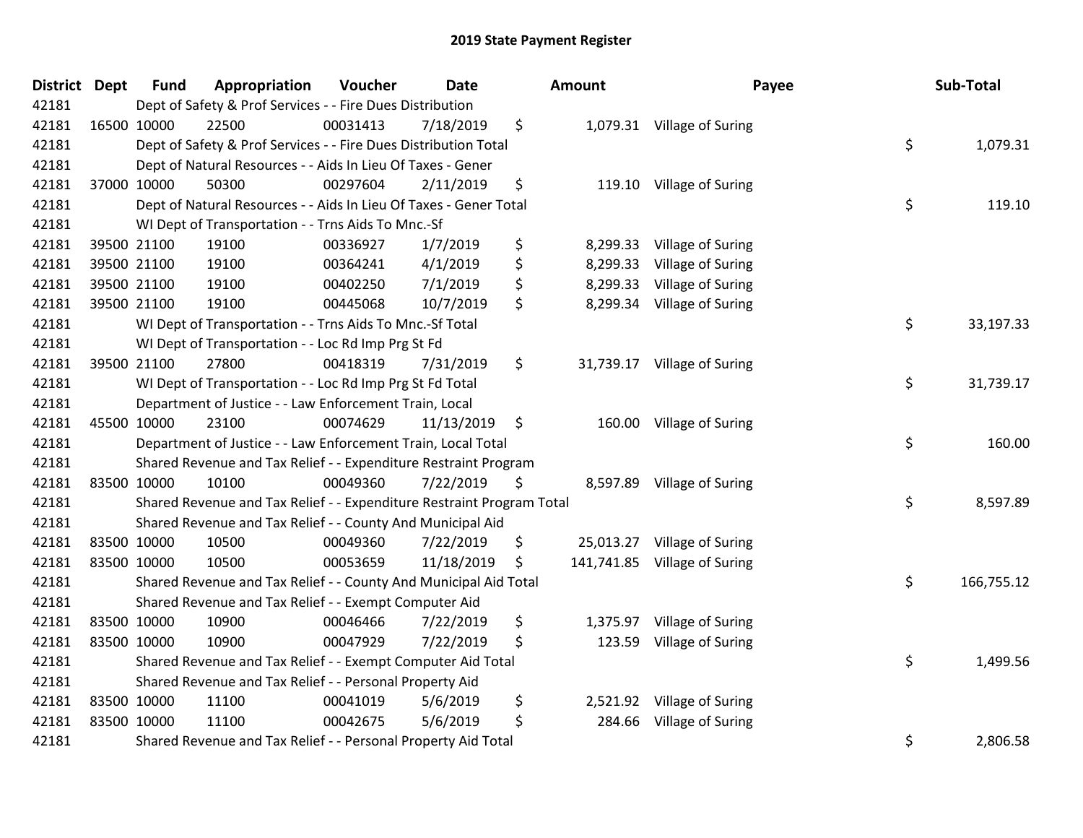| District Dept | <b>Fund</b> | Appropriation                                                         | Voucher  | <b>Date</b> |     | <b>Amount</b> | Payee                        | Sub-Total        |
|---------------|-------------|-----------------------------------------------------------------------|----------|-------------|-----|---------------|------------------------------|------------------|
| 42181         |             | Dept of Safety & Prof Services - - Fire Dues Distribution             |          |             |     |               |                              |                  |
| 42181         | 16500 10000 | 22500                                                                 | 00031413 | 7/18/2019   | \$  |               | 1,079.31 Village of Suring   |                  |
| 42181         |             | Dept of Safety & Prof Services - - Fire Dues Distribution Total       |          |             |     |               |                              | \$<br>1,079.31   |
| 42181         |             | Dept of Natural Resources - - Aids In Lieu Of Taxes - Gener           |          |             |     |               |                              |                  |
| 42181         | 37000 10000 | 50300                                                                 | 00297604 | 2/11/2019   | \$  | 119.10        | Village of Suring            |                  |
| 42181         |             | Dept of Natural Resources - - Aids In Lieu Of Taxes - Gener Total     |          |             |     |               |                              | \$<br>119.10     |
| 42181         |             | WI Dept of Transportation - - Trns Aids To Mnc.-Sf                    |          |             |     |               |                              |                  |
| 42181         | 39500 21100 | 19100                                                                 | 00336927 | 1/7/2019    | \$  | 8,299.33      | Village of Suring            |                  |
| 42181         | 39500 21100 | 19100                                                                 | 00364241 | 4/1/2019    | \$  | 8,299.33      | Village of Suring            |                  |
| 42181         | 39500 21100 | 19100                                                                 | 00402250 | 7/1/2019    | \$  | 8,299.33      | Village of Suring            |                  |
| 42181         | 39500 21100 | 19100                                                                 | 00445068 | 10/7/2019   | \$  | 8,299.34      | Village of Suring            |                  |
| 42181         |             | WI Dept of Transportation - - Trns Aids To Mnc.-Sf Total              |          |             |     |               |                              | \$<br>33,197.33  |
| 42181         |             | WI Dept of Transportation - - Loc Rd Imp Prg St Fd                    |          |             |     |               |                              |                  |
| 42181         | 39500 21100 | 27800                                                                 | 00418319 | 7/31/2019   | \$  |               | 31,739.17 Village of Suring  |                  |
| 42181         |             | WI Dept of Transportation - - Loc Rd Imp Prg St Fd Total              |          |             |     |               |                              | \$<br>31,739.17  |
| 42181         |             | Department of Justice - - Law Enforcement Train, Local                |          |             |     |               |                              |                  |
| 42181         | 45500 10000 | 23100                                                                 | 00074629 | 11/13/2019  | \$  | 160.00        | Village of Suring            |                  |
| 42181         |             | Department of Justice - - Law Enforcement Train, Local Total          |          |             |     |               |                              | \$<br>160.00     |
| 42181         |             | Shared Revenue and Tax Relief - - Expenditure Restraint Program       |          |             |     |               |                              |                  |
| 42181         | 83500 10000 | 10100                                                                 | 00049360 | 7/22/2019   | \$. |               | 8,597.89 Village of Suring   |                  |
| 42181         |             | Shared Revenue and Tax Relief - - Expenditure Restraint Program Total |          |             |     |               |                              | \$<br>8,597.89   |
| 42181         |             | Shared Revenue and Tax Relief - - County And Municipal Aid            |          |             |     |               |                              |                  |
| 42181         | 83500 10000 | 10500                                                                 | 00049360 | 7/22/2019   | \$  |               | 25,013.27 Village of Suring  |                  |
| 42181         | 83500 10000 | 10500                                                                 | 00053659 | 11/18/2019  | \$  |               | 141,741.85 Village of Suring |                  |
| 42181         |             | Shared Revenue and Tax Relief - - County And Municipal Aid Total      |          |             |     |               |                              | \$<br>166,755.12 |
| 42181         |             | Shared Revenue and Tax Relief - - Exempt Computer Aid                 |          |             |     |               |                              |                  |
| 42181         | 83500 10000 | 10900                                                                 | 00046466 | 7/22/2019   | \$  | 1,375.97      | Village of Suring            |                  |
| 42181         | 83500 10000 | 10900                                                                 | 00047929 | 7/22/2019   | \$  | 123.59        | Village of Suring            |                  |
| 42181         |             | Shared Revenue and Tax Relief - - Exempt Computer Aid Total           |          |             |     |               |                              | \$<br>1,499.56   |
| 42181         |             | Shared Revenue and Tax Relief - - Personal Property Aid               |          |             |     |               |                              |                  |
| 42181         | 83500 10000 | 11100                                                                 | 00041019 | 5/6/2019    | \$  | 2,521.92      | Village of Suring            |                  |
| 42181         | 83500 10000 | 11100                                                                 | 00042675 | 5/6/2019    | \$  | 284.66        | Village of Suring            |                  |
| 42181         |             | Shared Revenue and Tax Relief - - Personal Property Aid Total         |          |             |     |               |                              | \$<br>2,806.58   |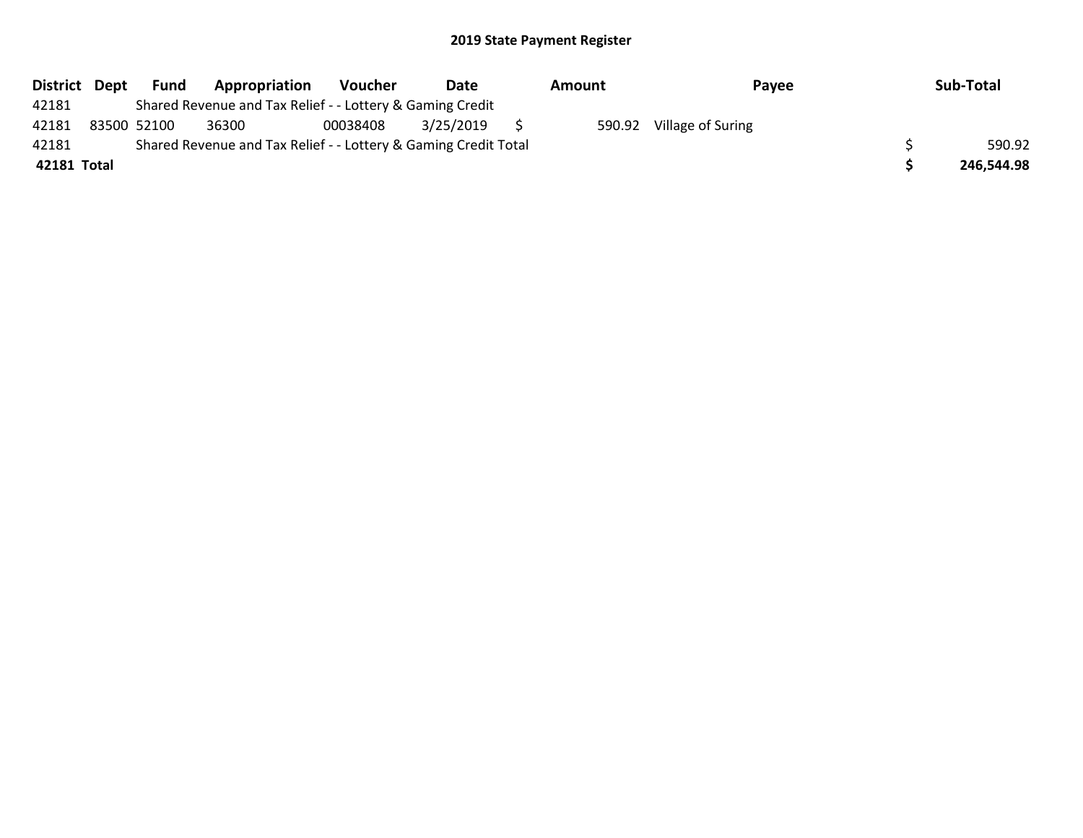|             | District Dept | Fund | Appropriation                                                   | Voucher  | Date      | Amount |        | Pavee             |  | Sub-Total  |  |
|-------------|---------------|------|-----------------------------------------------------------------|----------|-----------|--------|--------|-------------------|--|------------|--|
| 42181       |               |      | Shared Revenue and Tax Relief - - Lottery & Gaming Credit       |          |           |        |        |                   |  |            |  |
| 42181       | 83500 52100   |      | 36300                                                           | 00038408 | 3/25/2019 |        | 590.92 | Village of Suring |  |            |  |
| 42181       |               |      | Shared Revenue and Tax Relief - - Lottery & Gaming Credit Total |          |           |        |        |                   |  |            |  |
| 42181 Total |               |      |                                                                 |          |           |        |        |                   |  | 246,544.98 |  |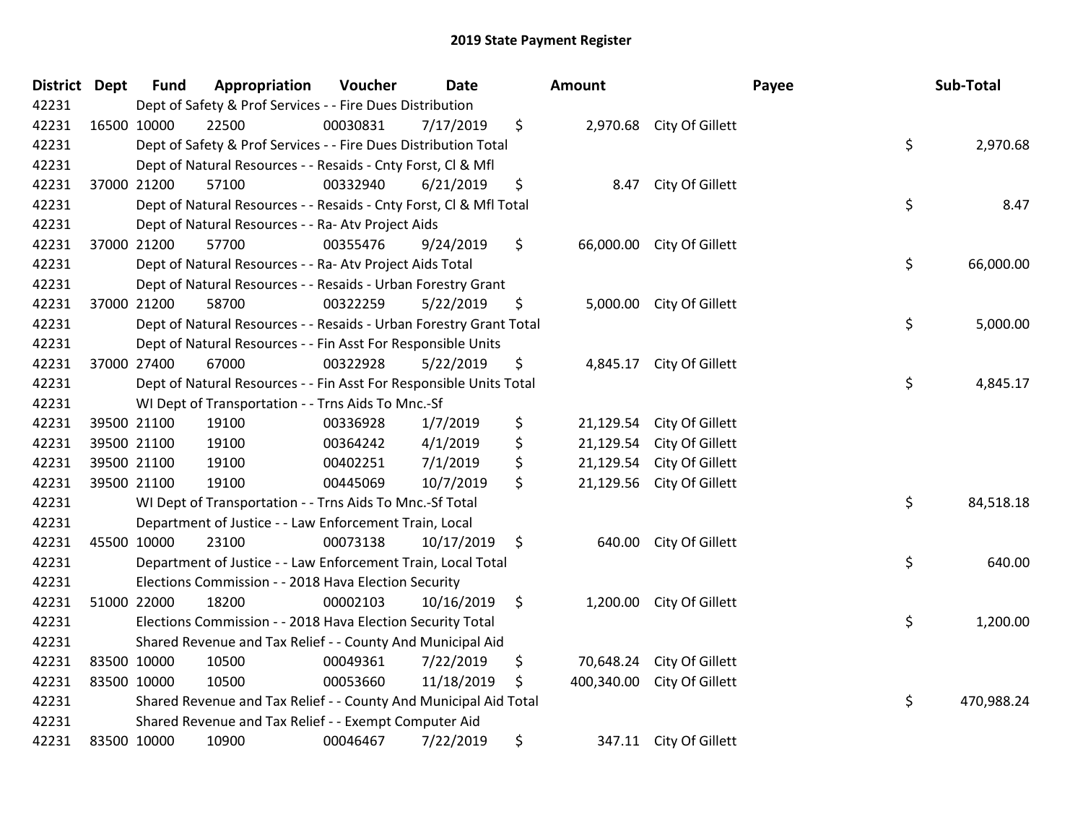| District | <b>Dept</b> | <b>Fund</b> | Appropriation                                                      | Voucher  | <b>Date</b> | Amount           |                          | Payee | Sub-Total  |
|----------|-------------|-------------|--------------------------------------------------------------------|----------|-------------|------------------|--------------------------|-------|------------|
| 42231    |             |             | Dept of Safety & Prof Services - - Fire Dues Distribution          |          |             |                  |                          |       |            |
| 42231    | 16500 10000 |             | 22500                                                              | 00030831 | 7/17/2019   | \$               | 2,970.68 City Of Gillett |       |            |
| 42231    |             |             | Dept of Safety & Prof Services - - Fire Dues Distribution Total    |          |             |                  |                          | \$    | 2,970.68   |
| 42231    |             |             | Dept of Natural Resources - - Resaids - Cnty Forst, Cl & Mfl       |          |             |                  |                          |       |            |
| 42231    |             | 37000 21200 | 57100                                                              | 00332940 | 6/21/2019   | \$<br>8.47       | City Of Gillett          |       |            |
| 42231    |             |             | Dept of Natural Resources - - Resaids - Cnty Forst, Cl & Mfl Total |          |             |                  |                          | \$    | 8.47       |
| 42231    |             |             | Dept of Natural Resources - - Ra- Atv Project Aids                 |          |             |                  |                          |       |            |
| 42231    |             | 37000 21200 | 57700                                                              | 00355476 | 9/24/2019   | \$<br>66,000.00  | City Of Gillett          |       |            |
| 42231    |             |             | Dept of Natural Resources - - Ra- Atv Project Aids Total           |          |             |                  |                          | \$    | 66,000.00  |
| 42231    |             |             | Dept of Natural Resources - - Resaids - Urban Forestry Grant       |          |             |                  |                          |       |            |
| 42231    |             | 37000 21200 | 58700                                                              | 00322259 | 5/22/2019   | \$               | 5,000.00 City Of Gillett |       |            |
| 42231    |             |             | Dept of Natural Resources - - Resaids - Urban Forestry Grant Total |          |             |                  |                          | \$    | 5,000.00   |
| 42231    |             |             | Dept of Natural Resources - - Fin Asst For Responsible Units       |          |             |                  |                          |       |            |
| 42231    |             | 37000 27400 | 67000                                                              | 00322928 | 5/22/2019   | \$<br>4,845.17   | City Of Gillett          |       |            |
| 42231    |             |             | Dept of Natural Resources - - Fin Asst For Responsible Units Total |          |             |                  |                          | \$    | 4,845.17   |
| 42231    |             |             | WI Dept of Transportation - - Trns Aids To Mnc.-Sf                 |          |             |                  |                          |       |            |
| 42231    |             | 39500 21100 | 19100                                                              | 00336928 | 1/7/2019    | \$<br>21,129.54  | City Of Gillett          |       |            |
| 42231    |             | 39500 21100 | 19100                                                              | 00364242 | 4/1/2019    | \$<br>21,129.54  | City Of Gillett          |       |            |
| 42231    |             | 39500 21100 | 19100                                                              | 00402251 | 7/1/2019    | \$<br>21,129.54  | City Of Gillett          |       |            |
| 42231    |             | 39500 21100 | 19100                                                              | 00445069 | 10/7/2019   | \$<br>21,129.56  | City Of Gillett          |       |            |
| 42231    |             |             | WI Dept of Transportation - - Trns Aids To Mnc.-Sf Total           |          |             |                  |                          | \$    | 84,518.18  |
| 42231    |             |             | Department of Justice - - Law Enforcement Train, Local             |          |             |                  |                          |       |            |
| 42231    | 45500 10000 |             | 23100                                                              | 00073138 | 10/17/2019  | \$<br>640.00     | City Of Gillett          |       |            |
| 42231    |             |             | Department of Justice - - Law Enforcement Train, Local Total       |          |             |                  |                          | \$    | 640.00     |
| 42231    |             |             | Elections Commission - - 2018 Hava Election Security               |          |             |                  |                          |       |            |
| 42231    |             | 51000 22000 | 18200                                                              | 00002103 | 10/16/2019  | \$<br>1,200.00   | City Of Gillett          |       |            |
| 42231    |             |             | Elections Commission - - 2018 Hava Election Security Total         |          |             |                  |                          | \$    | 1,200.00   |
| 42231    |             |             | Shared Revenue and Tax Relief - - County And Municipal Aid         |          |             |                  |                          |       |            |
| 42231    |             | 83500 10000 | 10500                                                              | 00049361 | 7/22/2019   | \$<br>70,648.24  | City Of Gillett          |       |            |
| 42231    |             | 83500 10000 | 10500                                                              | 00053660 | 11/18/2019  | \$<br>400,340.00 | City Of Gillett          |       |            |
| 42231    |             |             | Shared Revenue and Tax Relief - - County And Municipal Aid Total   |          |             |                  |                          | \$    | 470,988.24 |
| 42231    |             |             | Shared Revenue and Tax Relief - - Exempt Computer Aid              |          |             |                  |                          |       |            |
| 42231    |             | 83500 10000 | 10900                                                              | 00046467 | 7/22/2019   | \$               | 347.11 City Of Gillett   |       |            |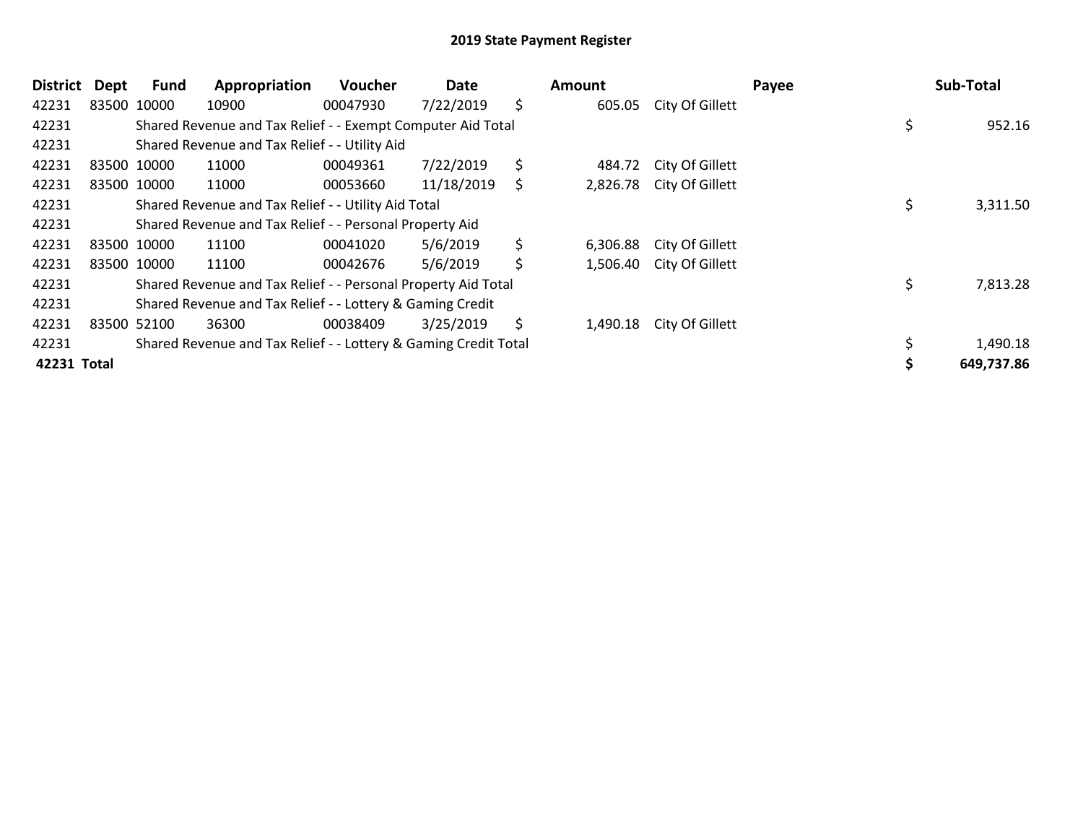| <b>District</b> | Dept        | <b>Fund</b> | Appropriation                                                   | <b>Voucher</b> | Date       | <b>Amount</b>  |                          | Payee | Sub-Total      |
|-----------------|-------------|-------------|-----------------------------------------------------------------|----------------|------------|----------------|--------------------------|-------|----------------|
| 42231           |             | 83500 10000 | 10900                                                           | 00047930       | 7/22/2019  | \$<br>605.05   | City Of Gillett          |       |                |
| 42231           |             |             | Shared Revenue and Tax Relief - - Exempt Computer Aid Total     |                |            |                |                          |       | \$<br>952.16   |
| 42231           |             |             | Shared Revenue and Tax Relief - - Utility Aid                   |                |            |                |                          |       |                |
| 42231           |             | 83500 10000 | 11000                                                           | 00049361       | 7/22/2019  | \$<br>484.72   | City Of Gillett          |       |                |
| 42231           |             | 83500 10000 | 11000                                                           | 00053660       | 11/18/2019 | \$<br>2,826.78 | City Of Gillett          |       |                |
| 42231           |             |             | Shared Revenue and Tax Relief - - Utility Aid Total             |                |            |                |                          |       | 3,311.50       |
| 42231           |             |             | Shared Revenue and Tax Relief - - Personal Property Aid         |                |            |                |                          |       |                |
| 42231           | 83500 10000 |             | 11100                                                           | 00041020       | 5/6/2019   | \$<br>6,306.88 | City Of Gillett          |       |                |
| 42231           |             | 83500 10000 | 11100                                                           | 00042676       | 5/6/2019   | \$             | 1,506.40 City Of Gillett |       |                |
| 42231           |             |             | Shared Revenue and Tax Relief - - Personal Property Aid Total   |                |            |                |                          |       | \$<br>7,813.28 |
| 42231           |             |             | Shared Revenue and Tax Relief - - Lottery & Gaming Credit       |                |            |                |                          |       |                |
| 42231           | 83500 52100 |             | 36300                                                           | 00038409       | 3/25/2019  | \$<br>1,490.18 | City Of Gillett          |       |                |
| 42231           |             |             | Shared Revenue and Tax Relief - - Lottery & Gaming Credit Total |                |            |                |                          |       | 1,490.18       |
| 42231 Total     |             |             |                                                                 |                |            |                |                          |       | 649,737.86     |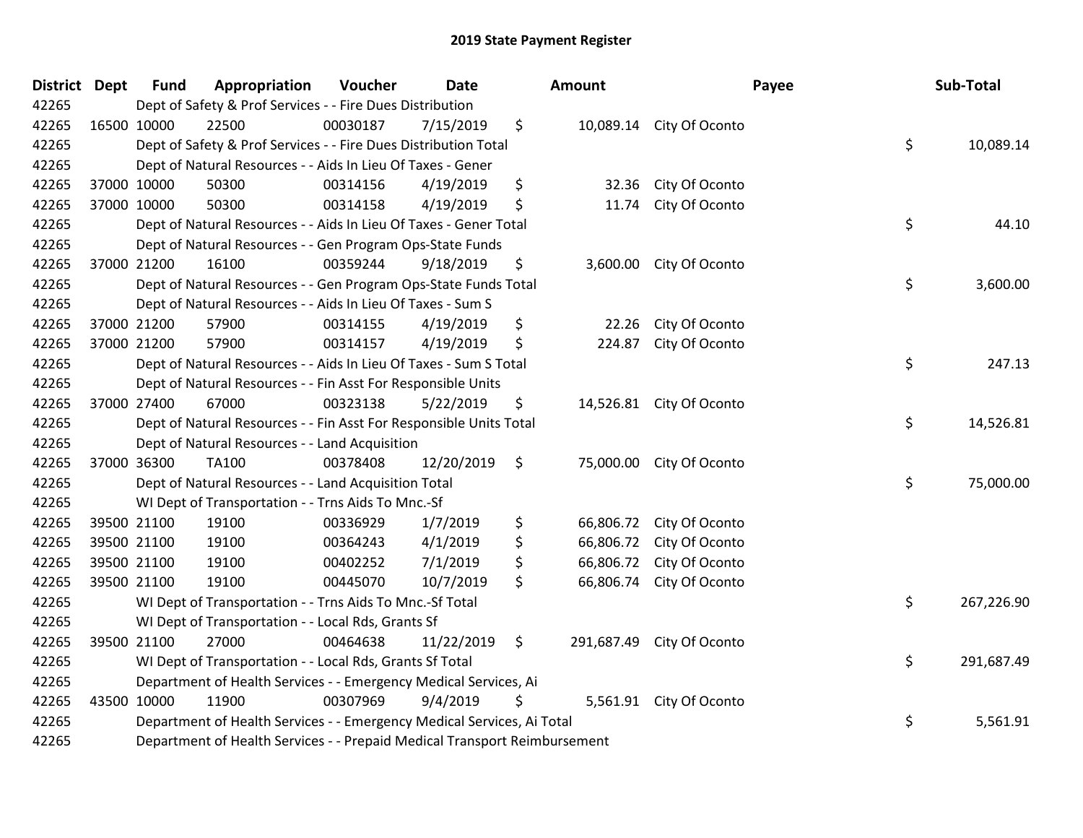| <b>District Dept</b> |             | <b>Fund</b> | Appropriation                                                             | Voucher  | <b>Date</b> | Amount          |                           | Payee | Sub-Total  |
|----------------------|-------------|-------------|---------------------------------------------------------------------------|----------|-------------|-----------------|---------------------------|-------|------------|
| 42265                |             |             | Dept of Safety & Prof Services - - Fire Dues Distribution                 |          |             |                 |                           |       |            |
| 42265                | 16500 10000 |             | 22500                                                                     | 00030187 | 7/15/2019   | \$              | 10,089.14 City Of Oconto  |       |            |
| 42265                |             |             | Dept of Safety & Prof Services - - Fire Dues Distribution Total           |          |             |                 |                           | \$    | 10,089.14  |
| 42265                |             |             | Dept of Natural Resources - - Aids In Lieu Of Taxes - Gener               |          |             |                 |                           |       |            |
| 42265                |             | 37000 10000 | 50300                                                                     | 00314156 | 4/19/2019   | \$<br>32.36     | City Of Oconto            |       |            |
| 42265                |             | 37000 10000 | 50300                                                                     | 00314158 | 4/19/2019   | \$<br>11.74     | City Of Oconto            |       |            |
| 42265                |             |             | Dept of Natural Resources - - Aids In Lieu Of Taxes - Gener Total         |          |             |                 |                           | \$    | 44.10      |
| 42265                |             |             | Dept of Natural Resources - - Gen Program Ops-State Funds                 |          |             |                 |                           |       |            |
| 42265                |             | 37000 21200 | 16100                                                                     | 00359244 | 9/18/2019   | \$              | 3,600.00 City Of Oconto   |       |            |
| 42265                |             |             | Dept of Natural Resources - - Gen Program Ops-State Funds Total           |          |             |                 |                           | \$    | 3,600.00   |
| 42265                |             |             | Dept of Natural Resources - - Aids In Lieu Of Taxes - Sum S               |          |             |                 |                           |       |            |
| 42265                |             | 37000 21200 | 57900                                                                     | 00314155 | 4/19/2019   | \$<br>22.26     | City Of Oconto            |       |            |
| 42265                |             | 37000 21200 | 57900                                                                     | 00314157 | 4/19/2019   | \$<br>224.87    | City Of Oconto            |       |            |
| 42265                |             |             | Dept of Natural Resources - - Aids In Lieu Of Taxes - Sum S Total         |          |             |                 |                           | \$    | 247.13     |
| 42265                |             |             | Dept of Natural Resources - - Fin Asst For Responsible Units              |          |             |                 |                           |       |            |
| 42265                |             | 37000 27400 | 67000                                                                     | 00323138 | 5/22/2019   | \$              | 14,526.81 City Of Oconto  |       |            |
| 42265                |             |             | Dept of Natural Resources - - Fin Asst For Responsible Units Total        |          |             |                 |                           | \$    | 14,526.81  |
| 42265                |             |             | Dept of Natural Resources - - Land Acquisition                            |          |             |                 |                           |       |            |
| 42265                | 37000 36300 |             | <b>TA100</b>                                                              | 00378408 | 12/20/2019  | \$              | 75,000.00 City Of Oconto  |       |            |
| 42265                |             |             | Dept of Natural Resources - - Land Acquisition Total                      |          |             |                 |                           | \$    | 75,000.00  |
| 42265                |             |             | WI Dept of Transportation - - Trns Aids To Mnc.-Sf                        |          |             |                 |                           |       |            |
| 42265                |             | 39500 21100 | 19100                                                                     | 00336929 | 1/7/2019    | \$              | 66,806.72 City Of Oconto  |       |            |
| 42265                |             | 39500 21100 | 19100                                                                     | 00364243 | 4/1/2019    | \$<br>66,806.72 | City Of Oconto            |       |            |
| 42265                |             | 39500 21100 | 19100                                                                     | 00402252 | 7/1/2019    | \$<br>66,806.72 | City Of Oconto            |       |            |
| 42265                |             | 39500 21100 | 19100                                                                     | 00445070 | 10/7/2019   | \$<br>66,806.74 | City Of Oconto            |       |            |
| 42265                |             |             | WI Dept of Transportation - - Trns Aids To Mnc.-Sf Total                  |          |             |                 |                           | \$    | 267,226.90 |
| 42265                |             |             | WI Dept of Transportation - - Local Rds, Grants Sf                        |          |             |                 |                           |       |            |
| 42265                |             | 39500 21100 | 27000                                                                     | 00464638 | 11/22/2019  | \$              | 291,687.49 City Of Oconto |       |            |
| 42265                |             |             | WI Dept of Transportation - - Local Rds, Grants Sf Total                  |          |             |                 |                           | \$    | 291,687.49 |
| 42265                |             |             | Department of Health Services - - Emergency Medical Services, Ai          |          |             |                 |                           |       |            |
| 42265                | 43500 10000 |             | 11900                                                                     | 00307969 | 9/4/2019    | \$              | 5,561.91 City Of Oconto   |       |            |
| 42265                |             |             | Department of Health Services - - Emergency Medical Services, Ai Total    |          |             |                 |                           | \$    | 5,561.91   |
| 42265                |             |             | Department of Health Services - - Prepaid Medical Transport Reimbursement |          |             |                 |                           |       |            |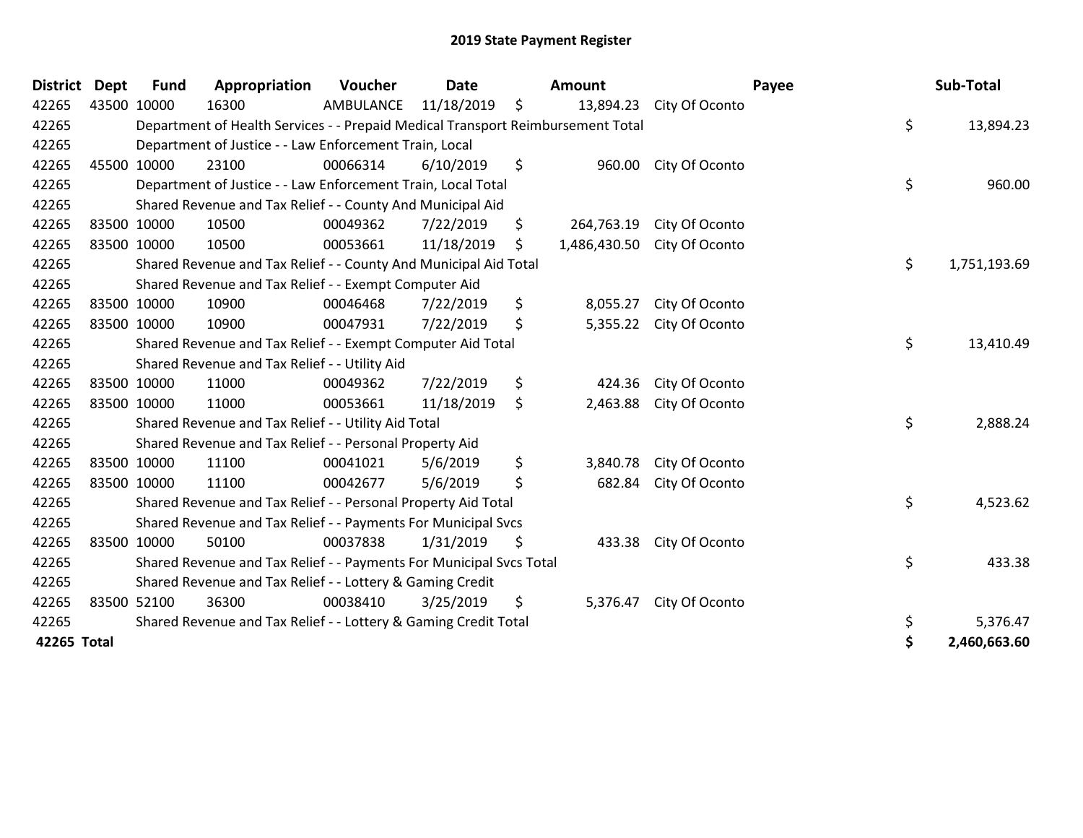| <b>District</b> | <b>Dept</b> | <b>Fund</b> | Appropriation                                                                   | Voucher   | <b>Date</b> |    | <b>Amount</b> |                | Payee | Sub-Total    |
|-----------------|-------------|-------------|---------------------------------------------------------------------------------|-----------|-------------|----|---------------|----------------|-------|--------------|
| 42265           | 43500 10000 |             | 16300                                                                           | AMBULANCE | 11/18/2019  | \$ | 13,894.23     | City Of Oconto |       |              |
| 42265           |             |             | Department of Health Services - - Prepaid Medical Transport Reimbursement Total |           |             |    |               |                | \$    | 13,894.23    |
| 42265           |             |             | Department of Justice - - Law Enforcement Train, Local                          |           |             |    |               |                |       |              |
| 42265           | 45500 10000 |             | 23100                                                                           | 00066314  | 6/10/2019   | \$ | 960.00        | City Of Oconto |       |              |
| 42265           |             |             | Department of Justice - - Law Enforcement Train, Local Total                    |           |             |    |               |                | \$    | 960.00       |
| 42265           |             |             | Shared Revenue and Tax Relief - - County And Municipal Aid                      |           |             |    |               |                |       |              |
| 42265           | 83500 10000 |             | 10500                                                                           | 00049362  | 7/22/2019   | \$ | 264,763.19    | City Of Oconto |       |              |
| 42265           | 83500 10000 |             | 10500                                                                           | 00053661  | 11/18/2019  | \$ | 1,486,430.50  | City Of Oconto |       |              |
| 42265           |             |             | Shared Revenue and Tax Relief - - County And Municipal Aid Total                |           |             |    |               |                | \$    | 1,751,193.69 |
| 42265           |             |             | Shared Revenue and Tax Relief - - Exempt Computer Aid                           |           |             |    |               |                |       |              |
| 42265           | 83500 10000 |             | 10900                                                                           | 00046468  | 7/22/2019   | \$ | 8,055.27      | City Of Oconto |       |              |
| 42265           | 83500 10000 |             | 10900                                                                           | 00047931  | 7/22/2019   | \$ | 5,355.22      | City Of Oconto |       |              |
| 42265           |             |             | Shared Revenue and Tax Relief - - Exempt Computer Aid Total                     |           |             |    |               |                | \$    | 13,410.49    |
| 42265           |             |             | Shared Revenue and Tax Relief - - Utility Aid                                   |           |             |    |               |                |       |              |
| 42265           | 83500 10000 |             | 11000                                                                           | 00049362  | 7/22/2019   | \$ | 424.36        | City Of Oconto |       |              |
| 42265           | 83500 10000 |             | 11000                                                                           | 00053661  | 11/18/2019  | \$ | 2,463.88      | City Of Oconto |       |              |
| 42265           |             |             | Shared Revenue and Tax Relief - - Utility Aid Total                             |           |             |    |               |                | \$    | 2,888.24     |
| 42265           |             |             | Shared Revenue and Tax Relief - - Personal Property Aid                         |           |             |    |               |                |       |              |
| 42265           | 83500 10000 |             | 11100                                                                           | 00041021  | 5/6/2019    | \$ | 3,840.78      | City Of Oconto |       |              |
| 42265           | 83500 10000 |             | 11100                                                                           | 00042677  | 5/6/2019    | \$ | 682.84        | City Of Oconto |       |              |
| 42265           |             |             | Shared Revenue and Tax Relief - - Personal Property Aid Total                   |           |             |    |               |                | \$    | 4,523.62     |
| 42265           |             |             | Shared Revenue and Tax Relief - - Payments For Municipal Svcs                   |           |             |    |               |                |       |              |
| 42265           | 83500 10000 |             | 50100                                                                           | 00037838  | 1/31/2019   | \$ | 433.38        | City Of Oconto |       |              |
| 42265           |             |             | Shared Revenue and Tax Relief - - Payments For Municipal Svcs Total             |           |             |    |               |                | \$    | 433.38       |
| 42265           |             |             | Shared Revenue and Tax Relief - - Lottery & Gaming Credit                       |           |             |    |               |                |       |              |
| 42265           | 83500 52100 |             | 36300                                                                           | 00038410  | 3/25/2019   | \$ | 5,376.47      | City Of Oconto |       |              |
| 42265           |             |             | Shared Revenue and Tax Relief - - Lottery & Gaming Credit Total                 |           |             |    |               |                | \$    | 5,376.47     |
| 42265 Total     |             |             |                                                                                 |           |             |    |               |                | \$    | 2,460,663.60 |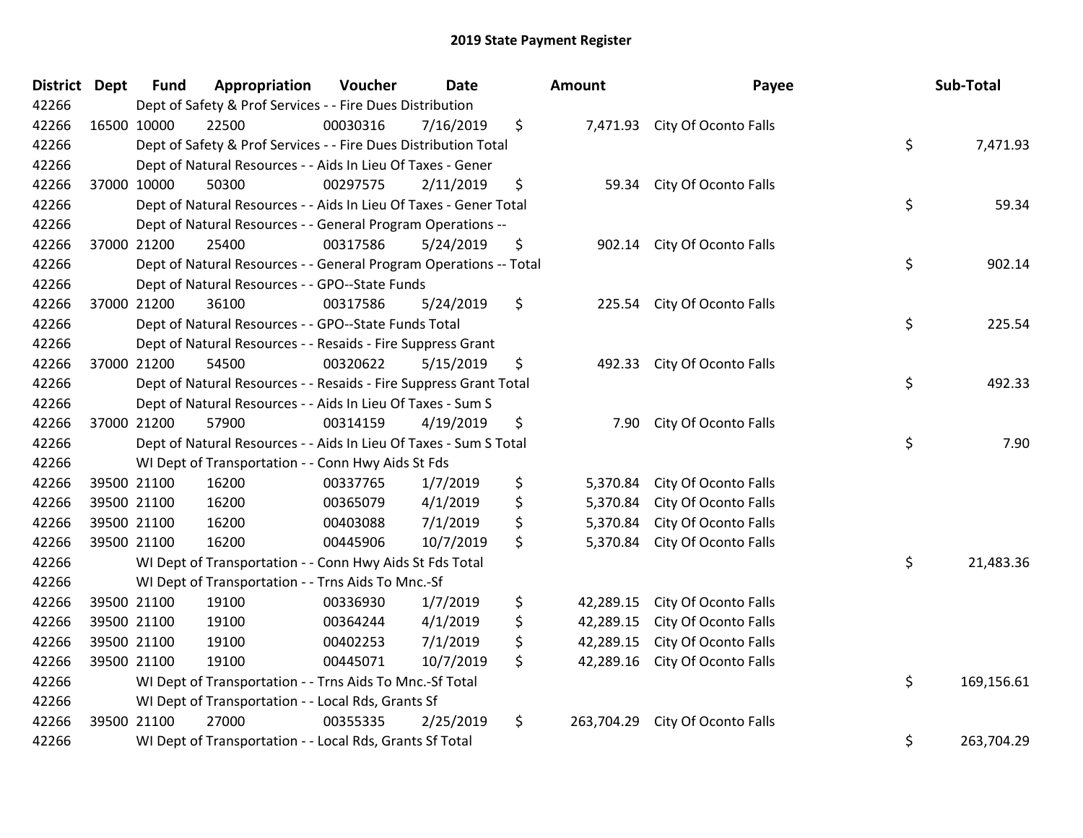| District | <b>Dept</b> | <b>Fund</b> | Appropriation                                                     | Voucher          | <b>Date</b> | <b>Amount</b>    | Payee                         | Sub-Total        |
|----------|-------------|-------------|-------------------------------------------------------------------|------------------|-------------|------------------|-------------------------------|------------------|
| 42266    |             |             | Dept of Safety & Prof Services - - Fire Dues Distribution         |                  |             |                  |                               |                  |
| 42266    |             | 16500 10000 | 22500                                                             | 00030316         | 7/16/2019   | \$               | 7,471.93 City Of Oconto Falls |                  |
| 42266    |             |             | Dept of Safety & Prof Services - - Fire Dues Distribution Total   |                  |             |                  |                               | \$<br>7,471.93   |
| 42266    |             |             | Dept of Natural Resources - - Aids In Lieu Of Taxes - Gener       |                  |             |                  |                               |                  |
| 42266    |             | 37000 10000 | 50300                                                             | 00297575         | 2/11/2019   | \$<br>59.34      | City Of Oconto Falls          |                  |
| 42266    |             |             | Dept of Natural Resources - - Aids In Lieu Of Taxes - Gener Total |                  |             |                  |                               | \$<br>59.34      |
| 42266    |             |             | Dept of Natural Resources - - General Program Operations --       |                  |             |                  |                               |                  |
| 42266    |             | 37000 21200 | 25400                                                             | 00317586         | 5/24/2019   | \$<br>902.14     | City Of Oconto Falls          |                  |
| 42266    |             |             | Dept of Natural Resources - - General Program Operations -- Total |                  |             |                  |                               | \$<br>902.14     |
| 42266    |             |             | Dept of Natural Resources - - GPO--State Funds                    |                  |             |                  |                               |                  |
| 42266    |             | 37000 21200 | 36100                                                             | 00317586         | 5/24/2019   | \$               | 225.54 City Of Oconto Falls   |                  |
| 42266    |             |             | Dept of Natural Resources - - GPO--State Funds Total              |                  |             |                  |                               | \$<br>225.54     |
| 42266    |             |             | Dept of Natural Resources - - Resaids - Fire Suppress Grant       |                  |             |                  |                               |                  |
| 42266    |             | 37000 21200 | 54500                                                             | 00320622         | 5/15/2019   | \$               | 492.33 City Of Oconto Falls   |                  |
| 42266    |             |             | Dept of Natural Resources - - Resaids - Fire Suppress Grant Total |                  |             |                  |                               | \$<br>492.33     |
| 42266    |             |             | Dept of Natural Resources - - Aids In Lieu Of Taxes - Sum S       |                  |             |                  |                               |                  |
| 42266    |             | 37000 21200 | 57900                                                             | 00314159         | 4/19/2019   | \$<br>7.90       | City Of Oconto Falls          |                  |
| 42266    |             |             | Dept of Natural Resources - - Aids In Lieu Of Taxes - Sum S Total |                  |             |                  |                               | \$<br>7.90       |
| 42266    |             |             | WI Dept of Transportation - - Conn Hwy Aids St Fds                |                  |             |                  |                               |                  |
| 42266    |             | 39500 21100 | 16200                                                             | 00337765         | 1/7/2019    | \$<br>5,370.84   | City Of Oconto Falls          |                  |
| 42266    |             | 39500 21100 | 16200                                                             | 00365079         | 4/1/2019    | \$<br>5,370.84   | City Of Oconto Falls          |                  |
| 42266    |             | 39500 21100 | 16200                                                             | 00403088         | 7/1/2019    | \$<br>5,370.84   | City Of Oconto Falls          |                  |
| 42266    |             | 39500 21100 | 16200                                                             | 00445906         | 10/7/2019   | \$<br>5,370.84   | City Of Oconto Falls          |                  |
| 42266    |             |             | WI Dept of Transportation - - Conn Hwy Aids St Fds Total          |                  |             |                  |                               | \$<br>21,483.36  |
| 42266    |             |             | WI Dept of Transportation - - Trns Aids To Mnc.-Sf                |                  |             |                  |                               |                  |
| 42266    |             | 39500 21100 | 19100                                                             | 00336930         | 1/7/2019    | \$<br>42,289.15  | City Of Oconto Falls          |                  |
| 42266    |             | 39500 21100 | 19100                                                             | 00364244         | 4/1/2019    | \$<br>42,289.15  | City Of Oconto Falls          |                  |
| 42266    |             | 39500 21100 | 19100                                                             | 00402253         | 7/1/2019    | \$<br>42,289.15  | City Of Oconto Falls          |                  |
| 42266    |             | 39500 21100 | 19100                                                             | 00445071         | 10/7/2019   | \$<br>42,289.16  | City Of Oconto Falls          |                  |
| 42266    |             |             | WI Dept of Transportation - - Trns Aids To Mnc.-Sf Total          | \$<br>169,156.61 |             |                  |                               |                  |
| 42266    |             |             | WI Dept of Transportation - - Local Rds, Grants Sf                |                  |             |                  |                               |                  |
| 42266    |             | 39500 21100 | 27000                                                             | 00355335         | 2/25/2019   | \$<br>263,704.29 | City Of Oconto Falls          |                  |
| 42266    |             |             | WI Dept of Transportation - - Local Rds, Grants Sf Total          |                  |             |                  |                               | \$<br>263,704.29 |